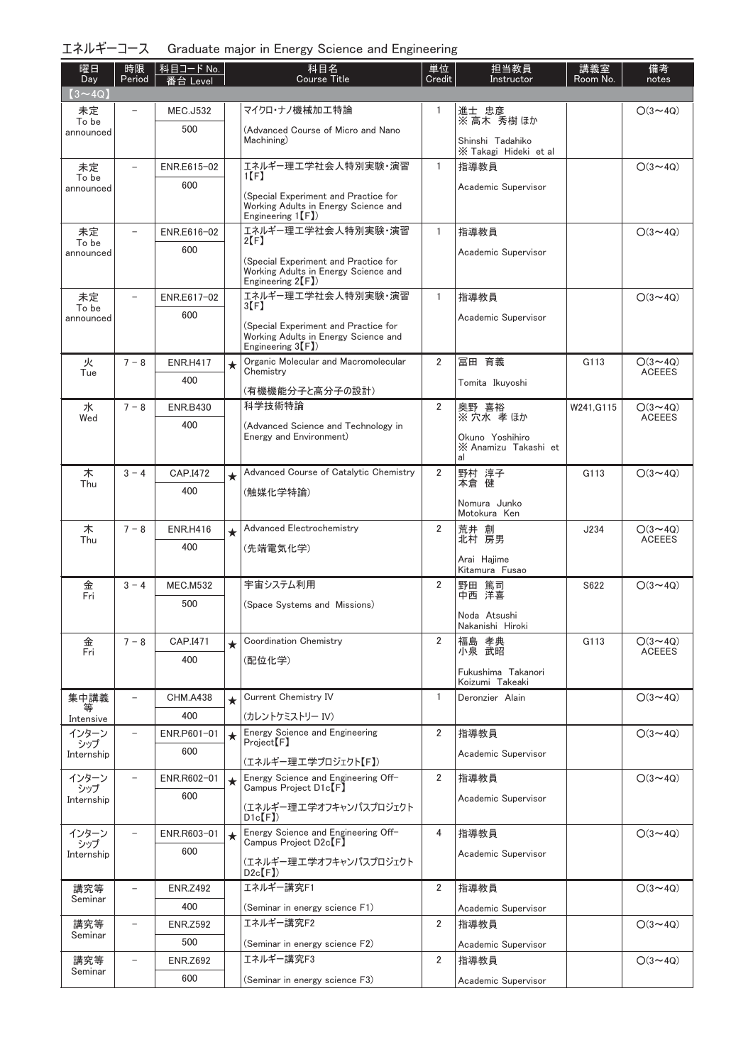| エネルギーコース Graduate major in Energy Science and Engineering |  |  |  |  |  |  |
|-----------------------------------------------------------|--|--|--|--|--|--|
|-----------------------------------------------------------|--|--|--|--|--|--|

| 曜日<br>Day          | 時限<br>Period             | 科目コード No.<br>番台 Level  |         | 科目名<br><b>Course Title</b>                                                                         | 単位<br>Credit   | 担当教員<br>Instructor                            | 講義室<br>Room No. | 備考<br>notes                     |
|--------------------|--------------------------|------------------------|---------|----------------------------------------------------------------------------------------------------|----------------|-----------------------------------------------|-----------------|---------------------------------|
| $(3 \sim 4Q)$      |                          |                        |         |                                                                                                    |                |                                               |                 |                                 |
| 未定<br>To be        |                          | <b>MEC.J532</b>        |         | マイクロ・ナノ機械加工特論                                                                                      | 1              | 進士 忠彦<br>※ 高木 秀樹 ほか                           |                 | $O(3 \sim 4Q)$                  |
| announced          |                          | 500                    |         | (Advanced Course of Micro and Nano<br>Machining)                                                   |                | Shinshi Tadahiko                              |                 |                                 |
| 未定                 | $\overline{\phantom{0}}$ | ENR.E615-02            |         | エネルギー理工学社会人特別実験・演習                                                                                 | $\mathbf{1}$   | X Takagi Hideki et al<br>指導教員                 |                 | $O(3 \sim 4Q)$                  |
| To be              |                          | 600                    |         | $1$ [F]                                                                                            |                | Academic Supervisor                           |                 |                                 |
| announced          |                          |                        |         | (Special Experiment and Practice for<br>Working Adults in Energy Science and<br>Engineering $1(F)$ |                |                                               |                 |                                 |
| 未定<br>To be        | $\overline{\phantom{0}}$ | ENR.E616-02            |         | エネルギー理工学社会人特別実験・演習<br>$2[$ F                                                                       | 1              | 指導教員                                          |                 | $O(3 \sim 4Q)$                  |
| announced          |                          | 600                    |         | (Special Experiment and Practice for                                                               |                | Academic Supervisor                           |                 |                                 |
|                    |                          |                        |         | Working Adults in Energy Science and<br>Engineering $2(F)$ )                                       |                |                                               |                 |                                 |
| 未定<br>To be        | $\overline{\phantom{0}}$ | ENR.E617-02            |         | エネルギー理工学社会人特別実験・演習<br>3 [ F ]                                                                      | $\mathbf{1}$   | 指導教員                                          |                 | $O(3 \sim 4Q)$                  |
| announced          |                          | 600                    |         | (Special Experiment and Practice for<br>Working Adults in Energy Science and<br>Engineering $3(F)$ |                | Academic Supervisor                           |                 |                                 |
| 火                  | $7 - 8$                  | <b>ENR.H417</b>        | $\star$ | Organic Molecular and Macromolecular                                                               | 2              | 冨田 育義                                         | G113            | $O(3 \sim 4Q)$                  |
| Tue                |                          | 400                    |         | Chemistry                                                                                          |                | Tomita Ikuyoshi                               |                 | <b>ACEEES</b>                   |
|                    |                          |                        |         | (有機機能分子と高分子の設計)<br>科学技術特論                                                                          | $\overline{2}$ |                                               |                 |                                 |
| 水<br>Wed           | $7 - 8$                  | <b>ENR.B430</b><br>400 |         |                                                                                                    |                | 奥野 喜裕<br>※穴水孝ほか                               | W241, G115      | $O(3 \sim 4Q)$<br><b>ACEEES</b> |
|                    |                          |                        |         | (Advanced Science and Technology in<br>Energy and Environment)                                     |                | Okuno Yoshihiro<br>X Anamizu Takashi et<br>al |                 |                                 |
| 木                  | $3 - 4$                  | CAP.I472               | $\star$ | Advanced Course of Catalytic Chemistry                                                             | $\overline{2}$ | 野村 淳子<br>本倉 健                                 | G113            | $O(3 \sim 4Q)$                  |
| Thu                |                          | 400                    |         | (触媒化学特論)                                                                                           |                |                                               |                 |                                 |
|                    |                          |                        |         |                                                                                                    |                | Nomura Junko<br>Motokura Ken                  |                 |                                 |
| 木                  | $7 - 8$                  | <b>ENR.H416</b>        | $\star$ | Advanced Electrochemistry                                                                          | 2              | 荒井 創<br>北村 房男                                 | J234            | $O(3 \sim 4Q)$                  |
| Thu                |                          | 400                    |         | (先端電気化学)                                                                                           |                |                                               |                 | <b>ACEEES</b>                   |
|                    |                          |                        |         |                                                                                                    |                | Arai Hajime<br>Kitamura Fusao                 |                 |                                 |
| 金<br>Fri           | $3 - 4$                  | <b>MEC.M532</b>        |         | 宇宙システム利用                                                                                           | 2              | 野田 篤司<br>中西 洋喜                                | S622            | $O(3 \sim 40)$                  |
|                    |                          | 500                    |         | (Space Systems and Missions)                                                                       |                | Noda Atsushi                                  |                 |                                 |
|                    |                          |                        |         |                                                                                                    |                | Nakanishi Hiroki                              |                 |                                 |
| 金<br>Fri           | $7 - 8$                  | CAP.I471               | $\star$ | Coordination Chemistry                                                                             | $\overline{2}$ | 福島 孝典<br>小泉 武昭                                | G113            | $O(3 \sim 4Q)$<br><b>ACEEES</b> |
|                    |                          | 400                    |         | (配位化学)                                                                                             |                | Fukushima Takanori                            |                 |                                 |
|                    |                          |                        |         |                                                                                                    |                | Koizumi Takeaki                               |                 |                                 |
| 集中講義<br>等          | $\overline{\phantom{0}}$ | <b>CHM.A438</b><br>400 | $\star$ | Current Chemistry IV                                                                               | 1              | Deronzier Alain                               |                 | $O(3 \sim 4Q)$                  |
| Intensive<br>インターン |                          | ENR.P601-01            | $\star$ | (カレントケミストリー IV)<br><b>Energy Science and Engineering</b>                                           | $\overline{2}$ | 指導教員                                          |                 | $O(3 \sim 4Q)$                  |
| シップ<br>Internship  |                          | 600                    |         | Project(F)                                                                                         |                | Academic Supervisor                           |                 |                                 |
|                    |                          |                        |         | (エネルギー理工学プロジェクト【F】)                                                                                |                |                                               |                 |                                 |
| インターン<br>シップ       |                          | ENR.R602-01            | $\star$ | Energy Science and Engineering Off-<br>Campus Project D1c <sup>[F]</sup>                           | $\overline{2}$ | 指導教員                                          |                 | $O(3 \sim 4Q)$                  |
| Internship         |                          | 600                    |         | (エネルギー理工学オフキャンパスプロジェクト<br>$D1c$ $(F)$                                                              |                | Academic Supervisor                           |                 |                                 |
| インターン<br>シップ       |                          | ENR.R603-01            | $\star$ | Energy Science and Engineering Off-<br>$Campus$ $Project$ $D2c$ $[$ $F$ $]$                        | 4              | 指導教員                                          |                 | $O(3 \sim 4Q)$                  |
| Internship         |                          | 600                    |         | (エネルギー理工学オフキャンパスプロジェクト<br>$D2c$ $[F]$                                                              |                | Academic Supervisor                           |                 |                                 |
| 講究等                | $\overline{\phantom{0}}$ | <b>ENR.Z492</b>        |         | エネルギー講究F1                                                                                          | 2              | 指導教員                                          |                 | $O(3 \sim 4Q)$                  |
| Seminar            |                          | 400                    |         | (Seminar in energy science F1)                                                                     |                | Academic Supervisor                           |                 |                                 |
| 講究等                | $\overline{\phantom{0}}$ | <b>ENR.Z592</b>        |         | エネルギー講究F2                                                                                          | 2              | 指導教員                                          |                 | $O(3 \sim 4Q)$                  |
| Seminar            |                          | 500                    |         | (Seminar in energy science F2)                                                                     |                | Academic Supervisor                           |                 |                                 |
| 講究等<br>Seminar     | $\overline{\phantom{0}}$ | <b>ENR.Z692</b>        |         | エネルギー講究F3                                                                                          | 2              | 指導教員                                          |                 | $O(3 \sim 4Q)$                  |
|                    |                          | 600                    |         | (Seminar in energy science F3)                                                                     |                | Academic Supervisor                           |                 |                                 |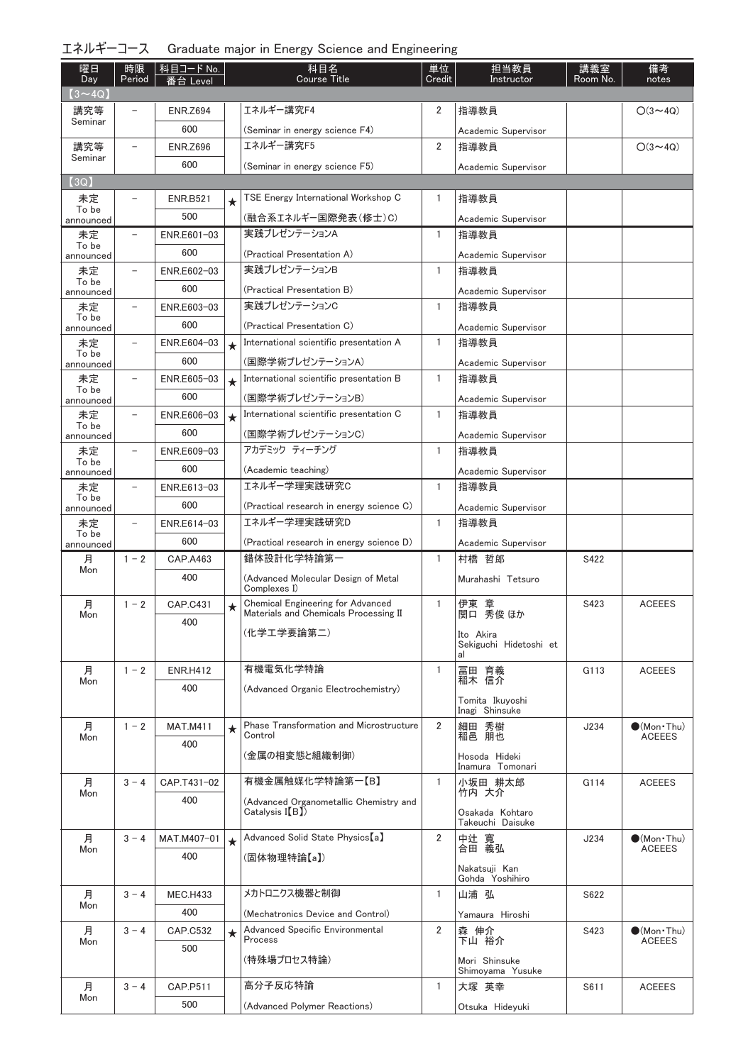| エネルギーコース Graduate major in Energy Science and Engineering |  |  |  |  |  |  |
|-----------------------------------------------------------|--|--|--|--|--|--|
|-----------------------------------------------------------|--|--|--|--|--|--|

| 曜日<br>Day          | 時限<br>Period             | 科目コード No.       |         | 科目名<br><b>Course Title</b>                                                        | 単位<br>Credit   | 担当教員<br>Instructor                        | 講義室<br>Room No. | 備考<br>notes                 |
|--------------------|--------------------------|-----------------|---------|-----------------------------------------------------------------------------------|----------------|-------------------------------------------|-----------------|-----------------------------|
| $(3 \sim 4Q)$      |                          | 番台 Level        |         |                                                                                   |                |                                           |                 |                             |
| 講究等                |                          | <b>ENR.Z694</b> |         | エネルギー講究F4                                                                         | 2              | 指導教員                                      |                 | $O(3 \sim 4Q)$              |
| Seminar            |                          | 600             |         | (Seminar in energy science F4)                                                    |                | Academic Supervisor                       |                 |                             |
| 講究等                |                          | <b>ENR.Z696</b> |         | エネルギー講究F5                                                                         | 2              | 指導教員                                      |                 | $O(3 - 4Q)$                 |
| Seminar            |                          | 600             |         | (Seminar in energy science F5)                                                    |                | Academic Supervisor                       |                 |                             |
| (3Q)               |                          |                 |         |                                                                                   |                |                                           |                 |                             |
| 未定                 |                          | <b>ENR.B521</b> | $\star$ | TSE Energy International Workshop C                                               | 1              | 指導教員                                      |                 |                             |
| To be<br>announced |                          | 500             |         | (融合系エネルギー国際発表(修士)C)                                                               |                | Academic Supervisor                       |                 |                             |
| 未定                 | $\overline{\phantom{0}}$ | ENR.E601-03     |         | 実践プレゼンテーションA                                                                      | 1              | 指導教員                                      |                 |                             |
| To be<br>announced |                          | 600             |         | (Practical Presentation A)                                                        |                | Academic Supervisor                       |                 |                             |
| 未定                 | $\overline{\phantom{0}}$ | ENR.E602-03     |         | 実践プレゼンテーションB                                                                      | 1              | 指導教員                                      |                 |                             |
| To be<br>announced |                          | 600             |         | (Practical Presentation B)                                                        |                | Academic Supervisor                       |                 |                             |
| 未定                 | $\overline{a}$           | ENR.E603-03     |         | 実践プレゼンテーションC                                                                      | 1              | 指導教員                                      |                 |                             |
| To be<br>announced |                          | 600             |         | (Practical Presentation C)                                                        |                | Academic Supervisor                       |                 |                             |
| 未定                 |                          | ENR.E604-03     | $\star$ | International scientific presentation A                                           | $\mathbf{1}$   | 指導教員                                      |                 |                             |
| To be<br>announced |                          | 600             |         | (国際学術プレゼンテーションA)                                                                  |                | Academic Supervisor                       |                 |                             |
| 未定                 | $\overline{\phantom{0}}$ | ENR.E605-03     | $\star$ | International scientific presentation B                                           | $\mathbf{1}$   | 指導教員                                      |                 |                             |
| To be<br>announced |                          | 600             |         | (国際学術ブレゼンテーションB)                                                                  |                | Academic Supervisor                       |                 |                             |
| 未定                 | $\overline{\phantom{0}}$ | ENR.E606-03     | $\star$ | International scientific presentation C                                           | $\mathbf{1}$   | 指導教員                                      |                 |                             |
| To be<br>announced |                          | 600             |         | (国際学術プレゼンテーションC)                                                                  |                | Academic Supervisor                       |                 |                             |
| 未定                 | -                        | ENR.E609-03     |         | アカデミック ティーチング                                                                     | $\mathbf{1}$   | 指導教員                                      |                 |                             |
| To be<br>announced |                          | 600             |         | (Academic teaching)                                                               |                | Academic Supervisor                       |                 |                             |
| 未定                 |                          | ENR.E613-03     |         | エネルギー学理実践研究C                                                                      | $\mathbf{1}$   | 指導教員                                      |                 |                             |
| To be<br>announced |                          | 600             |         | (Practical research in energy science C)                                          |                | Academic Supervisor                       |                 |                             |
| 未定                 | $\overline{\phantom{0}}$ | ENR.E614-03     |         | エネルギー学理実践研究D                                                                      | 1              | 指導教員                                      |                 |                             |
| To be<br>announced |                          | 600             |         | (Practical research in energy science D)                                          |                | Academic Supervisor                       |                 |                             |
| 月                  | $1 - 2$                  | CAP.A463        |         | 錯体設計化学特論第一                                                                        | $\mathbf{1}$   | 村橋 哲郎                                     | S422            |                             |
| Mon                |                          | 400             |         | (Advanced Molecular Design of Metal<br>Complexes I)                               |                | Murahashi Tetsuro                         |                 |                             |
| 月<br>Mon           | $1 - 2$                  | CAP.C431        | $\star$ | <b>Chemical Engineering for Advanced</b><br>Materials and Chemicals Processing II | 1              | 伊東 章<br>関口 秀俊 ほか                          | S423            | <b>ACEEES</b>               |
|                    |                          | 400             |         | (化学工学要論第二)                                                                        |                | Ito Akira<br>Sekiguchi Hidetoshi et<br>al |                 |                             |
| 月                  | $1 - 2$                  | <b>ENR.H412</b> |         | 有機電気化学特論                                                                          | 1              | 冨田 育義                                     | G113            | <b>ACEEES</b>               |
| Mon                |                          | 400             |         | (Advanced Organic Electrochemistry)                                               |                | 稲木 信介                                     |                 |                             |
|                    |                          |                 |         |                                                                                   |                | Tomita Ikuyoshi<br>Inagi Shinsuke         |                 |                             |
| 月                  | $1 - 2$                  | <b>MAT.M411</b> | $\star$ | Phase Transformation and Microstructure<br>Control                                | $\overline{2}$ | 細田 秀樹                                     | J234            | $\bullet$ (Mon · Thu)       |
| Mon                |                          | 400             |         | (金属の相変態と組織制御)                                                                     |                | 稲邑 朋也<br>Hosoda Hideki                    |                 | <b>ACEEES</b>               |
| 月                  | $3 - 4$                  | CAP.T431-02     |         | 有機金属触媒化学特論第一【B】                                                                   | $\mathbf{1}$   | Inamura Tomonari<br>小坂田 耕太郎               | G114            | <b>ACEEES</b>               |
| Mon                |                          | 400             |         | (Advanced Organometallic Chemistry and                                            |                | 竹内 大介                                     |                 |                             |
|                    |                          |                 |         | $Catalysis$ $[\{B\}]$                                                             |                | Osakada Kohtaro<br>Takeuchi Daisuke       |                 |                             |
| 月                  | $3 - 4$                  | MAT.M407-01     | $\star$ | Advanced Solid State Physics【a】                                                   | $\overline{2}$ | 中辻 寬<br>合田 義弘                             | J234            | $\bullet$ (Mon · Thu)       |
| Mon                |                          | 400             |         | (固体物理特論【a】)                                                                       |                |                                           |                 | <b>ACEEES</b>               |
|                    |                          |                 |         |                                                                                   |                | Nakatsuji Kan<br>Gohda Yoshihiro          |                 |                             |
| 月                  | $3 - 4$                  | <b>MEC.H433</b> |         | メカトロニクス機器と制御                                                                      | $\mathbf{1}$   | 山浦 弘                                      | S622            |                             |
| Mon                |                          | 400             |         | (Mechatronics Device and Control)                                                 |                | Yamaura Hiroshi                           |                 |                             |
| 月                  | $3 - 4$                  | CAP.C532        | $\star$ | Advanced Specific Environmental                                                   | 2              | 森 伸介                                      | S423            | $\bullet$ (Mon $\cdot$ Thu) |
| Mon                |                          | 500             |         | Process                                                                           |                | 下山 裕介                                     |                 | <b>ACEEES</b>               |
|                    |                          |                 |         | (特殊場プロセス特論)                                                                       |                | Mori Shinsuke<br>Shimoyama Yusuke         |                 |                             |
| 月                  | $3 - 4$                  | CAP.P511        |         | 高分子反応特論                                                                           | 1              | 大塚 英幸                                     | S611            | <b>ACEEES</b>               |
| Mon                |                          | 500             |         | (Advanced Polymer Reactions)                                                      |                | Otsuka Hideyuki                           |                 |                             |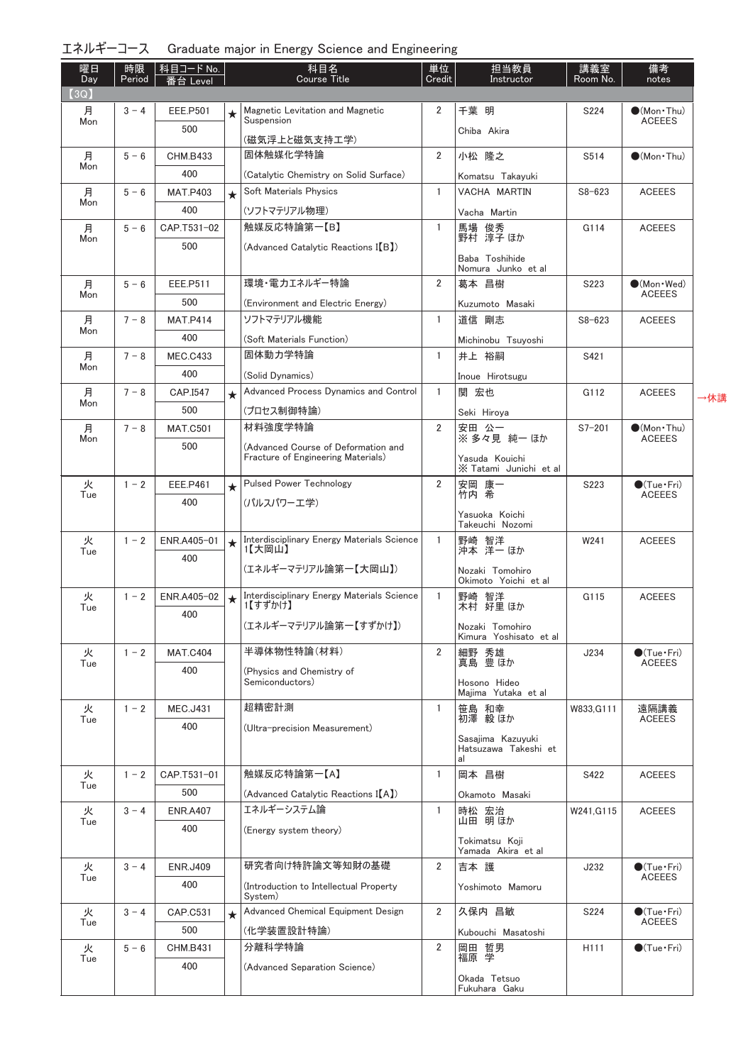| エネルギーコース  Graduate major in Energy Science and Engineering |  |
|------------------------------------------------------------|--|
|------------------------------------------------------------|--|

| 曜日<br>Day | 時限<br>Period | │ 科目コード No. │<br>番台 Level | 担当教員<br>科目名<br>単位<br><b>Course Title</b><br>Credit<br>Instructor |                                                   |                | 講義室<br>Room No.                          | 備考<br>notes |                                              |
|-----------|--------------|---------------------------|------------------------------------------------------------------|---------------------------------------------------|----------------|------------------------------------------|-------------|----------------------------------------------|
| (3Q)      |              |                           |                                                                  |                                                   |                |                                          |             |                                              |
| 月<br>Mon  | $3 - 4$      | <b>EEE.P501</b>           | ★                                                                | Magnetic Levitation and Magnetic<br>Suspension    | 2              | 千葉 明                                     | S224        | $\bullet$ (Mon · Thu)<br><b>ACEEES</b>       |
|           |              | 500                       |                                                                  | (磁気浮上と磁気支持工学)                                     |                | Chiba Akira                              |             |                                              |
| 月         | $5 - 6$      | <b>CHM.B433</b>           |                                                                  | 固体触媒化学特論                                          | 2              | 小松 隆之                                    | S514        | $\bullet$ (Mon $\cdot$ Thu)                  |
| Mon       |              | 400                       |                                                                  | (Catalytic Chemistry on Solid Surface)            |                |                                          |             |                                              |
| 月         | $5 - 6$      | <b>MAT.P403</b>           | $\star$                                                          | Soft Materials Physics                            | $\mathbf{1}$   | Komatsu Takayuki<br><b>VACHA MARTIN</b>  | $S8 - 623$  | <b>ACEEES</b>                                |
| Mon       |              | 400                       |                                                                  | (ソフトマテリアル物理)                                      |                | Vacha Martin                             |             |                                              |
| 月         | $5 - 6$      | CAP.T531-02               |                                                                  | 触媒反応特論第一【B】                                       | $\mathbf{1}$   |                                          | G114        | <b>ACEEES</b>                                |
| Mon       |              | 500                       |                                                                  | (Advanced Catalytic Reactions I(B))               |                | 馬場 俊秀<br>野村 淳子ほか                         |             |                                              |
|           |              |                           |                                                                  |                                                   |                | Baba Toshihide                           |             |                                              |
|           |              |                           |                                                                  | 環境・電力エネルギー特論                                      |                | Nomura Junko et al                       |             |                                              |
| 月<br>Mon  | $5 - 6$      | EEE.P511                  |                                                                  |                                                   | 2              | 葛本 昌樹                                    | S223        | $\bullet$ (Mon · Wed)<br><b>ACEEES</b>       |
|           |              | 500                       |                                                                  | (Environment and Electric Energy)                 |                | Kuzumoto Masaki                          |             |                                              |
| 月<br>Mon  | $7 - 8$      | <b>MAT.P414</b>           |                                                                  | ソフトマテリアル機能                                        | 1              | 道信 剛志                                    | $S8 - 623$  | <b>ACEEES</b>                                |
|           |              | 400                       |                                                                  | (Soft Materials Function)                         |                | Michinobu Tsuyoshi                       |             |                                              |
| 月<br>Mon  | $7 - 8$      | <b>MEC.C433</b>           |                                                                  | 固体動力学特論                                           | $\mathbf{1}$   | 井上 裕嗣                                    | S421        |                                              |
|           |              | 400                       |                                                                  | (Solid Dynamics)                                  |                | Inoue Hirotsugu                          |             |                                              |
| 月<br>Mon  | $7 - 8$      | CAP.I547                  | $\star$                                                          | Advanced Process Dynamics and Control             | $\mathbf{1}$   | 関 宏也                                     | G112        | <b>ACEEES</b>                                |
|           |              | 500                       |                                                                  | (プロセス制御特論)                                        |                | Seki Hiroya                              |             |                                              |
| 月<br>Mon  | $7 - 8$      | <b>MAT.C501</b>           |                                                                  | 材料強度学特論                                           | $\overline{2}$ | 安田 公一<br>※ 多々見 純一 ほか                     | $S7 - 201$  | $\bullet$ (Mon · Thu)<br><b>ACEEES</b>       |
|           |              | 500                       |                                                                  | (Advanced Course of Deformation and               |                |                                          |             |                                              |
|           |              |                           |                                                                  | Fracture of Engineering Materials)                |                | Yasuda Kouichi<br>X Tatami Junichi et al |             |                                              |
| 火         | $1 - 2$      | EEE.P461                  | $\star$                                                          | <b>Pulsed Power Technology</b>                    | $\overline{2}$ | 安岡 康一                                    | S223        | $\bullet$ (Tue · Fri)                        |
| Tue       |              | 400                       |                                                                  | (パルスパワーエ学)                                        |                | 竹内 希                                     |             | <b>ACEEES</b>                                |
|           |              |                           |                                                                  |                                                   |                | Yasuoka Koichi<br>Takeuchi Nozomi        |             |                                              |
| 火         | $1 - 2$      | ENR.A405-01               | $\star$                                                          | Interdisciplinary Energy Materials Science        | $\mathbf{1}$   | 野崎 智洋<br>沖本 洋一ほか                         | W241        | <b>ACEEES</b>                                |
| Tue       |              | 400                       |                                                                  | 1【大岡山】                                            |                |                                          |             |                                              |
|           |              |                           |                                                                  | (エネルギーマテリアル論第一【大岡山】)                              |                | Nozaki Tomohiro<br>Okimoto Yoichi et al  |             |                                              |
| 火         | $1 - 2$      | ENR.A405-02               |                                                                  | Interdisciplinary Energy Materials Science        | $\mathbf{1}$   | 野崎 智洋                                    | G115        | <b>ACEEES</b>                                |
| Tue       |              | 400                       | $\star$                                                          | 1【すずかけ】                                           |                | 木村 好里 ほか                                 |             |                                              |
|           |              |                           |                                                                  | (エネルギーマテリアル論第一【すずかけ】)                             |                | Nozaki Tomohiro                          |             |                                              |
|           | $1 - 2$      |                           |                                                                  | 半導体物性特論(材料)                                       | $\overline{2}$ | Kimura Yoshisato et al<br>細野 秀雄          |             | $\bigcirc$ (Tue · Fri)                       |
| 火<br>Tue  |              | <b>MAT.C404</b>           |                                                                  |                                                   |                | 真島 豊ほか                                   | J234        | <b>ACEEES</b>                                |
|           |              | 400                       |                                                                  | (Physics and Chemistry of<br>Semiconductors)      |                | Hosono Hideo                             |             |                                              |
|           |              |                           |                                                                  |                                                   |                | Majima Yutaka et al                      |             |                                              |
| 火<br>Tue  | $1 - 2$      | <b>MEC.J431</b>           |                                                                  | 超精密計測                                             | $\mathbf{1}$   | 笹島 和幸<br>初澤 毅 ほか                         | W833, G111  | 遠隔講義<br>ACEEES                               |
|           |              | 400                       |                                                                  | (Ultra-precision Measurement)                     |                | Sasajima Kazuyuki                        |             |                                              |
|           |              |                           |                                                                  |                                                   |                | Hatsuzawa Takeshi et                     |             |                                              |
| 火         | $1 - 2$      | CAP.T531-01               |                                                                  | 触媒反応特論第一【A】                                       | $\mathbf{1}$   | al<br>岡本 昌樹                              | S422        | <b>ACEEES</b>                                |
| Tue       |              | 500                       |                                                                  | (Advanced Catalytic Reactions I(A)                |                |                                          |             |                                              |
| 火         | $3 - 4$      | <b>ENR.A407</b>           |                                                                  | エネルギーシステム論                                        | $\mathbf{1}$   | Okamoto Masaki<br>時松 宏治                  | W241, G115  | <b>ACEEES</b>                                |
| Tue       |              | 400                       |                                                                  | (Energy system theory)                            |                | 山田 明ほか                                   |             |                                              |
|           |              |                           |                                                                  |                                                   |                | Tokimatsu Koji                           |             |                                              |
|           |              |                           |                                                                  |                                                   |                | Yamada Akira et al                       |             |                                              |
| 火<br>Tue  | $3 - 4$      | <b>ENR.J409</b>           |                                                                  | 研究者向け特許論文等知財の基礎                                   | 2              | 吉本 護                                     | J232        | $\bullet$ (Tue $\cdot$ Fri)<br><b>ACEEES</b> |
|           |              | 400                       |                                                                  | (Introduction to Intellectual Property<br>System) |                | Yoshimoto Mamoru                         |             |                                              |
| 火         | $3 - 4$      | CAP.C531                  | $\star$                                                          | Advanced Chemical Equipment Design                | $\overline{2}$ | 久保内 昌敏                                   | S224        | $\bullet$ (Tue $\cdot$ Fri)                  |
| Tue       |              | 500                       |                                                                  | (化学装置設計特論)                                        |                | Kubouchi Masatoshi                       |             | <b>ACEEES</b>                                |
| 火         | $5 - 6$      | <b>CHM.B431</b>           |                                                                  | 分離科学特論                                            | $\overline{2}$ | 岡田 哲男<br>福原 学                            | H111        | $\bullet$ (Tue · Fri)                        |
| Tue       |              | 400                       |                                                                  | (Advanced Separation Science)                     |                |                                          |             |                                              |
|           |              |                           |                                                                  |                                                   |                | Okada Tetsuo<br>Fukuhara Gaku            |             |                                              |

∤休講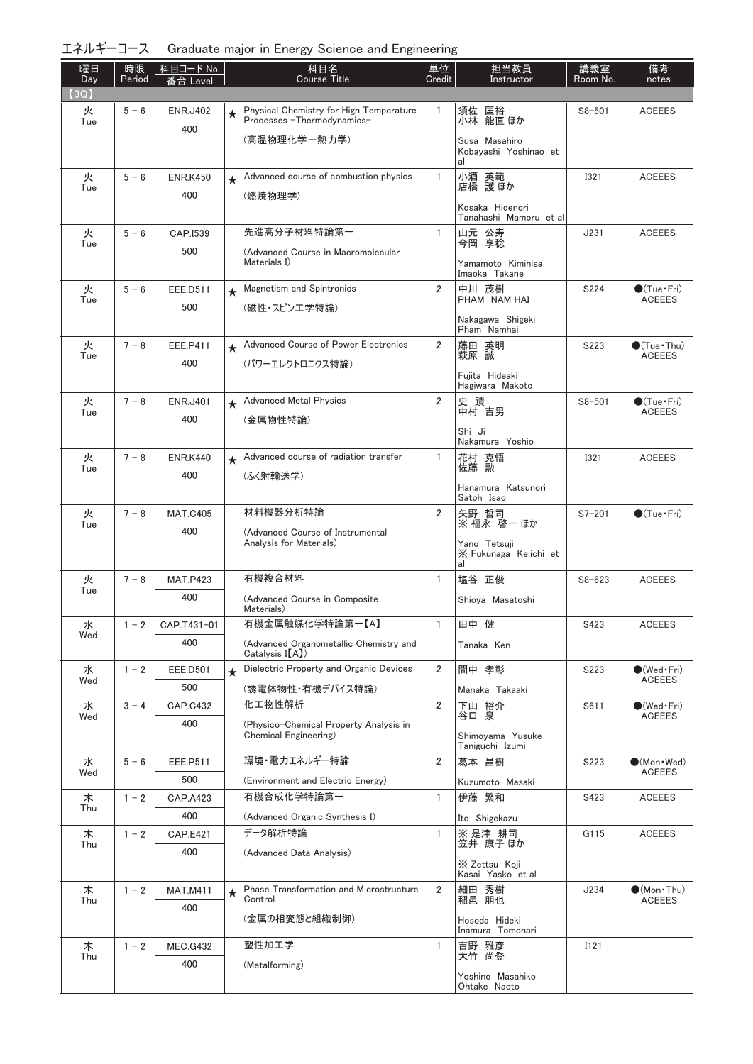| エネルギーコース Graduate major in Energy Science and Engineering |  |  |  |  |  |
|-----------------------------------------------------------|--|--|--|--|--|
|-----------------------------------------------------------|--|--|--|--|--|

| 曜日<br>Day | 時限<br>Period | │科目コードNo.<br>番台 Level  |         | 科目名<br><b>Course Title</b>                                             | 単位<br>Credit   | 担当教員<br>Instructor                        | 講義室<br>Room No.  | 備考<br>notes                                       |
|-----------|--------------|------------------------|---------|------------------------------------------------------------------------|----------------|-------------------------------------------|------------------|---------------------------------------------------|
| (3Q)      |              |                        |         |                                                                        |                |                                           |                  |                                                   |
| 火<br>Tue  | $5 - 6$      | <b>ENR.J402</b>        | $\star$ | Physical Chemistry for High Temperature<br>Processes - Thermodynamics- | 1              | 須佐 匡裕<br>小林 能直 ほか                         | $S8 - 501$       | <b>ACEEES</b>                                     |
|           |              | 400                    |         | (高温物理化学-熱力学)                                                           |                | Susa Masahiro                             |                  |                                                   |
|           |              |                        |         |                                                                        |                | Kobavashi Yoshinao et<br>al               |                  |                                                   |
| 火         | $5 - 6$      | <b>ENR.K450</b>        | $\star$ | Advanced course of combustion physics                                  | $\mathbf{1}$   | 小酒 英範<br>店橋 護ほか                           | <b>I321</b>      | <b>ACEEES</b>                                     |
| Tue       |              | 400                    |         | (燃焼物理学)                                                                |                |                                           |                  |                                                   |
|           |              |                        |         |                                                                        |                | Kosaka Hidenori<br>Tanahashi Mamoru et al |                  |                                                   |
| 火         | $5 - 6$      | CAP.I539               |         | 先進高分子材料特論第一                                                            | 1              | 山元 公寿<br>今岡 享稔                            | J231             | <b>ACEEES</b>                                     |
| Tue       |              | 500                    |         | (Advanced Course in Macromolecular                                     |                |                                           |                  |                                                   |
|           |              |                        |         | Materials I)                                                           |                | Yamamoto Kimihisa<br>Imaoka Takane        |                  |                                                   |
| 火<br>Tue  | $5 - 6$      | EEE.D511               | $\star$ | <b>Magnetism and Spintronics</b>                                       | $\overline{2}$ | 中川 茂樹<br>PHAM NAM HAI                     | S224             | $\bigcirc$ (Tue · Fri)<br><b>ACEEES</b>           |
|           |              | 500                    |         | (磁性・スピンエ学特論)                                                           |                | Nakagawa Shigeki                          |                  |                                                   |
|           |              |                        |         |                                                                        |                | Pham Namhai                               |                  |                                                   |
| 火<br>Tue  | $7 - 8$      | <b>EEE.P411</b>        | $\star$ | Advanced Course of Power Electronics                                   | $\overline{2}$ | 藤田 英明<br>萩原 誠                             | S <sub>223</sub> | $\bullet$ (Tue · Thu)<br><b>ACEEES</b>            |
|           |              | 400                    |         | (パワーエレクトロニクス特論)                                                        |                | Fujita Hideaki                            |                  |                                                   |
|           |              |                        |         | <b>Advanced Metal Physics</b>                                          | $\overline{2}$ | Hagiwara Makoto                           |                  |                                                   |
| 火<br>Tue  | $7 - 8$      | <b>ENR.J401</b><br>400 | $\star$ | (金属物性特論)                                                               |                | 史蹟<br>中村 吉男                               | $S8 - 501$       | $\bigcirc$ (Tue · Fri)<br><b>ACEEES</b>           |
|           |              |                        |         |                                                                        |                | Shi Ji                                    |                  |                                                   |
| 火         | $7 - 8$      | <b>ENR.K440</b>        | $\star$ | Advanced course of radiation transfer                                  | $\mathbf{1}$   | Nakamura Yoshio<br>花村 克悟                  | <b>I321</b>      | <b>ACEEES</b>                                     |
| Tue       |              | 400                    |         | (ふく射輸送学)                                                               |                | 佐藤 勲                                      |                  |                                                   |
|           |              |                        |         |                                                                        |                | Hanamura Katsunori<br>Satoh Isao          |                  |                                                   |
| 火         | $7 - 8$      | <b>MAT.C405</b>        |         | 材料機器分析特論                                                               | $\overline{2}$ | 矢野 哲司<br>※ 福永 啓一 ほか                       | $S7 - 201$       | $\bigcirc$ (Tue · Fri)                            |
| Tue       |              | 400                    |         | (Advanced Course of Instrumental                                       |                |                                           |                  |                                                   |
|           |              |                        |         | Analysis for Materials)                                                |                | Yano Tetsuji<br>X Fukunaga Keiichi et     |                  |                                                   |
| 火         | $7 - 8$      | <b>MAT.P423</b>        |         | 有機複合材料                                                                 | $\mathbf{1}$   | al<br>塩谷 正俊                               | $S8 - 623$       | <b>ACEEES</b>                                     |
| Tue       |              | 400                    |         | (Advanced Course in Composite                                          |                | Shioya Masatoshi                          |                  |                                                   |
|           |              |                        |         | Materials)                                                             |                |                                           |                  |                                                   |
| 水<br>Wed  | $1 - 2$      | CAP.T431-01<br>400     |         | 有機金属触媒化学特論第一【A】                                                        |                | 田中 健                                      | S423             | <b>ACEEES</b>                                     |
|           |              |                        |         | (Advanced Organometallic Chemistry and<br>Catalysis I(A)               |                | Tanaka Ken                                |                  |                                                   |
| 水<br>Wed  | $1 - 2$      | <b>EEE.D501</b>        | $\star$ | Dielectric Property and Organic Devices                                | 2              | 間中 孝彰                                     | S223             | $\bullet$ (Wed Fri)<br><b>ACEEES</b>              |
|           |              | 500                    |         | (誘電体物性・有機デバイス特論)                                                       |                | Manaka Takaaki                            |                  |                                                   |
| 水<br>Wed  | $3 - 4$      | <b>CAP.C432</b>        |         | 化工物性解析                                                                 | $\overline{2}$ | 下山 裕介<br>谷口 泉                             | S611             | $(\mathsf{Wed}\cdot\mathsf{Fr})$<br><b>ACEEES</b> |
|           |              | 400                    |         | (Physico-Chemical Property Analysis in<br>Chemical Engineering)        |                | Shimovama Yusuke                          |                  |                                                   |
| 水         | $5 - 6$      | EEE.P511               |         | 環境・電力エネルギー特論                                                           | $\overline{2}$ | Taniguchi Izumi<br>葛本 昌樹                  | S223             | $\bullet$ (Mon · Wed)                             |
| Wed       |              | 500                    |         | (Environment and Electric Energy)                                      |                |                                           |                  | <b>ACEEES</b>                                     |
| 木         | $1 - 2$      | <b>CAP.A423</b>        |         | 有機合成化学特論第一                                                             | $\mathbf{1}$   | Kuzumoto Masaki<br>伊藤 繁和                  | S423             | <b>ACEEES</b>                                     |
| Thu       |              | 400                    |         | (Advanced Organic Synthesis I)                                         |                | Ito Shigekazu                             |                  |                                                   |
| 木         | $1 - 2$      | <b>CAP.E421</b>        |         | データ解析特論                                                                | $\mathbf{1}$   | ※ 是津 耕司                                   | G115             | <b>ACEEES</b>                                     |
| Thu       |              | 400                    |         | (Advanced Data Analysis)                                               |                | 笠井 康子 ほか                                  |                  |                                                   |
|           |              |                        |         |                                                                        |                | X Zettsu Koji<br>Kasai Yasko et al        |                  |                                                   |
| 木<br>Thu  | $1 - 2$      | <b>MAT.M411</b>        | $\star$ | Phase Transformation and Microstructure<br>Control                     | $\overline{2}$ | 細田 秀樹<br>稲邑 朋也                            | J234             | $\bullet$ (Mon · Thu)<br><b>ACEEES</b>            |
|           |              | 400                    |         | (金属の相変態と組織制御)                                                          |                | Hosoda Hideki                             |                  |                                                   |
|           |              |                        |         |                                                                        |                | Inamura Tomonari                          |                  |                                                   |
| 木<br>Thu  | $1 - 2$      | <b>MEC.G432</b>        |         | 塑性加工学                                                                  | 1              | 吉野 雅彦<br>大竹 尚登                            | I121             |                                                   |
|           |              | 400                    |         | (Metalforming)                                                         |                | Yoshino Masahiko                          |                  |                                                   |
|           |              |                        |         |                                                                        |                | Ohtake Naoto                              |                  |                                                   |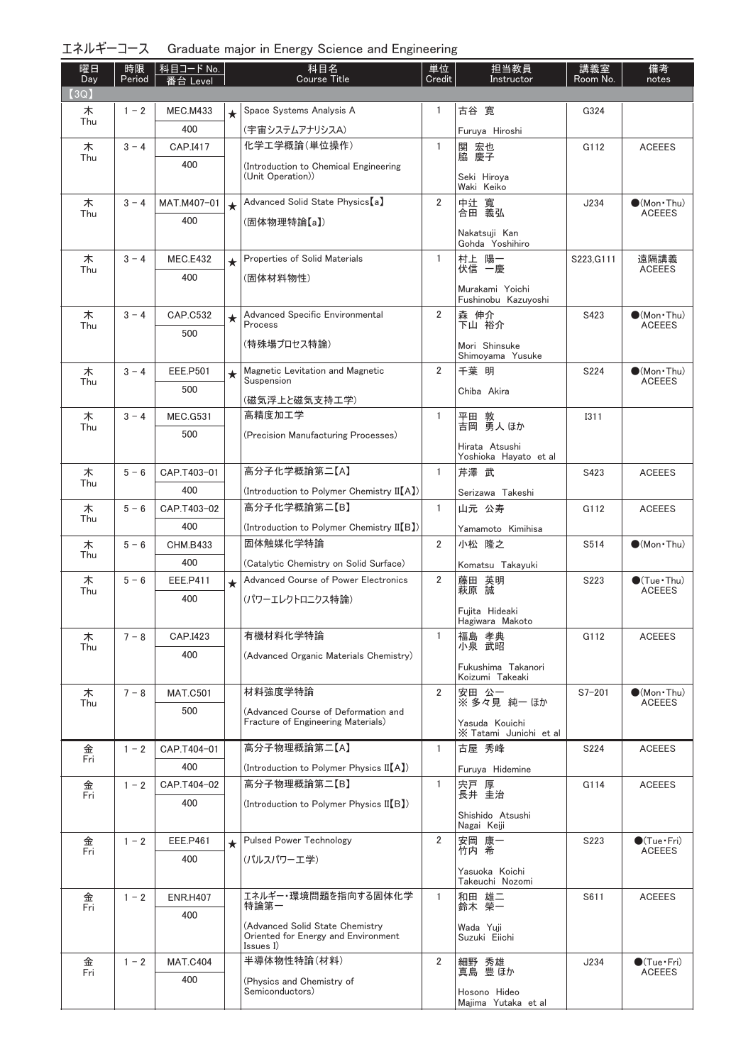|  | エネルギーコース Graduate major in Energy Science and Engineering |  |  |
|--|-----------------------------------------------------------|--|--|
|--|-----------------------------------------------------------|--|--|

| 曜日<br>Day | 時限<br>Period | │科目コード No.<br>番台 Level |         | 科目名<br><b>Course Title</b>                                                | 単位<br>Credit   | 担当教員<br>Instructor                     | 講義室<br>Room No. | 備考<br>notes                                  |
|-----------|--------------|------------------------|---------|---------------------------------------------------------------------------|----------------|----------------------------------------|-----------------|----------------------------------------------|
| (3Q)      |              |                        |         |                                                                           |                |                                        |                 |                                              |
| 木<br>Thu  | $1 - 2$      | <b>MEC.M433</b>        | $\star$ | Space Systems Analysis A                                                  | 1.             | 古谷 寛                                   | G324            |                                              |
|           |              | 400                    |         | (宇宙システムアナリシスA)<br>化学工学概論(単位操作)                                            |                | Furuya Hiroshi                         |                 |                                              |
| 木<br>Thu  | $3 - 4$      | CAP.I417<br>400        |         |                                                                           | $\mathbf{1}$   | 関 宏也<br>脇 慶子                           | G112            | <b>ACEEES</b>                                |
|           |              |                        |         | (Introduction to Chemical Engineering<br>(Unit Operation))                |                | Seki Hiroya                            |                 |                                              |
|           | $3 - 4$      |                        |         | Advanced Solid State Physics [a]                                          | $\overline{2}$ | Waki Keiko<br>中辻 寬                     | J234            | $\bullet$ (Mon · Thu)                        |
| 木<br>Thu  |              | MAT.M407-01<br>400     | $\star$ | (固体物理特論【a】)                                                               |                | 合田 義弘                                  |                 | <b>ACEEES</b>                                |
|           |              |                        |         | Nakatsuji Kan<br>Gohda Yoshihiro                                          |                |                                        |                 |                                              |
| 木         | $3 - 4$      | <b>MEC.E432</b>        | $\star$ | Properties of Solid Materials                                             | $\mathbf{1}$   | 村上 陽一                                  | S223, G111      | 遠隔講義                                         |
| Thu       |              | 400                    |         | (固体材料物性)                                                                  |                | 伏信 一慶                                  |                 | <b>ACEEES</b>                                |
|           |              |                        |         |                                                                           |                | Murakami Yoichi<br>Fushinobu Kazuyoshi |                 |                                              |
| 木         | $3 - 4$      | <b>CAP.C532</b>        | $\star$ | Advanced Specific Environmental<br><b>Process</b>                         | $\overline{2}$ | 森 伸介<br>下山 裕介                          | S423            | $\bullet$ (Mon•Thu)                          |
| Thu       |              | 500                    |         | (特殊場プロセス特論)                                                               |                |                                        |                 | <b>ACEEES</b>                                |
|           |              |                        |         |                                                                           |                | Mori Shinsuke<br>Shimoyama Yusuke      |                 |                                              |
| 木         | $3 - 4$      | <b>EEE.P501</b>        | $\star$ | Magnetic Levitation and Magnetic<br>Suspension                            | $\overline{2}$ | 千葉 明                                   | S224            | $\bullet$ (Mon · Thu)<br><b>ACEEES</b>       |
| Thu       |              | 500                    |         | (磁気浮上と磁気支持工学)                                                             |                | Chiba Akira                            |                 |                                              |
| 木         | $3 - 4$      | <b>MEC.G531</b>        |         | 高精度加工学                                                                    | $\mathbf{1}$   |                                        | <b>I311</b>     |                                              |
| Thu       |              | 500                    |         | (Precision Manufacturing Processes)                                       |                | 平田 敦<br>吉岡 勇人 ほか                       |                 |                                              |
|           |              |                        |         |                                                                           |                | Hirata Atsushi                         |                 |                                              |
| 木         | $5 - 6$      | CAP.T403-01            |         | 高分子化学概論第二【A】                                                              | $\mathbf{1}$   | Yoshioka Hayato et al<br>芹澤 武          | S423            | <b>ACEEES</b>                                |
| Thu       |              | 400                    |         | (Introduction to Polymer Chemistry II(A))                                 |                | Serizawa Takeshi                       |                 |                                              |
| 木         | $5 - 6$      | CAP.T403-02            |         | 高分子化学概論第二【B】                                                              | $\mathbf{1}$   | 山元 公寿                                  | G112            | <b>ACEEES</b>                                |
| Thu       |              | 400                    |         | (Introduction to Polymer Chemistry II[B])                                 |                | Yamamoto Kimihisa                      |                 |                                              |
| 木         | $5 - 6$      | <b>CHM.B433</b>        |         | 固体触媒化学特論                                                                  | $\overline{2}$ | 小松 隆之                                  | S514            | $\bullet$ (Mon · Thu)                        |
| Thu       |              | 400                    |         | (Catalytic Chemistry on Solid Surface)                                    |                | Komatsu Takayuki                       |                 |                                              |
| 木         | $5 - 6$      | EEE.P411               | $\star$ | <b>Advanced Course of Power Electronics</b>                               | $\overline{2}$ | 藤田 英明<br>萩原 誠                          | S223            | $\bullet$ (Tue $\cdot$ Thu)<br><b>ACEEES</b> |
| Thu       |              | 400                    |         | (パワーエレクトロニクス特論)                                                           |                |                                        |                 |                                              |
|           |              |                        |         |                                                                           |                | Fujita Hideaki<br>Hagiwara Makoto      |                 |                                              |
| 木<br>Thu  | $7 - 8$      | CAP.I423               |         | 有機材料化学特論                                                                  | $\mathbf{1}$   | 福島 孝典<br>小泉 武昭                         | G112            | <b>ACEEES</b>                                |
|           |              | 400                    |         | (Advanced Organic Materials Chemistry)                                    |                |                                        |                 |                                              |
|           |              |                        |         |                                                                           |                | Fukushima Takanori<br>Koizumi Takeaki  |                 |                                              |
| 木<br>Thu  | $7 - 8$      | <b>MAT.C501</b>        |         | 材料強度学特論                                                                   | $\overline{2}$ | 安田 公一<br>※ 多々見 純一 ほか                   | $S7 - 201$      | $\bullet$ (Mon · Thu)<br><b>ACEEES</b>       |
|           |              | 500                    |         | (Advanced Course of Deformation and<br>Fracture of Engineering Materials) |                | Yasuda Kouichi                         |                 |                                              |
|           |              |                        |         |                                                                           |                | X Tatami Junichi et al                 |                 |                                              |
| 金<br>Fri  | $1 - 2$      | CAP.T404-01            |         | 高分子物理概論第二【A】                                                              | $\mathbf{1}$   | 古屋 秀峰                                  | S224            | <b>ACEEES</b>                                |
|           |              | 400                    |         | (Introduction to Polymer Physics II(A))                                   |                | Furuya Hidemine                        |                 |                                              |
| 金<br>Fri  | $1 - 2$      | CAP.T404-02            |         | 高分子物理概論第二【B】                                                              | 1.             | 宍戸 厚<br>長井 圭治                          | G114            | <b>ACEEES</b>                                |
|           |              | 400                    |         | (Introduction to Polymer Physics II(B))                                   |                | Shishido Atsushi                       |                 |                                              |
|           |              |                        |         |                                                                           |                | Nagai Keiji                            |                 |                                              |
| 金<br>Fri  | $1 - 2$      | <b>EEE.P461</b>        | $\star$ | <b>Pulsed Power Technology</b>                                            | $\overline{2}$ | 安岡 康一<br>竹内 希                          | S223            | $\bullet$ (Tue $\cdot$ Fri)<br><b>ACEEES</b> |
|           |              | 400                    |         | (パルスパワーエ学)                                                                |                | Yasuoka Koichi                         |                 |                                              |
|           |              |                        |         | エネルギー・環境問題を指向する固体化学                                                       | $\mathbf{1}$   | Takeuchi Nozomi                        |                 |                                              |
| 金<br>Fri  | $1 - 2$      | <b>ENR.H407</b><br>400 |         | 特論第一                                                                      |                | 和田 雄二<br>鈴木 榮一                         | S611            | <b>ACEEES</b>                                |
|           |              |                        |         | (Advanced Solid State Chemistry                                           |                | Wada Yuji                              |                 |                                              |
|           |              |                        |         | Oriented for Energy and Environment<br>Issues I)                          |                | Suzuki Eiichi                          |                 |                                              |
| 金<br>Fri  | $1 - 2$      | <b>MAT.C404</b>        |         | 半導体物性特論(材料)                                                               | 2              | 細野 秀雄<br>真島 豊ほか                        | J234            | $\bullet$ (Tue•Fri)<br><b>ACEEES</b>         |
|           |              | 400                    |         | (Physics and Chemistry of<br>Semiconductors)                              |                |                                        |                 |                                              |
|           |              |                        |         |                                                                           |                | Hosono Hideo<br>Majima Yutaka et al    |                 |                                              |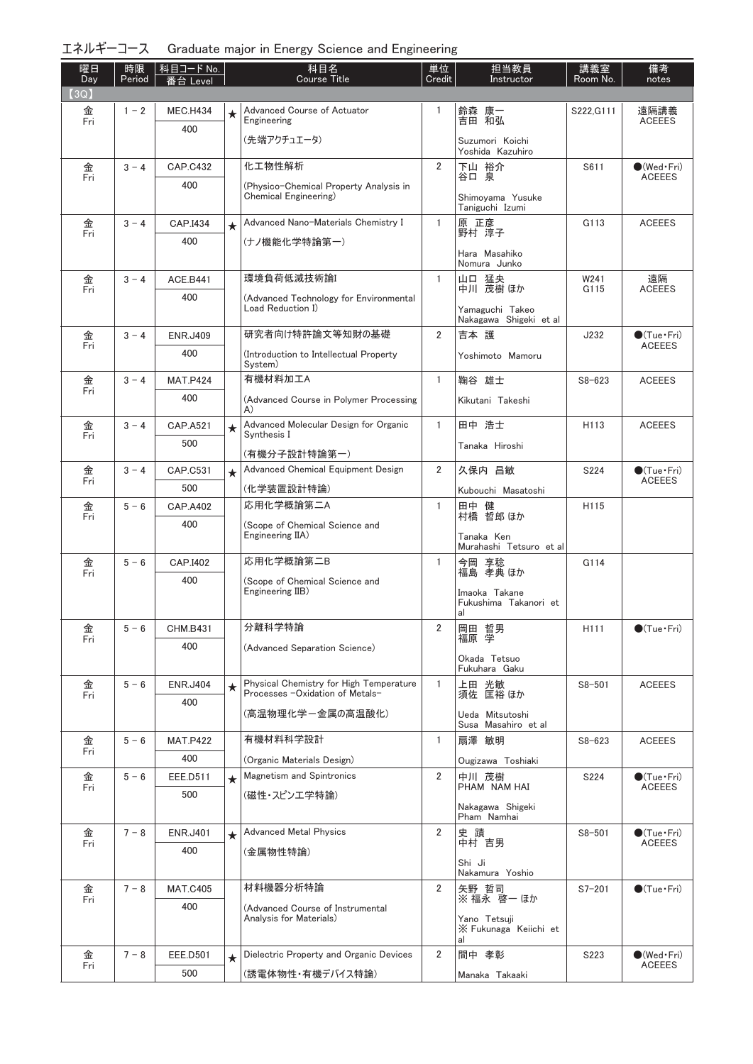| エネルギーコース Graduate major in Energy Science and Engineering |  |  |  |  |  |  |
|-----------------------------------------------------------|--|--|--|--|--|--|
|-----------------------------------------------------------|--|--|--|--|--|--|

| 曜日<br>Day | 時限<br>Period | │科目コード No. │<br>番台 Level |         | 科目名<br><b>Course Title</b>                                                 | 単位<br>Credit   | 担当教員<br>Instructor                           | 講義室<br>Room No. | 備考<br>notes                          |
|-----------|--------------|--------------------------|---------|----------------------------------------------------------------------------|----------------|----------------------------------------------|-----------------|--------------------------------------|
| (3Q)      |              |                          |         |                                                                            |                |                                              |                 |                                      |
| 金<br>Fri  | $1 - 2$      | <b>MEC.H434</b>          | ★       | Advanced Course of Actuator<br>Engineering                                 | 1              | 鈴森 康一<br>吉田 和弘                               | S222, G111      | 遠隔講義<br><b>ACEEES</b>                |
|           |              | 400                      |         | (先端アクチュエータ)                                                                |                | Suzumori Koichi                              |                 |                                      |
| 金         | $3 - 4$      | <b>CAP.C432</b>          |         | 化工物性解析                                                                     | $\overline{2}$ | Yoshida Kazuhiro<br>下山 裕介                    | S611            | $\bullet$ (Wed Fri)                  |
| Fri       |              | 400                      |         | (Physico-Chemical Property Analysis in                                     |                | 谷口 泉                                         |                 | <b>ACEEES</b>                        |
|           |              |                          |         | Chemical Engineering)                                                      |                | Shimovama Yusuke<br>Taniguchi Izumi          |                 |                                      |
| 金<br>Fri  | $3 - 4$      | CAP.I434                 | $\star$ | Advanced Nano-Materials Chemistry I                                        | 1              | 原 正彦<br>野村 淳子                                | G113            | <b>ACEEES</b>                        |
|           |              | 400                      |         | (ナノ機能化学特論第一)                                                               |                | Hara Masahiko                                |                 |                                      |
|           |              |                          |         | Nomura Junko                                                               |                |                                              |                 |                                      |
| 金<br>Fri  | $3 - 4$      | <b>ACE.B441</b>          |         | 環境負荷低減技術論                                                                  | 1              | 山口 猛央<br>中川 茂樹ほか                             | W241<br>G115    | 遠隔<br><b>ACEEES</b>                  |
|           |              | 400                      |         | (Advanced Technology for Environmental<br>Load Reduction I)                |                | Yamaguchi Takeo<br>Nakagawa Shigeki et al    |                 |                                      |
| 金         | $3 - 4$      | <b>ENR.J409</b>          |         | 研究者向け特許論文等知財の基礎                                                            | $\overline{2}$ | 吉本 護                                         | J232            | $\bullet$ (Tue $\cdot$ Fri)          |
| Fri       |              | 400                      |         | (Introduction to Intellectual Property<br>System)                          |                | Yoshimoto Mamoru                             |                 | <b>ACEEES</b>                        |
| 金         | $3 - 4$      | <b>MAT.P424</b>          |         | 有機材料加工A                                                                    | 1              | 鞠谷 雄士                                        | $S8 - 623$      | <b>ACEEES</b>                        |
| Fri       |              | 400                      |         | (Advanced Course in Polymer Processing<br>A)                               |                | Kikutani Takeshi                             |                 |                                      |
| 金         | $3 - 4$      | <b>CAP.A521</b>          | $\star$ | Advanced Molecular Design for Organic<br>Synthesis I                       | 1              | 田中 浩士                                        | H113            | <b>ACEEES</b>                        |
| Fri       |              | 500                      |         | (有機分子設計特論第一)                                                               |                | Tanaka Hiroshi                               |                 |                                      |
| 金         | $3 - 4$      | CAP.C531                 | $\star$ | Advanced Chemical Equipment Design                                         | 2              | 久保内 昌敏                                       | S224            | $\bullet$ (Tue $\cdot$ Fri)          |
| Fri       |              | 500                      |         | (化学装置設計特論)                                                                 |                | Kubouchi Masatoshi                           |                 | <b>ACEEES</b>                        |
| 金<br>Fri  | $5 - 6$      | <b>CAP.A402</b>          |         | 応用化学概論第二A                                                                  | 1              | 健<br>田中                                      | H115            |                                      |
|           |              | 400                      |         | (Scope of Chemical Science and<br>Engineering IIA)                         |                | 村橋 哲郎 ほか<br>Tanaka Ken                       |                 |                                      |
|           |              |                          |         |                                                                            |                | Murahashi Tetsuro et al                      |                 |                                      |
| 金<br>Fri  | $5 - 6$      | CAP.I402<br>400          |         | 応用化学概論第二B                                                                  | $\mathbf{1}$   | 今岡 享稔<br>福島 孝典 ほか                            | G114            |                                      |
|           |              |                          |         | (Scope of Chemical Science and<br>Engineering IIB)                         |                | Imaoka Takane<br>Fukushima Takanori et<br>al |                 |                                      |
| 金         | $5 - 6$      | <b>CHM.B431</b>          |         | 分離科学特論                                                                     | 2              | 岡田 哲男                                        | H111            | $\bullet$ (Tue $\cdot$ Fri)          |
| Fri       |              | 400                      |         | (Advanced Separation Science)                                              |                | 学<br>福原                                      |                 |                                      |
|           |              |                          |         |                                                                            |                | Okada Tetsuo<br>Fukuhara Gaku                |                 |                                      |
| 金<br>Fri  | $5 - 6$      | <b>ENR.J404</b>          | $\star$ | Physical Chemistry for High Temperature<br>Processes -Oxidation of Metals- | $\mathbf{1}$   | 上田 光敏<br>須佐 匡裕 ほか                            | $S8 - 501$      | <b>ACEEES</b>                        |
|           |              | 400                      |         | (高温物理化学-金属の高温酸化)                                                           |                | Ueda Mitsutoshi<br>Susa Masahiro et al       |                 |                                      |
| 金         | $5 - 6$      | <b>MAT.P422</b>          |         | 有機材料科学設計                                                                   | 1              | 扇澤 敏明                                        | $S8 - 623$      | <b>ACEEES</b>                        |
| Fri       |              | 400                      |         | (Organic Materials Design)                                                 |                | Ougizawa Toshiaki                            |                 |                                      |
| 金<br>Fri  | $5 - 6$      | EEE.D511                 | $\star$ | Magnetism and Spintronics                                                  | $\overline{2}$ | 中川 茂樹<br>PHAM NAM HAI                        | S224            | $\bullet$ (Tue•Fri)<br><b>ACEEES</b> |
|           |              | 500                      |         | (磁性・スピンエ学特論)                                                               |                | Nakagawa Shigeki<br>Pham Namhai              |                 |                                      |
|           | $7 - 8$      | <b>ENR.J401</b>          | $\star$ | <b>Advanced Metal Physics</b>                                              | $\overline{2}$ | 史蹟                                           | $S8 - 501$      | $\bullet$ (Tue $\cdot$ Fri)          |
| 金<br>Fri  |              | 400                      |         | (金属物性特論)                                                                   |                | 中村 吉男                                        |                 | <b>ACEEES</b>                        |
|           |              |                          |         |                                                                            |                | Shi Ji<br>Nakamura Yoshio                    |                 |                                      |
| 金         | $7 - 8$      | <b>MAT.C405</b>          |         | 材料機器分析特論                                                                   | $\overline{2}$ | 矢野 哲司                                        | $S7 - 201$      | $\bullet$ (Tue $\cdot$ Fri)          |
| Fri       |              | 400                      |         | (Advanced Course of Instrumental                                           |                | ※ 福永 啓一 ほか                                   |                 |                                      |
|           |              |                          |         | Analysis for Materials)                                                    |                | Yano Tetsuji<br>X Fukunaga Keiichi et<br>al  |                 |                                      |
| 金         | $7 - 8$      | EEE.D501                 | $\star$ | Dielectric Property and Organic Devices                                    | $\overline{2}$ | 間中 孝彰                                        | S223            | $\bullet$ (Wed Fri)                  |
| Fri       |              | 500                      |         | (誘電体物性・有機デバイス特論)                                                           |                | Manaka Takaaki                               |                 | <b>ACEEES</b>                        |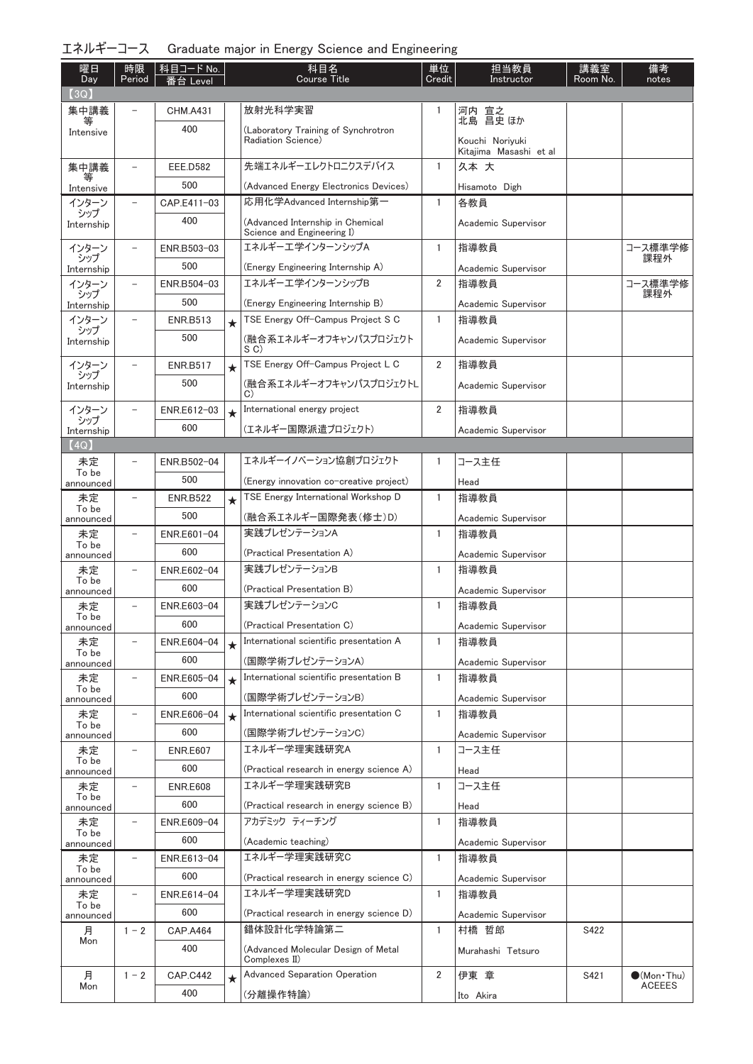| エネルギーコース Graduate major in Energy Science and Engineering |  |  |  |  |  |  |
|-----------------------------------------------------------|--|--|--|--|--|--|
|-----------------------------------------------------------|--|--|--|--|--|--|

| 曜日<br>Day          | 時限<br>Period             | 科目コード No.<br>番台 Level |         | 科目名<br><b>Course Title</b>                                                     | 単位<br>Credit   | 担当教員<br>Instructor                        | 講義室<br>Room No. | 備考<br>notes           |
|--------------------|--------------------------|-----------------------|---------|--------------------------------------------------------------------------------|----------------|-------------------------------------------|-----------------|-----------------------|
| (3Q)               |                          |                       |         |                                                                                |                |                                           |                 |                       |
| 集中講義               |                          | <b>CHM.A431</b>       |         | 放射光科学実習                                                                        | 1              | 河内 宣之<br>北島 昌史 ほか                         |                 |                       |
| Intensive          |                          | 400                   |         | (Laboratory Training of Synchrotron                                            |                |                                           |                 |                       |
|                    |                          |                       |         | Radiation Science)                                                             |                | Kouchi Noriyuki<br>Kitajima Masashi et al |                 |                       |
| 集中講義               | $\overline{\phantom{0}}$ | <b>EEE.D582</b>       |         | 先端エネルギーエレクトロニクスデバイス                                                            | $\mathbf{1}$   | 久本 大                                      |                 |                       |
| 等<br>Intensive     |                          | 500                   |         | (Advanced Energy Electronics Devices)                                          |                | Hisamoto Digh                             |                 |                       |
| インターン              | $\overline{\phantom{0}}$ | CAP.E411-03           |         | 応用化学Advanced Internship第一                                                      | $\mathbf{1}$   | 各教員                                       |                 |                       |
| シップ<br>Internship  |                          | 400                   |         | (Advanced Internship in Chemical                                               |                | Academic Supervisor                       |                 |                       |
|                    |                          |                       |         | Science and Engineering I)                                                     |                |                                           |                 |                       |
| インターン<br>シップ       | $\qquad \qquad -$        | ENR.B503-03           |         | エネルギーエ学インターンシップA                                                               | $\mathbf{1}$   | 指導教員                                      |                 | コース標準学修<br>課程外        |
| Internship         |                          | 500                   |         | (Energy Engineering Internship A)                                              |                | Academic Supervisor                       |                 |                       |
| インターン<br>シップ       |                          | ENR.B504-03           |         | エネルギーエ学インターンシップB                                                               | $\overline{2}$ | 指導教員                                      |                 | コース標準学修<br>課程外        |
| Internship         |                          | 500                   |         | (Energy Engineering Internship B)                                              |                | Academic Supervisor                       |                 |                       |
| インターン<br>シップ       |                          | <b>ENR.B513</b>       | $\star$ | TSE Energy Off-Campus Project S C                                              | $\mathbf{1}$   | 指導教員                                      |                 |                       |
| Internship         |                          | 500                   |         | (融合系エネルギーオフキャンパスプロジェクト<br>S C)                                                 |                | Academic Supervisor                       |                 |                       |
| インターン              |                          | <b>ENR.B517</b>       | $\star$ | TSE Energy Off-Campus Project L C                                              | $\overline{2}$ | 指導教員                                      |                 |                       |
| シップ<br>Internship  |                          | 500                   |         | (融合系エネルギーオフキャンパスプロジェクトL                                                        |                | Academic Supervisor                       |                 |                       |
|                    |                          |                       |         | C)                                                                             | 2              |                                           |                 |                       |
| インターン<br>シップ       |                          | ENR.E612-03           | $\star$ | International energy project                                                   |                | 指導教員                                      |                 |                       |
| Internship<br>(4Q) |                          | 600                   |         | (エネルギー国際派遣プロジェクト)                                                              |                | Academic Supervisor                       |                 |                       |
| 未定                 |                          | ENR.B502-04           |         | エネルギーイノベーション協創プロジェクト                                                           | 1              | コース主任                                     |                 |                       |
| To be              |                          | 500                   |         |                                                                                |                |                                           |                 |                       |
| announced<br>未定    |                          | <b>ENR.B522</b>       |         | (Energy innovation co-creative project)<br>TSE Energy International Workshop D | $\mathbf{1}$   | Head<br>指導教員                              |                 |                       |
| To be              |                          | 500                   | $\star$ |                                                                                |                |                                           |                 |                       |
| announced          |                          |                       |         | (融合系エネルギー国際発表(修士)D)<br>実践プレゼンテーションA                                            | $\mathbf{1}$   | Academic Supervisor                       |                 |                       |
| 未定<br>To be        |                          | ENR.E601-04           |         |                                                                                |                | 指導教員                                      |                 |                       |
| announced          |                          | 600                   |         | (Practical Presentation A)<br>実践プレゼンテーションB                                     |                | Academic Supervisor                       |                 |                       |
| 未定<br>To be        |                          | ENR.E602-04           |         |                                                                                | $\mathbf{1}$   | 指導教員                                      |                 |                       |
| announced          |                          | 600                   |         | (Practical Presentation B)<br>実践プレゼンテーションC                                     |                | Academic Supervisor                       |                 |                       |
| 未定<br>To be        | $\overline{\phantom{0}}$ | ENR.E603-04           |         |                                                                                | $\mathbf{1}$   | 指導教員                                      |                 |                       |
| announced          |                          | 600                   |         | (Practical Presentation C)                                                     |                | Academic Supervisor                       |                 |                       |
| 未定<br>To be        | $\qquad \qquad -$        | ENR.E604-04           | $\star$ | International scientific presentation A                                        | $\mathbf{1}$   | 指導教員                                      |                 |                       |
| announced          |                          | 600                   |         | (国際学術プレゼンテーションA)                                                               |                | Academic Supervisor                       |                 |                       |
| 未定<br>To be        | -                        | ENR.E605-04           | $\star$ | International scientific presentation B                                        | 1              | 指導教員                                      |                 |                       |
| announced          |                          | 600                   |         | (国際学術プレゼンテーションB)                                                               |                | Academic Supervisor                       |                 |                       |
| 未定<br>To be        |                          | ENR.E606-04           | $\star$ | International scientific presentation C                                        | $\mathbf{1}$   | 指導教員                                      |                 |                       |
| announced          |                          | 600                   |         | (国際学術プレゼンテーションC)                                                               |                | Academic Supervisor                       |                 |                       |
| 未定<br>To be        | $\qquad \qquad -$        | <b>ENR.E607</b>       |         | エネルギー学理実践研究A                                                                   | 1              | コース主任                                     |                 |                       |
| announced          |                          | 600                   |         | (Practical research in energy science A)                                       |                | Head                                      |                 |                       |
| 未定<br>To be        | $\qquad \qquad -$        | <b>ENR.E608</b>       |         | エネルギー学理実践研究B                                                                   | 1              | コース主任                                     |                 |                       |
| announced          |                          | 600                   |         | (Practical research in energy science B)                                       |                | Head                                      |                 |                       |
| 未定<br>To be        |                          | ENR.E609-04           |         | アカデミック ティーチング                                                                  | 1              | 指導教員                                      |                 |                       |
| announced          |                          | 600                   |         | (Academic teaching)                                                            |                | Academic Supervisor                       |                 |                       |
| 未定<br>To be        |                          | ENR.E613-04           |         | エネルギー学理実践研究C                                                                   | $\mathbf{1}$   | 指導教員                                      |                 |                       |
| announced          |                          | 600                   |         | (Practical research in energy science C)                                       |                | Academic Supervisor                       |                 |                       |
| 未定<br>To be        | $\overline{\phantom{a}}$ | ENR.E614-04           |         | エネルギー学理実践研究D                                                                   | $\mathbf{1}$   | 指導教員                                      |                 |                       |
| announced          |                          | 600                   |         | (Practical research in energy science D)                                       |                | Academic Supervisor                       |                 |                       |
| 月<br>Mon           | $1 - 2$                  | <b>CAP.A464</b>       |         | 錯体設計化学特論第二                                                                     | $\mathbf{1}$   | 村橋 哲郎                                     | S422            |                       |
|                    |                          | 400                   |         | (Advanced Molecular Design of Metal<br>Complexes II)                           |                | Murahashi Tetsuro                         |                 |                       |
| 月                  | $1 - 2$                  | <b>CAP.C442</b>       | $\star$ | <b>Advanced Separation Operation</b>                                           | 2              | 伊東 章                                      | S421            | $\bullet$ (Mon · Thu) |
| Mon                |                          | 400                   |         | (分離操作特論)                                                                       |                | Ito Akira                                 |                 | <b>ACEEES</b>         |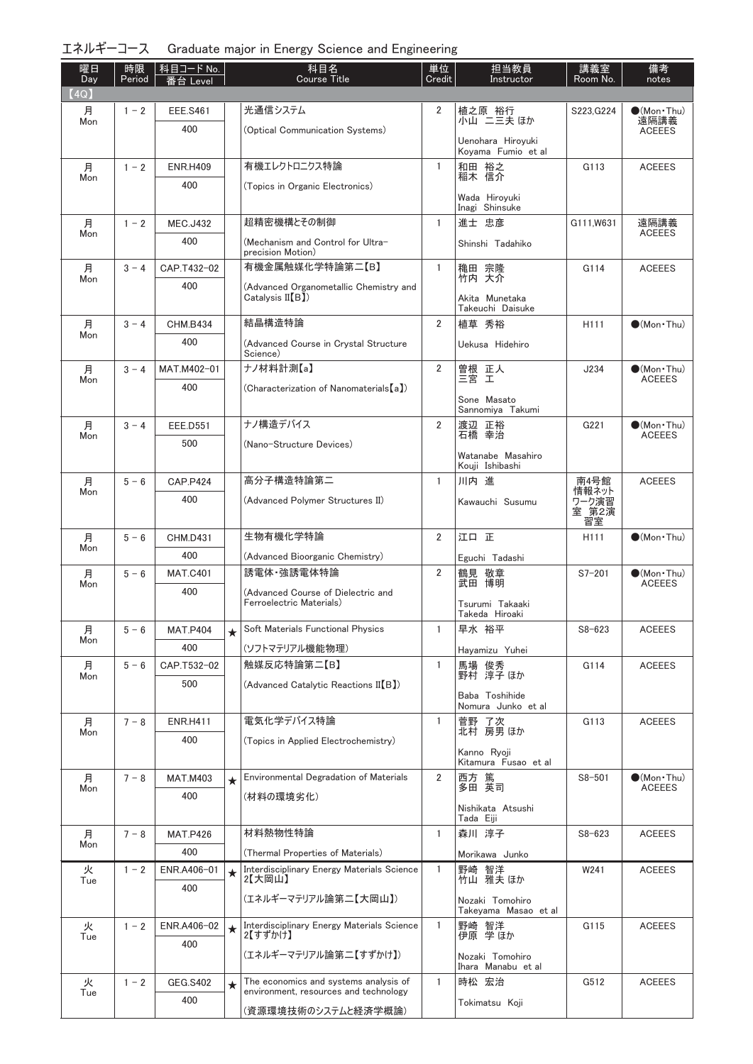| エネルギーコース Graduate major in Energy Science and Engineering |  |  |  |  |  |  |
|-----------------------------------------------------------|--|--|--|--|--|--|
|-----------------------------------------------------------|--|--|--|--|--|--|

| 曜日<br>Day | 時限<br>Period | │科目コード No.<br>番台 Level |         | 科目名<br><b>Course Title</b>                                                     | 単位<br>Credit   | 担当教員<br>Instructor                      | 講義室<br>Room No.  | 備考<br>notes                            |
|-----------|--------------|------------------------|---------|--------------------------------------------------------------------------------|----------------|-----------------------------------------|------------------|----------------------------------------|
| (4Q)      |              |                        |         |                                                                                |                |                                         |                  |                                        |
| 月<br>Mon  | $1 - 2$      | <b>EEE.S461</b>        |         | 光通信システム                                                                        | 2              | 植之原 裕行<br>小山 ニ三夫 ほか                     | S223, G224       | $\bullet$ (Mon $\cdot$ Thu)<br>遠隔講義    |
|           |              | 400                    |         | (Optical Communication Systems)                                                |                | Uenohara Hiroyuki<br>Koyama Fumio et al |                  | <b>ACEEES</b>                          |
| 月         | $1 - 2$      | <b>ENR.H409</b>        |         | 有機エレクトロニクス特論                                                                   | $\mathbf{1}$   | 和田 裕之                                   | G113             | <b>ACEEES</b>                          |
| Mon       |              | 400                    |         | (Topics in Organic Electronics)                                                |                | 稲木 信介                                   |                  |                                        |
|           |              |                        |         |                                                                                |                | Wada Hiroyuki<br>Inagi Shinsuke         |                  |                                        |
| 月<br>Mon  | $1 - 2$      | <b>MEC.J432</b>        |         | 超精密機構とその制御                                                                     | $\mathbf{1}$   | 進士 忠彦                                   | G111.W631        | 遠隔講義<br><b>ACEEES</b>                  |
|           |              | 400                    |         | (Mechanism and Control for Ultra-<br>precision Motion)                         |                | Shinshi Tadahiko                        |                  |                                        |
| 月<br>Mon  | $3 - 4$      | CAP.T432-02            |         | 有機金属触媒化学特論第二【B】                                                                | $\mathbf{1}$   | 穐田 宗隆<br>竹内 大介                          | G114             | <b>ACEEES</b>                          |
|           |              | 400                    |         | (Advanced Organometallic Chemistry and<br>Catalysis II (B)                     |                | Akita Munetaka<br>Takeuchi Daisuke      |                  |                                        |
| 月         | $3 - 4$      | <b>CHM.B434</b>        |         | 結晶構造特論                                                                         | $\overline{2}$ | 植草 秀裕                                   | H <sub>111</sub> | $\bullet$ (Mon · Thu)                  |
| Mon       |              | 400                    |         | (Advanced Course in Crystal Structure<br>Science)                              |                | Uekusa Hidehiro                         |                  |                                        |
| 月         | $3 - 4$      | MAT.M402-01            |         | ナノ材料計測【a】                                                                      | 2              | 曽根 正人<br>三宮 工                           | J234             | $\bullet$ (Mon · Thu)                  |
| Mon       |              | 400                    |         | (Characterization of Nanomaterials[a])                                         |                |                                         |                  | <b>ACEEES</b>                          |
|           |              |                        |         |                                                                                |                | Sone Masato<br>Sannomiya Takumi         |                  |                                        |
| 月<br>Mon  | $3 - 4$      | <b>EEE.D551</b>        |         | ナノ構造デバイス                                                                       | 2              | 渡辺 正裕<br>石橋 幸治                          | G221             | $\bullet$ (Mon · Thu)<br><b>ACEEES</b> |
|           |              | 500                    |         | (Nano-Structure Devices)                                                       |                | Watanabe Masahiro<br>Kouji Ishibashi    |                  |                                        |
| 月         | $5 - 6$      | <b>CAP.P424</b>        |         | 高分子構造特論第二                                                                      | $\mathbf{1}$   | 川内 進                                    | 南4号館             | <b>ACEEES</b>                          |
| Mon       |              | 400                    |         | (Advanced Polymer Structures II)                                               |                | Kawauchi Susumu                         | 情報ネット<br>ワーク演習   |                                        |
|           |              |                        |         |                                                                                |                |                                         | 室 第2演<br>習室      |                                        |
| 月         | $5 - 6$      | <b>CHM.D431</b>        |         | 生物有機化学特論                                                                       | $\overline{2}$ | 江口正                                     | H <sub>111</sub> | $\bigcirc$ (Mon · Thu)                 |
| Mon       |              | 400                    |         | (Advanced Bioorganic Chemistry)                                                |                | Eguchi Tadashi                          |                  |                                        |
| 月         | $5 - 6$      | <b>MAT.C401</b>        |         | 誘電体·強誘電体特論                                                                     | $\overline{2}$ | 鶴見 敬章                                   | $S7 - 201$       | $\bullet$ (Mon · Thu)                  |
| Mon       |              | 400                    |         | (Advanced Course of Dielectric and                                             |                | 武田 博明                                   |                  | <b>ACEEES</b>                          |
|           |              |                        |         | Ferroelectric Materials)                                                       |                | Tsurumi Takaaki<br>Takeda Hiroaki       |                  |                                        |
| 月<br>Mon  | $5 - 6$      | <b>MAT.P404</b>        | $\star$ | Soft Materials Functional Physics                                              | $\mathbf{1}$   | 早水 裕平                                   | $S8 - 623$       | <b>ACEEES</b>                          |
|           |              | 400                    |         | (ソフトマテリアル機能物理)                                                                 |                | Hayamizu Yuhei                          |                  |                                        |
| 月<br>Mon  | $5 - 6$      | CAP.T532-02            |         | 触媒反応特論第二【B】                                                                    | $\mathbf{1}$   | 馬場 俊秀<br>野村 淳子ほか                        | G114             | <b>ACEEES</b>                          |
|           |              | 500                    |         | (Advanced Catalytic Reactions II(B))                                           |                | Baba Toshihide                          |                  |                                        |
|           |              |                        |         |                                                                                |                | Nomura Junko et al                      |                  |                                        |
| 月<br>Mon  | $7 - 8$      | <b>ENR.H411</b>        |         | 電気化学デバイス特論                                                                     | $\mathbf{1}$   | 菅野 了次<br>北村 房男ほか                        | G113             | <b>ACEEES</b>                          |
|           |              | 400                    |         | (Topics in Applied Electrochemistry)                                           |                | Kanno Ryoji<br>Kitamura Fusao et al     |                  |                                        |
| 月         | $7 - 8$      | <b>MAT.M403</b>        | $\star$ | Environmental Degradation of Materials                                         | 2              | 西方 篤                                    | $S8 - 501$       | $\bullet$ (Mon · Thu)                  |
| Mon       |              | 400                    |         | (材料の環境劣化)                                                                      |                | 多田 英司                                   |                  | <b>ACEEES</b>                          |
|           |              |                        |         |                                                                                |                | Nishikata Atsushi<br>Tada Eiji          |                  |                                        |
| 月<br>Mon  | $7 - 8$      | <b>MAT.P426</b>        |         | 材料熱物性特論                                                                        | $\mathbf{1}$   | 森川 淳子                                   | $S8 - 623$       | <b>ACEEES</b>                          |
|           |              | 400                    |         | (Thermal Properties of Materials)                                              |                | Morikawa Junko                          |                  |                                        |
| 火<br>Tue  | $1 - 2$      | ENR.A406-01            | $\star$ | Interdisciplinary Energy Materials Science<br>2【大岡山】                           | $\mathbf{1}$   | 野崎 智洋<br>竹山 雅夫 ほか                       | W241             | <b>ACEEES</b>                          |
|           |              | 400                    |         | (エネルギーマテリアル論第二【大岡山】)                                                           |                | Nozaki Tomohiro<br>Takeyama Masao et al |                  |                                        |
| 火         | $1 - 2$      | ENR.A406-02            | $\star$ | Interdisciplinary Energy Materials Science<br>2【すずかけ】                          | $\mathbf{1}$   | 野崎 智洋<br>伊原 学ほか                         | G115             | <b>ACEEES</b>                          |
| Tue       |              | 400                    |         | (エネルギーマテリアル論第二【すずかけ】)                                                          |                | Nozaki Tomohiro                         |                  |                                        |
|           |              |                        |         |                                                                                |                | Ihara Manabu et al                      |                  |                                        |
| 火<br>Tue  | $1 - 2$      | <b>GEG.S402</b>        | ★       | The economics and systems analysis of<br>environment, resources and technology | 1              | 時松 宏治                                   | G512             | <b>ACEEES</b>                          |
|           |              | 400                    |         | (資源環境技術のシステムと経済学概論)                                                            |                | Tokimatsu Koji                          |                  |                                        |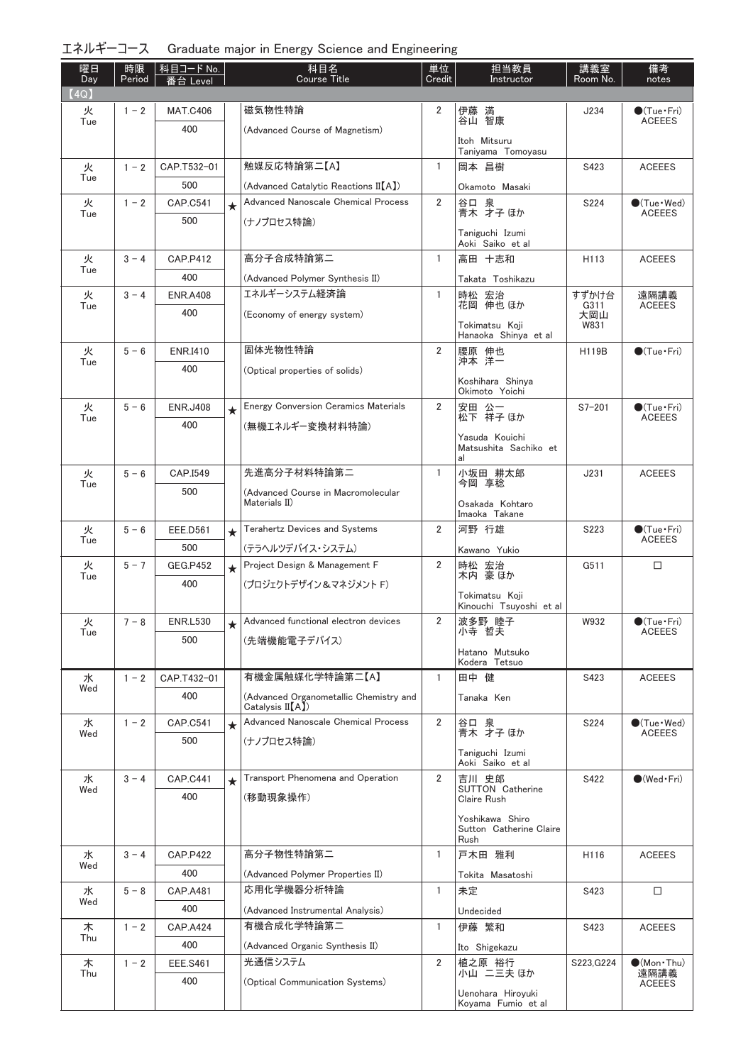| エネルギーコース Graduate major in Energy Science and Engineering |  |  |  |  |  |
|-----------------------------------------------------------|--|--|--|--|--|
|-----------------------------------------------------------|--|--|--|--|--|

| 曜日<br>Day | 時限<br>Period | │科目コード No.<br>番台 Level |         | 科目名<br><b>Course Title</b>                                | 単位<br>Credit   | 担当教員<br>Instructor                      | 講義室<br>Room No. | 備考<br>notes                                  |
|-----------|--------------|------------------------|---------|-----------------------------------------------------------|----------------|-----------------------------------------|-----------------|----------------------------------------------|
| (4Q)      |              |                        |         |                                                           |                |                                         |                 |                                              |
| 火<br>Tue  | $1 - 2$      | <b>MAT.C406</b>        |         | 磁気物性特論                                                    | $\overline{2}$ | 伊藤 満<br>谷山 智康                           | J234            | $\bullet$ (Tue•Fri)<br><b>ACEEES</b>         |
|           |              | 400                    |         | (Advanced Course of Magnetism)                            |                | Itoh Mitsuru                            |                 |                                              |
|           |              |                        |         |                                                           |                | Taniyama Tomoyasu                       |                 |                                              |
| 火<br>Tue  | $1 - 2$      | CAP.T532-01            |         | 触媒反応特論第二【A】                                               | $\mathbf{1}$   | 岡本 昌樹                                   | S423            | <b>ACEEES</b>                                |
|           |              | 500                    |         | (Advanced Catalytic Reactions II[A])                      |                | Okamoto Masaki                          |                 |                                              |
| 火<br>Tue  | $1 - 2$      | <b>CAP.C541</b>        | $\star$ | Advanced Nanoscale Chemical Process                       | $\overline{2}$ | 谷口 泉<br>青木 才子 ほか                        | S224            | $\bullet$ (Tue $\cdot$ Wed)<br><b>ACEEES</b> |
|           |              | 500                    |         | (ナノプロセス特論)                                                |                | Taniguchi Izumi                         |                 |                                              |
|           |              |                        |         |                                                           |                | Aoki Saiko et al                        |                 |                                              |
| 火<br>Tue  | $3 - 4$      | <b>CAP.P412</b>        |         | 高分子合成特論第二                                                 | $\mathbf{1}$   | 高田 十志和                                  | H113            | <b>ACEEES</b>                                |
|           |              | 400                    |         | (Advanced Polymer Synthesis II)                           |                | Takata Toshikazu                        |                 |                                              |
| 火<br>Tue  | $3 - 4$      | <b>ENR.A408</b>        |         | エネルギーシステム経済論                                              | 1              | 時松 宏治<br>花岡 伸也 ほか                       | すずかけ台<br>G311   | 遠隔講義<br><b>ACEEES</b>                        |
|           |              | 400                    |         | (Economy of energy system)                                |                | Tokimatsu Koji                          | 大岡山<br>W831     |                                              |
|           |              |                        |         |                                                           |                | Hanaoka Shinya et al                    |                 |                                              |
| 火<br>Tue  | $5 - 6$      | <b>ENR.I410</b>        |         | 固体光物性特論                                                   | $\overline{2}$ | 腰原 伸也<br>沖本 洋一                          | H119B           | $\bullet$ (Tue•Fri)                          |
|           |              | 400                    |         | (Optical properties of solids)                            |                |                                         |                 |                                              |
|           |              |                        |         |                                                           |                | Koshihara Shinya<br>Okimoto Yoichi      |                 |                                              |
| 火         | $5 - 6$      | <b>ENR.J408</b>        | $\star$ | <b>Energy Conversion Ceramics Materials</b>               | $\overline{2}$ | 安田 公一<br>松下 祥子 ほか                       | $S7 - 201$      | $\bullet$ (Tue $\cdot$ Fri)                  |
| Tue       |              | 400                    |         | (無機エネルギー変換材料特論)                                           |                |                                         |                 | <b>ACEEES</b>                                |
|           |              |                        |         |                                                           |                | Yasuda Kouichi<br>Matsushita Sachiko et |                 |                                              |
|           |              |                        |         |                                                           |                | al                                      |                 |                                              |
| 火<br>Tue  | $5 - 6$      | CAP.I549               |         | 先進高分子材料特論第二                                               | 1              | 小坂田 耕太郎<br>今岡 享稔                        | J231            | <b>ACEEES</b>                                |
|           |              | 500                    |         | (Advanced Course in Macromolecular<br>Materials II)       |                | Osakada Kohtaro                         |                 |                                              |
|           |              |                        |         |                                                           |                | Imaoka Takane                           |                 |                                              |
| 火<br>Tue  | $5 - 6$      | <b>EEE.D561</b>        | $\star$ | Terahertz Devices and Systems                             | 2              | 河野 行雄                                   | S223            | $\bullet$ (Tue · Fri)<br><b>ACEEES</b>       |
|           |              | 500                    |         | (テラヘルツデバイス・システム)                                          |                | Kawano Yukio                            |                 |                                              |
| 火<br>Tue  | $5 - 7$      | <b>GEG.P452</b>        | $\star$ | Project Design & Management F                             | $\overline{2}$ | 時松 宏治<br>木内 豪ほか                         | G511            | $\Box$                                       |
|           |              | 400                    |         | (プロジェクトデザイン&マネジメント F)                                     |                | Tokimatsu Koji                          |                 |                                              |
|           |              |                        |         |                                                           |                | Kinouchi Tsuyoshi et al                 |                 |                                              |
| 火<br>Tue  | $7 - 8$      | <b>ENR.L530</b>        | $\star$ | Advanced functional electron devices                      | $\overline{2}$ | 波多野 睦子<br>小寺 哲夫                         | W932            | $\bullet$ (Tue · Fri)<br><b>ACEEES</b>       |
|           |              | 500                    |         | (先端機能電子デバイス)                                              |                | Hatano Mutsuko                          |                 |                                              |
|           |              |                        |         |                                                           |                | Kodera Tetsuo                           |                 |                                              |
| 水<br>Wed  | $1 - 2$      | CAP.T432-01            |         | 有機金属触媒化学特論第二【A】                                           | 1              | 田中 健                                    | S423            | <b>ACEEES</b>                                |
|           |              | 400                    |         | (Advanced Organometallic Chemistry and<br>Catalysis II(A) |                | Tanaka Ken                              |                 |                                              |
| 水         | $1 - 2$      | <b>CAP.C541</b>        | $\star$ | Advanced Nanoscale Chemical Process                       | $\overline{2}$ | 谷口 泉                                    | S224            | $\bullet$ (Tue · Wed)                        |
| Wed       |              | 500                    |         | (ナノプロセス特論)                                                |                | 青木 才子 ほか                                |                 | <b>ACEEES</b>                                |
|           |              |                        |         |                                                           |                | Taniguchi Izumi<br>Aoki Saiko et al     |                 |                                              |
| 水         | $3 - 4$      | <b>CAP.C441</b>        | $\star$ | Transport Phenomena and Operation                         | 2              | 吉川 史郎                                   | S422            | $\bigcirc$ (Wed·Fri)                         |
| Wed       |              | 400                    |         | (移動現象操作)                                                  |                | <b>SUTTON Catherine</b><br>Claire Rush  |                 |                                              |
|           |              |                        |         |                                                           |                | Yoshikawa Shiro                         |                 |                                              |
|           |              |                        |         |                                                           |                | Sutton Catherine Claire<br>Rush         |                 |                                              |
| 水         | $3 - 4$      | <b>CAP.P422</b>        |         | 高分子物性特論第二                                                 | 1              | 戸木田 雅利                                  | H116            | <b>ACEEES</b>                                |
| Wed       |              | 400                    |         | (Advanced Polymer Properties II)                          |                | Tokita Masatoshi                        |                 |                                              |
| 水         | $5 - 8$      | <b>CAP.A481</b>        |         | 応用化学機器分析特論                                                | 1              | 未定                                      | S423            | □                                            |
| Wed       |              | 400                    |         | (Advanced Instrumental Analysis)                          |                | Undecided                               |                 |                                              |
| 木         | $1 - 2$      | <b>CAP.A424</b>        |         | 有機合成化学特論第二                                                | 1              | 伊藤 繁和                                   | S423            | <b>ACEEES</b>                                |
| Thu       |              | 400                    |         | (Advanced Organic Synthesis II)                           |                | Ito Shigekazu                           |                 |                                              |
| 木         | $1 - 2$      | <b>EEE.S461</b>        |         | 光通信システム                                                   | $\overline{2}$ | 植之原 裕行                                  | S223, G224      | $\bullet$ (Mon · Thu)                        |
| Thu       |              | 400                    |         | (Optical Communication Systems)                           |                | 小山 二三夫 ほか                               |                 | 遠隔講義<br><b>ACEEES</b>                        |
|           |              |                        |         |                                                           |                | Uenohara Hiroyuki<br>Koyama Fumio et al |                 |                                              |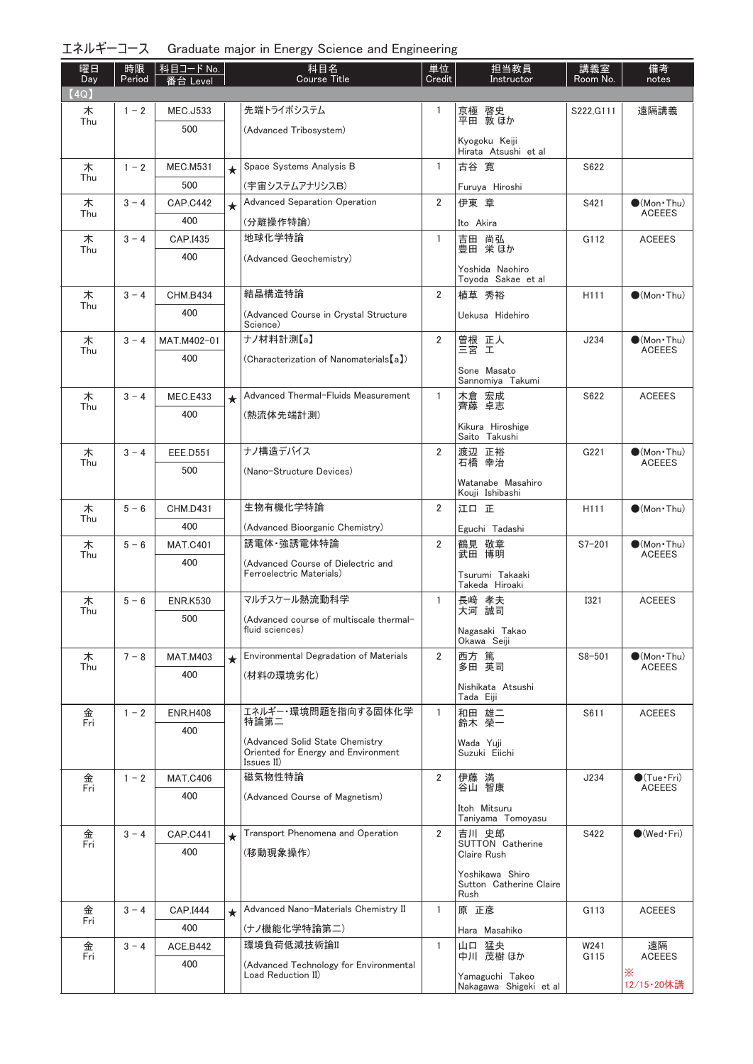| エネルギーコース Graduate major in Energy Science and Engineering |  |  |  |  |  |  |
|-----------------------------------------------------------|--|--|--|--|--|--|
|-----------------------------------------------------------|--|--|--|--|--|--|

| 曜日<br>Day | 時限<br>Period | │科目コード No.<br>番台 Level |         | 科目名<br><b>Course Title</b>                                     | 単位<br>Credit   | 担当教員<br>Instructor                        | 講義室<br>Room No.  | 備考<br>notes                            |
|-----------|--------------|------------------------|---------|----------------------------------------------------------------|----------------|-------------------------------------------|------------------|----------------------------------------|
| (4Q)      |              |                        |         |                                                                |                |                                           |                  |                                        |
| 木         | $1 - 2$      | <b>MEC.J533</b>        |         | 先端トライボシステム                                                     | 1              | 京極 啓史<br>平田 敦ほか                           | S222.G111        | 遠隔講義                                   |
| Thu       |              | 500                    |         | (Advanced Tribosystem)                                         |                |                                           |                  |                                        |
|           |              |                        |         |                                                                |                | Kyogoku Keiji<br>Hirata Atsushi et al     |                  |                                        |
| 木         | $1 - 2$      | <b>MEC.M531</b>        | $\star$ | Space Systems Analysis B                                       | $\mathbf{1}$   | 古谷 寛                                      | S622             |                                        |
| Thu       |              | 500                    |         | (宇宙システムアナリシスB)                                                 |                | Furuya Hiroshi                            |                  |                                        |
| 木         | $3 - 4$      | <b>CAP.C442</b>        | $\star$ | <b>Advanced Separation Operation</b>                           | $\overline{2}$ | 伊東 章                                      | S421             | $\bullet$ (Mon · Thu)                  |
| Thu       |              | 400                    |         | (分離操作特論)                                                       |                | Ito Akira                                 |                  | <b>ACEEES</b>                          |
| 木         | $3 - 4$      | CAP.I435               |         | 地球化学特論                                                         | 1              | 吉田 尚弘                                     | G112             | <b>ACEEES</b>                          |
| Thu       |              | 400                    |         | (Advanced Geochemistry)                                        |                | 豊田 栄ほか                                    |                  |                                        |
|           |              |                        |         |                                                                |                | Yoshida Naohiro<br>Toyoda Sakae et al     |                  |                                        |
| 木         | $3 - 4$      | <b>CHM.B434</b>        |         | 結晶構造特論                                                         | 2              | 植草 秀裕                                     | H <sub>111</sub> | $\bigcirc$ (Mon · Thu)                 |
| Thu       |              | 400                    |         | (Advanced Course in Crystal Structure                          |                | Uekusa Hidehiro                           |                  |                                        |
| 木         | $3 - 4$      | MAT.M402-01            |         | Science)<br>ナノ材料計測【a】                                          | 2              |                                           | J234             | $\bullet$ (Mon · Thu)                  |
| Thu       |              | 400                    |         | (Characterization of Nanomaterials [a])                        |                | 曽根 正人<br>三宮 工                             |                  | <b>ACEEES</b>                          |
|           |              |                        |         |                                                                |                | Sone Masato                               |                  |                                        |
|           |              |                        |         | Advanced Thermal-Fluids Measurement                            | 1              | Sannomiya Takumi<br>木倉 宏成                 | S622             | <b>ACEEES</b>                          |
| 木<br>Thu  | $3 - 4$      | <b>MEC.E433</b><br>400 | $\star$ |                                                                |                | 齊藤 卓志                                     |                  |                                        |
|           |              |                        |         | (熱流体先端計測)                                                      |                | Kikura Hiroshige                          |                  |                                        |
|           |              |                        |         | ナノ構造デバイス                                                       |                | Saito Takushi                             |                  |                                        |
| 木<br>Thu  | $3 - 4$      | <b>EEE.D551</b>        |         |                                                                | $\overline{2}$ | 渡辺 正裕<br>石橋 幸治                            | G221             | $\bullet$ (Mon · Thu)<br><b>ACEEES</b> |
|           |              | 500                    |         | (Nano-Structure Devices)                                       |                | Watanabe Masahiro                         |                  |                                        |
|           |              |                        |         |                                                                |                | Kouji Ishibashi                           |                  |                                        |
| 木<br>Thu  | $5 - 6$      | <b>CHM.D431</b>        |         | 生物有機化学特論                                                       | $\overline{2}$ | 江口 正                                      | H111             | $\bullet$ (Mon · Thu)                  |
|           |              | 400                    |         | (Advanced Bioorganic Chemistry)<br>誘電体·強誘電体特論                  | $\overline{2}$ | Eguchi Tadashi                            |                  |                                        |
| 木<br>Thu  | $5 - 6$      | <b>MAT.C401</b><br>400 |         |                                                                |                | 鶴見 敬章<br>武田 博明                            | $S7 - 201$       | $\bullet$ (Mon · Thu)<br><b>ACEEES</b> |
|           |              |                        |         | (Advanced Course of Dielectric and<br>Ferroelectric Materials) |                | Tsurumi Takaaki                           |                  |                                        |
|           |              |                        |         | マルチスケール熱流動科学                                                   |                | Takeda Hiroaki                            |                  |                                        |
| 木<br>Thu  | $5 - 6$      | <b>ENR.K530</b>        |         |                                                                | 1              | 長崎 孝夫<br>天河 誠司                            | <b>I321</b>      | <b>ACEEES</b>                          |
|           |              | 500                    |         | (Advanced course of multiscale thermal-<br>fluid sciences)     |                | Nagasaki Takao                            |                  |                                        |
|           |              |                        |         | Environmental Degradation of Materials                         | $\overline{2}$ | Okawa Seiji<br>西方 篤                       | $S8 - 501$       | $\bullet$ (Mon · Thu)                  |
| 木<br>Thu  | $7 - 8$      | <b>MAT.M403</b><br>400 | $\star$ |                                                                |                | 多田 英司                                     |                  | <b>ACEEES</b>                          |
|           |              |                        |         | (材料の環境劣化)                                                      |                | Nishikata Atsushi                         |                  |                                        |
|           |              |                        |         | エネルギー・環境問題を指向する固体化学                                            | $\mathbf{1}$   | Tada Eiji<br>和田 雄二                        | S611             | <b>ACEEES</b>                          |
| 金<br>Fri  | $1 - 2$      | <b>ENR.H408</b><br>400 |         | 特論第二                                                           |                | 鈴木 榮一                                     |                  |                                        |
|           |              |                        |         | (Advanced Solid State Chemistry                                |                | Wada Yuji                                 |                  |                                        |
|           |              |                        |         | Oriented for Energy and Environment<br>Issues II)              |                | Suzuki Eiichi                             |                  |                                        |
| 金         | $1 - 2$      | <b>MAT.C406</b>        |         | 磁気物性特論                                                         | 2              | 伊藤 満<br>谷山 智康                             | J234             | $\bullet$ (Tue · Fri)                  |
| Fri       |              | 400                    |         | (Advanced Course of Magnetism)                                 |                |                                           |                  | <b>ACEEES</b>                          |
|           |              |                        |         |                                                                |                | Itoh Mitsuru<br>Taniyama Tomoyasu         |                  |                                        |
| 金<br>Fri  | $3 - 4$      | <b>CAP.C441</b>        | $\star$ | Transport Phenomena and Operation                              | $\overline{2}$ | 吉川 史郎                                     | S422             | $\bullet$ (Wed Fri)                    |
|           |              | 400                    |         | (移動現象操作)                                                       |                | <b>SUTTON Catherine</b><br>Claire Rush    |                  |                                        |
|           |              |                        |         |                                                                |                | Yoshikawa Shiro                           |                  |                                        |
|           |              |                        |         |                                                                |                | Sutton Catherine Claire<br>Rush           |                  |                                        |
| 金         | $3 - 4$      | CAP.I444               | $\star$ | Advanced Nano-Materials Chemistry II                           | $\mathbf{1}$   | 原 正彦                                      | G113             | <b>ACEEES</b>                          |
| Fri       |              | 400                    |         | (ナノ機能化学特論第二)                                                   |                | Hara Masahiko                             |                  |                                        |
| 金         | $3 - 4$      | ACE.B442               |         | 環境負荷低減技術論II                                                    | $\mathbf{1}$   | 山口 猛央<br>中川 茂樹ほか                          | W241             | 遠隔                                     |
| Fri       |              | 400                    |         | (Advanced Technology for Environmental                         |                |                                           | G115             | <b>ACEEES</b>                          |
|           |              |                        |         | Load Reduction II)                                             |                | Yamaguchi Takeo<br>Nakagawa Shigeki et al |                  | Ж<br>12/15·20休講                        |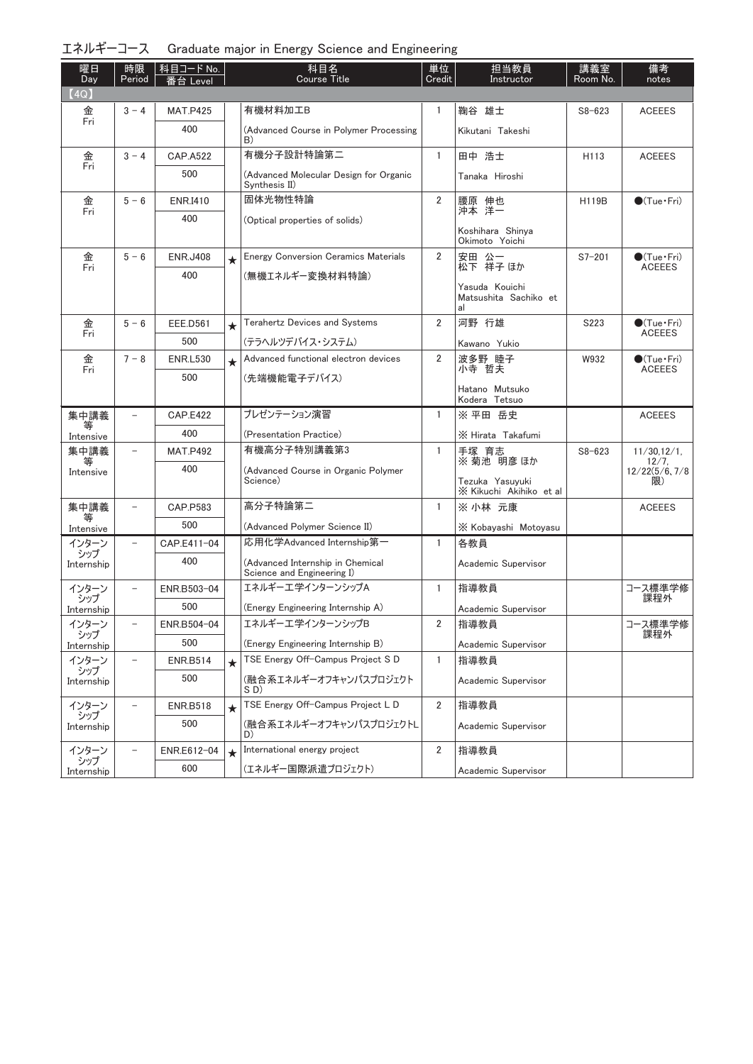| エネルギーコース Graduate major in Energy Science and Engineering |  |  |  |  |  |  |  |  |
|-----------------------------------------------------------|--|--|--|--|--|--|--|--|
|-----------------------------------------------------------|--|--|--|--|--|--|--|--|

| 曜日<br>Day         | 時限<br>Period             | 科目コード No.<br>番台 Level |         | 科目名<br><b>Course Title</b>                                     | 単位<br>Credit   | 担当教員<br>Instructor                            | 講義室<br>Room No. | 備考<br>notes              |
|-------------------|--------------------------|-----------------------|---------|----------------------------------------------------------------|----------------|-----------------------------------------------|-----------------|--------------------------|
| (4Q)              |                          |                       |         |                                                                |                |                                               |                 |                          |
| 金                 | $3 - 4$                  | <b>MAT.P425</b>       |         | 有機材料加工B                                                        | 1              | 鞠谷 雄士                                         | $S8 - 623$      | <b>ACEEES</b>            |
| Fri               |                          | 400                   |         | (Advanced Course in Polymer Processing<br>B)                   |                | Kikutani Takeshi                              |                 |                          |
| 金<br>Fri          | $3 - 4$                  | <b>CAP.A522</b>       |         | 有機分子設計特論第二                                                     | $\mathbf{1}$   | 田中 浩士                                         | H113            | <b>ACEEES</b>            |
|                   |                          | 500                   |         | (Advanced Molecular Design for Organic<br>Synthesis II)        |                | Tanaka Hiroshi                                |                 |                          |
| 金                 | $5 - 6$                  | <b>ENR.I410</b>       |         | 固体光物性特論                                                        | $\overline{2}$ | 腰原 伸也<br>沖本 洋一                                | H119B           | $\bigcirc$ (Tue·Fri)     |
| Fri               |                          | 400                   |         | (Optical properties of solids)                                 |                |                                               |                 |                          |
|                   |                          |                       |         |                                                                |                | Koshihara Shinya<br>Okimoto Yoichi            |                 |                          |
| 金                 | $5 - 6$                  | <b>ENR.J408</b>       | $\star$ | <b>Energy Conversion Ceramics Materials</b>                    | $\overline{2}$ | 安田 公一<br>松下 祥子ほか                              | $S7 - 201$      | $\bullet$ (Tue•Fri)      |
| Fri               |                          | 400                   |         | (無機エネルギー変換材料特論)                                                |                |                                               |                 | <b>ACEEES</b>            |
|                   |                          |                       |         |                                                                |                | Yasuda Kouichi<br>Matsushita Sachiko et<br>al |                 |                          |
| 金                 | $5 - 6$                  | <b>EEE.D561</b>       | $\star$ | <b>Terahertz Devices and Systems</b>                           | $\overline{2}$ | 河野 行雄                                         | S223            | $\bullet$ (Tue•Fri)      |
| Fri               |                          | 500                   |         | (テラヘルツデバイス・システム)                                               |                | Kawano Yukio                                  |                 | <b>ACEEES</b>            |
| 金                 | $7 - 8$                  | <b>ENR.L530</b>       | $\star$ | Advanced functional electron devices                           | $\overline{2}$ | 波多野 睦子                                        | W932            | $\bullet$ (Tue•Fri)      |
| Fri               |                          | 500                   |         | (先端機能電子デバイス)                                                   |                | 小寺 哲夫                                         |                 | <b>ACEEES</b>            |
|                   |                          |                       |         |                                                                |                | Hatano Mutsuko<br>Kodera Tetsuo               |                 |                          |
| 集中講義              | $\qquad \qquad -$        | <b>CAP.E422</b>       |         | プレゼンテーション演習                                                    | $\mathbf{1}$   | ※ 平田 岳史                                       |                 | <b>ACEEES</b>            |
| 等<br>Intensive    |                          | 400                   |         | (Presentation Practice)                                        |                | X Hirata Takafumi                             |                 |                          |
| 集中講義              | $\qquad \qquad -$        | <b>MAT.P492</b>       |         | 有機高分子特別講義第3                                                    | $\mathbf{1}$   | 手塚 育志<br>※菊池 明彦 ほか                            | $S8 - 623$      | $11/30.12/1$ ,           |
| 等<br>Intensive    |                          | 400                   |         | (Advanced Course in Organic Polymer                            |                |                                               |                 | 12/7,<br>12/22(5/6, 7/8) |
|                   |                          |                       |         | Science)                                                       |                | Tezuka Yasuyuki<br>X Kikuchi Akihiko et al    |                 | 限)                       |
| 集中講義              | $\qquad \qquad -$        | CAP.P583              |         | 高分子特論第二                                                        | $\mathbf{1}$   | ※ 小林 元康                                       |                 | <b>ACEEES</b>            |
| 等<br>Intensive    |                          | 500                   |         | (Advanced Polymer Science II)                                  |                | X Kobayashi Motoyasu                          |                 |                          |
| インターン             | $\qquad \qquad -$        | CAP.E411-04           |         | 応用化学Advanced Internship第一                                      | $\mathbf{1}$   | 各教員                                           |                 |                          |
| シップ<br>Internship |                          | 400                   |         | (Advanced Internship in Chemical<br>Science and Engineering I) |                | Academic Supervisor                           |                 |                          |
| インターン             | $\overline{\phantom{0}}$ | ENR.B503-04           |         | エネルギーエ学インターンシップA                                               | $\mathbf{1}$   | 指導教員                                          |                 | コース標準学修                  |
| シップ<br>Internship |                          | 500                   |         | (Energy Engineering Internship A)                              |                | Academic Supervisor                           |                 | 課程外                      |
| インターン             |                          | ENR.B504-04           |         | エネルギーエ学インターンシップB                                               | 2              | 指導教員                                          |                 | コース標準学修                  |
| シップ<br>Internship |                          | 500                   |         | (Energy Engineering Internship B)                              |                | Academic Supervisor                           |                 | 課程外                      |
| インターン             |                          | <b>ENR.B514</b>       | $\star$ | TSE Energy Off-Campus Project S D                              | 1              | 指導教員                                          |                 |                          |
| シップ<br>Internship |                          | 500                   |         | (融合系エネルギーオフキャンパスプロジェクト<br>SD)                                  |                | Academic Supervisor                           |                 |                          |
| インターン             |                          | <b>ENR.B518</b>       | $\star$ | TSE Energy Off-Campus Project L D                              | $\overline{2}$ | 指導教員                                          |                 |                          |
| シップ<br>Internship |                          | 500                   |         | (融合系エネルギーオフキャンパスプロジェクトL<br>D)                                  |                | Academic Supervisor                           |                 |                          |
| インターン             |                          | ENR.E612-04           | $\star$ | International energy project                                   | $\overline{2}$ | 指導教員                                          |                 |                          |
| シップ<br>Internship |                          | 600                   |         | (エネルギー国際派遣プロジェクト)                                              |                | Academic Supervisor                           |                 |                          |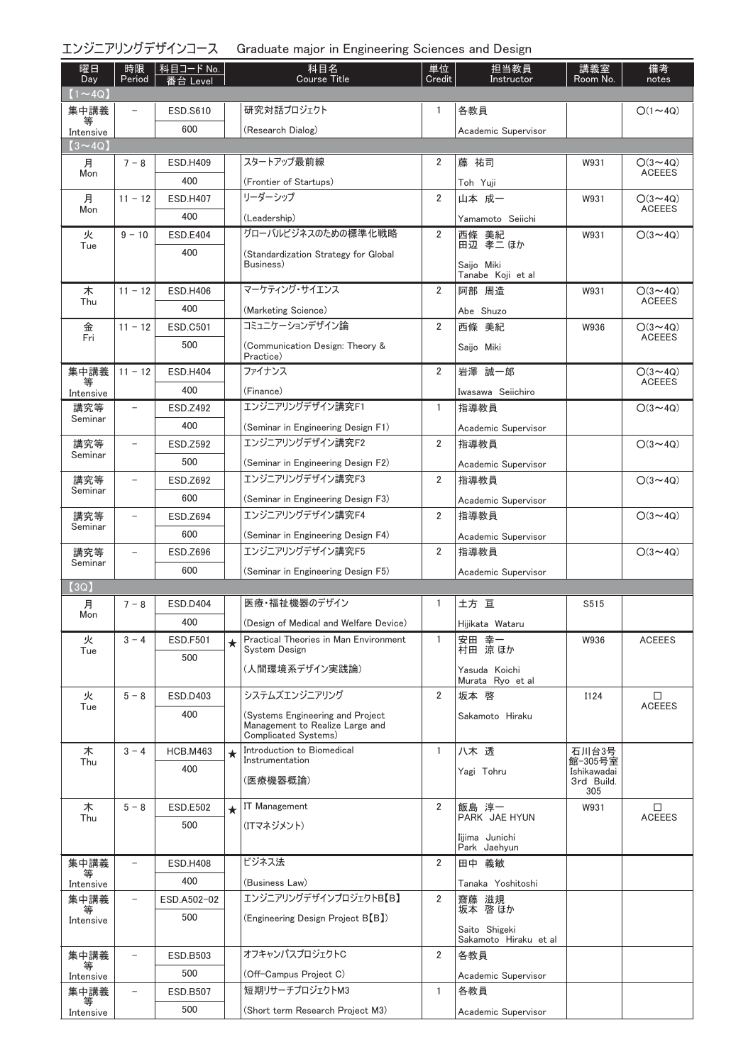### エンジニアリングデザインコース Graduate major in Engineering Sciences and Design

| 曜日<br>Day      | 時限<br>Period             | │科目コード No.<br>番台 Level |         | 科目名<br><b>Course Title</b>                              | 単位<br>Credit   | 担当教員<br>Instructor                | 講義室<br>Room No.        | 備考<br>notes                     |
|----------------|--------------------------|------------------------|---------|---------------------------------------------------------|----------------|-----------------------------------|------------------------|---------------------------------|
| $(1 \sim 4Q)$  |                          |                        |         |                                                         |                |                                   |                        |                                 |
| 集中講義<br>等      | $\overline{\phantom{0}}$ | <b>ESD.S610</b>        |         | 研究対話プロジェクト                                              | 1              | 各教員                               |                        | $O(1\sim 4Q)$                   |
| Intensive      |                          | 600                    |         | (Research Dialog)                                       |                | Academic Supervisor               |                        |                                 |
| $(3 \sim 4Q)$  |                          |                        |         |                                                         |                |                                   |                        |                                 |
| 月<br>Mon       | $7 - 8$                  | <b>ESD.H409</b>        |         | スタートアップ最前線                                              | 2              | 藤 祐司                              | W931                   | $O(3 \sim 4Q)$<br><b>ACEEES</b> |
|                |                          | 400                    |         | (Frontier of Startups)                                  |                | Toh Yuji                          |                        |                                 |
| 月<br>Mon       | $11 - 12$                | <b>ESD.H407</b>        |         | リーダーシップ                                                 | $\overline{2}$ | 山本 成一                             | W931                   | $O(3 \sim 4Q)$<br><b>ACEEES</b> |
|                |                          | 400                    |         | (Leadership)                                            |                | Yamamoto Seiichi                  |                        |                                 |
| 火<br>Tue       | $9 - 10$                 | <b>ESD.E404</b>        |         | グローバルビジネスのための標準化戦略                                      | 2              | 西條 美紀<br>田辺 孝二 ほか                 | W931                   | $O(3 \sim 4Q)$                  |
|                |                          | 400                    |         | (Standardization Strategy for Global                    |                |                                   |                        |                                 |
|                |                          |                        |         | Business)                                               |                | Saijo Miki<br>Tanabe Koji et al   |                        |                                 |
| 木              | $11 - 12$                | <b>ESD.H406</b>        |         | マーケティング・サイエンス                                           | $\overline{2}$ | 阿部 周造                             | W931                   | $O(3 \sim 4Q)$                  |
| Thu            |                          | 400                    |         | (Marketing Science)                                     |                | Abe Shuzo                         |                        | <b>ACEEES</b>                   |
| 金<br>Fri       | $11 - 12$                | <b>ESD.C501</b>        |         | コミュニケーションデザイン論                                          | $\overline{2}$ | 西條 美紀                             | W936                   | $O(3 \sim 4Q)$                  |
|                |                          | 500                    |         | (Communication Design: Theory &                         |                | Saijo Miki                        |                        | <b>ACEEES</b>                   |
|                |                          |                        |         | Practice)                                               |                |                                   |                        |                                 |
| 集中講義           | $11 - 12$                | <b>ESD.H404</b>        |         | ファイナンス                                                  | $\overline{2}$ | 岩澤 誠一郎                            |                        | $O(3 \sim 4Q)$<br><b>ACEEES</b> |
| Intensive      |                          | 400                    |         | (Finance)                                               |                | Iwasawa Seiichiro                 |                        |                                 |
| 講究等<br>Seminar | $-$                      | ESD.Z492               |         | エンジニアリングデザイン講究F1                                        | 1              | 指導教員                              |                        | $O(3{\sim}4Q)$                  |
|                |                          | 400                    |         | (Seminar in Engineering Design F1)                      |                | Academic Supervisor               |                        |                                 |
| 講究等<br>Seminar | $\qquad \qquad -$        | <b>ESD.Z592</b>        |         | エンジニアリングデザイン講究F2                                        | $\overline{2}$ | 指導教員                              |                        | $O(3 \sim 4Q)$                  |
|                |                          | 500                    |         | (Seminar in Engineering Design F2)                      |                | Academic Supervisor               |                        |                                 |
| 講究等            | $\overline{\phantom{0}}$ | ESD.Z692               |         | エンジニアリングデザイン講究F3                                        | $\overline{2}$ | 指導教員                              |                        | $O(3 \sim 4Q)$                  |
| Seminar        |                          | 600                    |         | (Seminar in Engineering Design F3)                      |                | Academic Supervisor               |                        |                                 |
| 講究等            | $\overline{a}$           | <b>ESD.Z694</b>        |         | エンジニアリングデザイン講究F4                                        | $\overline{2}$ | 指導教員                              |                        | $O(3 \sim 4Q)$                  |
| Seminar        |                          | 600                    |         | (Seminar in Engineering Design F4)                      |                | Academic Supervisor               |                        |                                 |
| 講究等            | $\qquad \qquad -$        | ESD.Z696               |         | エンジニアリングデザイン講究F5                                        | $\overline{2}$ | 指導教員                              |                        | $O(3 \sim 4Q)$                  |
| Seminar        |                          | 600                    |         | (Seminar in Engineering Design F5)                      |                | Academic Supervisor               |                        |                                 |
| (3Q)           |                          |                        |         |                                                         |                |                                   |                        |                                 |
| 月              | $7 - 8$                  | <b>ESD.D404</b>        |         | 医療・福祉機器のデザイン                                            | 1              | 土方 亘                              | S515                   |                                 |
| Mon            |                          | 400                    |         | (Design of Medical and Welfare Device)                  |                | Hijikata Wataru                   |                        |                                 |
| 火              | $3 - 4$                  | <b>ESD.F501</b>        | $\star$ | Practical Theories in Man Environment<br>System Design  | $\mathbf{1}$   | 安田 幸一<br>村田 涼ほか                   | W936                   | <b>ACEEES</b>                   |
| Tue            |                          | 500                    |         |                                                         |                |                                   |                        |                                 |
|                |                          |                        |         | (人間環境系デザイン実践論)                                          |                | Yasuda Koichi<br>Murata Ryo et al |                        |                                 |
| 火              | $5 - 8$                  | <b>ESD.D403</b>        |         | システムズエンジニアリング                                           | $\overline{2}$ | 坂本 啓                              | I124                   | □                               |
| Tue            |                          | 400                    |         | (Systems Engineering and Project                        |                | Sakamoto Hiraku                   |                        | <b>ACEEES</b>                   |
|                |                          |                        |         | Management to Realize Large and<br>Complicated Systems) |                |                                   |                        |                                 |
| 木              | $3 - 4$                  | <b>HCB.M463</b>        |         | Introduction to Biomedical                              | $\mathbf{1}$   | 八木 透                              | 石川台3号                  |                                 |
| Thu            |                          | 400                    |         | Instrumentation                                         |                | Yagi Tohru                        | 館-305号室<br>Ishikawadai |                                 |
|                |                          |                        |         | (医療機器概論)                                                |                |                                   | 3rd Build.<br>305      |                                 |
| 木              | $5 - 8$                  | <b>ESD.E502</b>        | $\star$ | <b>IT Management</b>                                    | 2              | 飯島 淳一                             | W931                   | □                               |
| Thu            |                          | 500                    |         | (ITマネジメント)                                              |                | PARK JAE HYUN                     |                        | <b>ACEEES</b>                   |
|                |                          |                        |         |                                                         |                | Iijima Junichi                    |                        |                                 |
|                |                          |                        |         |                                                         |                | Park Jaehyun                      |                        |                                 |
| 集中講義<br>等      | $\overline{\phantom{0}}$ | <b>ESD.H408</b>        |         | ビジネス法                                                   | $\overline{2}$ | 田中 義敏                             |                        |                                 |
| Intensive      |                          | 400                    |         | (Business Law)                                          |                | Tanaka Yoshitoshi                 |                        |                                 |
| 集中講義<br>等      | $\overline{\phantom{a}}$ | ESD.A502-02            |         | エンジニアリングデザインプロジェクトB【B】                                  | $\overline{2}$ | 齋藤 滋規<br>坂本 啓 ほか                  |                        |                                 |
| Intensive      |                          | 500                    |         | (Engineering Design Project B(B))                       |                | Saito Shigeki                     |                        |                                 |
|                |                          |                        |         |                                                         |                | Sakamoto Hiraku et al             |                        |                                 |
| 集中講義           | $\qquad \qquad -$        | ESD.B503               |         | オフキャンパスプロジェクトC                                          | $\overline{2}$ | 各教員                               |                        |                                 |
| Intensive      |                          | 500                    |         | (Off-Campus Project C)                                  |                | Academic Supervisor               |                        |                                 |
| 集中講義<br>等      | $\overline{\phantom{a}}$ | ESD.B507               |         | 短期リサーチプロジェクトM3                                          | $\mathbf{1}$   | 各教員                               |                        |                                 |
| Intensive      |                          | 500                    |         | (Short term Research Project M3)                        |                | Academic Supervisor               |                        |                                 |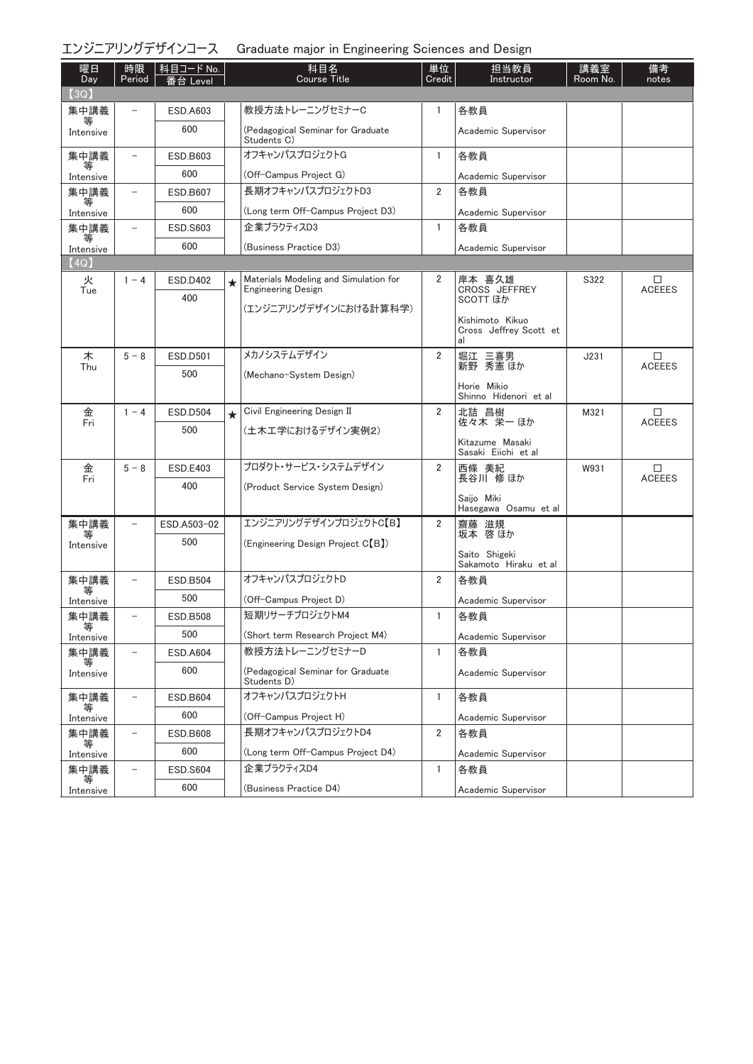|                   |                          | エンジニアリングデザインコース          |         | Graduate major in Engineering Sciences and Design |                |                                                 |                 |                    |
|-------------------|--------------------------|--------------------------|---------|---------------------------------------------------|----------------|-------------------------------------------------|-----------------|--------------------|
| 曜日<br>Day         | 時限<br>Period             | │科目コード No.  <br>番台 Level |         | 科目名<br><b>Course Title</b>                        | 単位<br>Credit   | 担当教員<br>Instructor                              | 講義室<br>Room No. | 備考<br>notes        |
| (3Q)              |                          | <b>ESD.A603</b>          |         | 教授方法トレーニングセミナーC                                   | 1              | 各教員                                             |                 |                    |
| 集中講義<br>Intensive |                          | 600                      |         | (Pedagogical Seminar for Graduate                 |                | Academic Supervisor                             |                 |                    |
|                   | $\overline{\phantom{a}}$ | ESD.B603                 |         | Students C)<br>オフキャンパスプロジェクトG                     | $\mathbf{1}$   | 各教員                                             |                 |                    |
| 集中講義<br>₩         |                          | 600                      |         |                                                   |                |                                                 |                 |                    |
| Intensive         |                          |                          |         | (Off-Campus Project G)<br>長期オフキャンパスプロジェクトD3       | $\overline{2}$ | Academic Supervisor                             |                 |                    |
| 集中講義              |                          | ESD.B607                 |         |                                                   |                | 各教員                                             |                 |                    |
| Intensive         |                          | 600                      |         | (Long term Off-Campus Project D3)                 |                | Academic Supervisor                             |                 |                    |
| 集中講義<br>等         | $\overline{\phantom{0}}$ | <b>ESD.S603</b>          |         | 企業プラクティスD3                                        | $\mathbf{1}$   | 各教員                                             |                 |                    |
| Intensive         |                          | 600                      |         | (Business Practice D3)                            |                | Academic Supervisor                             |                 |                    |
| (4Q)              |                          |                          |         | Materials Modeling and Simulation for             | 2              |                                                 |                 |                    |
| 火<br>Tue          | $1 - 4$                  | <b>ESD.D402</b>          | ★       | <b>Engineering Design</b>                         |                | 岸本 喜久雄<br>CROSS JEFFREY                         | S322            | □<br><b>ACEEES</b> |
|                   |                          | 400                      |         | (エンジニアリングデザインにおける計算科学)                            |                | <b>SCOTT ほか</b>                                 |                 |                    |
|                   |                          |                          |         |                                                   |                | Kishimoto Kikuo<br>Cross Jeffrey Scott et<br>al |                 |                    |
| 木                 | $5 - 8$                  | <b>ESD.D501</b>          |         | メカノシステムデザイン                                       | 2              | 堀江 三喜男                                          | J231            | $\Box$             |
| Thu               |                          | 500                      |         | (Mechano-System Design)                           |                | 新野 秀憲 ほか                                        |                 | <b>ACEEES</b>      |
|                   |                          |                          |         |                                                   |                | Horie Mikio<br>Shinno Hidenori et al            |                 |                    |
| 金<br>Fri          | $1 - 4$                  | <b>ESD.D504</b>          | $\star$ | Civil Engineering Design II                       | 2              | 北詰 昌樹<br>佐々木 栄一ほか                               | M321            | □<br><b>ACEEES</b> |
|                   |                          | 500                      |         | (土木工学におけるデザイン実例2)                                 |                |                                                 |                 |                    |
|                   |                          |                          |         |                                                   |                | Kitazume Masaki<br>Sasaki Eiichi et al          |                 |                    |
| 金                 | $5 - 8$                  | <b>ESD.E403</b>          |         | プロダクト・サービス・システムデザイン                               | 2              | 西條 美紀                                           | W931            | $\Box$             |
| Fri               |                          | 400                      |         | (Product Service System Design)                   |                | 長谷川 修 ほか                                        |                 | <b>ACEEES</b>      |
|                   |                          |                          |         |                                                   |                | Saijo Miki<br>Hasegawa Osamu et al              |                 |                    |
| 集中講義              |                          | ESD.A503-02              |         | エンジニアリングデザインプロジェクトC【B】                            | $\overline{2}$ | 齋藤 滋規                                           |                 |                    |
| 等<br>Intensive    |                          | 500                      |         | (Engineering Design Project C <sup>[B]</sup> )    |                | 坂本 啓ほか                                          |                 |                    |
|                   |                          |                          |         |                                                   |                | Saito Shigeki<br>Sakamoto Hiraku et al          |                 |                    |
| 集中講義<br>等         | $\overline{\phantom{0}}$ | <b>ESD.B504</b>          |         | オフキャンパスプロジェクトD                                    | 2              | 各教員                                             |                 |                    |
| Intensive         |                          | 500                      |         | (Off-Campus Project D)                            |                | Academic Supervisor                             |                 |                    |
| 集中講義              | $\overline{\phantom{0}}$ | <b>ESD.B508</b>          |         | 短期リサーチプロジェクトM4                                    | 1              | 各教員                                             |                 |                    |
| Intensive         |                          | 500                      |         | (Short term Research Project M4)                  |                | Academic Supervisor                             |                 |                    |
| 集中講義              | $\overline{a}$           | <b>ESD.A604</b>          |         | 教授方法トレーニングセミナーD                                   | $\mathbf{1}$   | 各教員                                             |                 |                    |
| Intensive         |                          | 600                      |         | (Pedagogical Seminar for Graduate<br>Students D)  |                | Academic Supervisor                             |                 |                    |
| 集中講義              | $\overline{\phantom{a}}$ | ESD.B604                 |         | オフキャンパスプロジェクトH                                    | $\mathbf{1}$   | 各教員                                             |                 |                    |
| Intensive         |                          | 600                      |         | (Off-Campus Project H)                            |                | Academic Supervisor                             |                 |                    |
| 集中講義              | $\overline{\phantom{a}}$ | <b>ESD.B608</b>          |         | 長期オフキャンパスプロジェクトD4                                 | $\overline{2}$ | 各教員                                             |                 |                    |
| Intensive         |                          | 600                      |         | (Long term Off-Campus Project D4)                 |                | Academic Supervisor                             |                 |                    |
| 集中講義              |                          | <b>ESD.S604</b>          |         | 企業プラクティスD4                                        | $\mathbf{1}$   | 各教員                                             |                 |                    |
| 等                 |                          |                          |         |                                                   |                |                                                 |                 |                    |

Academic Supervisor

(Business Practice D4)

Intensive

600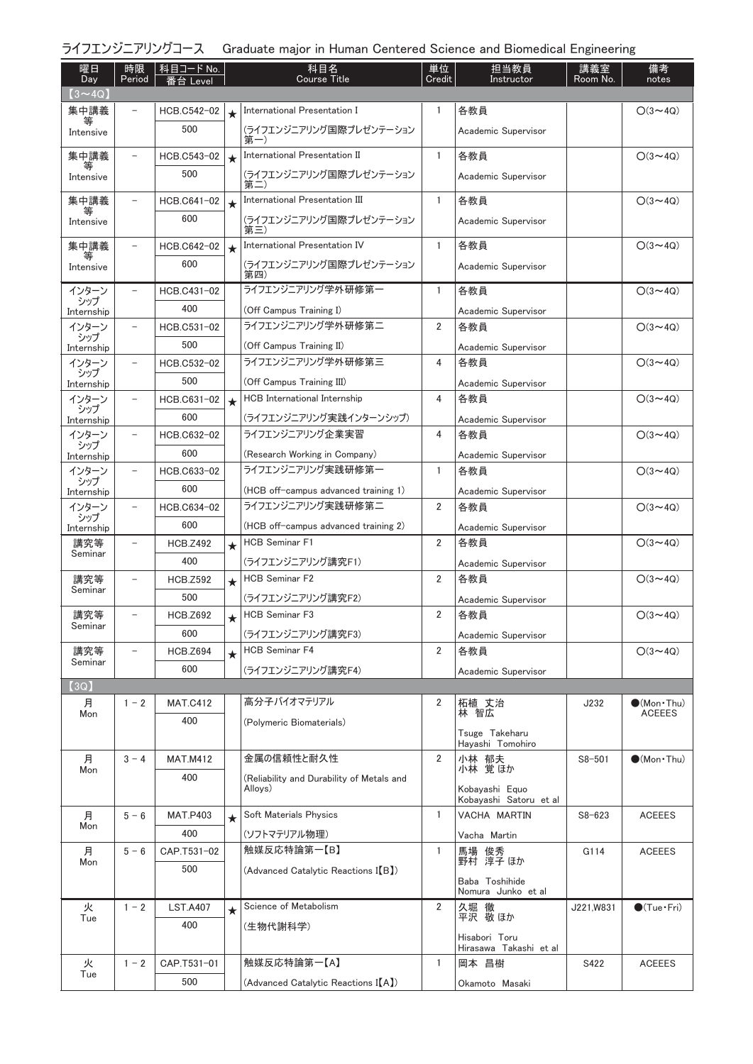| ライフエンジニアリングコース Graduate major in Human Centered Science and Biomedical Engineering |  |  |
|------------------------------------------------------------------------------------|--|--|
|                                                                                    |  |  |

| 曜日<br>Day      | 時限<br>Period             | 科目コード No.<br>番台 Level |         | 科目名<br><b>Course Title</b>                           | 単位<br>Credit   | 担当教員<br>Instructor                      | 講義室<br>Room No. | 備考<br>notes                            |
|----------------|--------------------------|-----------------------|---------|------------------------------------------------------|----------------|-----------------------------------------|-----------------|----------------------------------------|
| $(3 \sim 4Q)$  |                          |                       |         |                                                      |                |                                         |                 |                                        |
| 集中講義           |                          | HCB.C542-02           | $\star$ | International Presentation I                         | 1              | 各教員                                     |                 | $O(3 \sim 4Q)$                         |
| 等<br>Intensive |                          | 500                   |         | (ライフエンジニアリング国際プレゼンテーション<br>第一)                       |                | Academic Supervisor                     |                 |                                        |
| 集中講義           | $\qquad \qquad -$        | HCB.C543-02           | $\star$ | International Presentation II                        | $\mathbf{1}$   | 各教員                                     |                 | $O(3 \sim 4Q)$                         |
| Intensive      |                          | 500                   |         | (ライフエンジニアリング国際プレゼンテーション<br>第二)                       |                | Academic Supervisor                     |                 |                                        |
| 集中講義           | $\overline{\phantom{0}}$ | HCB.C641-02           | $\star$ | International Presentation III                       | $\mathbf{1}$   | 各教員                                     |                 | $O(3 \sim 4Q)$                         |
| 等<br>Intensive |                          | 600                   |         | (ライフエンジニアリング国際プレゼンテーション<br>第三)                       |                | Academic Supervisor                     |                 |                                        |
| 集中講義           |                          | HCB.C642-02           | $\star$ | International Presentation IV                        | 1              | 各教員                                     |                 | $O(3 \sim 4Q)$                         |
| 等<br>Intensive |                          | 600                   |         | (ライフエンジニアリング国際プレゼンテーション<br>第四)                       |                | Academic Supervisor                     |                 |                                        |
| インターン<br>シップ   |                          | HCB.C431-02           |         | ライフエンジニアリング学外研修第一                                    | 1              | 各教員                                     |                 | $O(3 \sim 4Q)$                         |
| Internship     |                          | 400                   |         | (Off Campus Training I)                              |                | Academic Supervisor                     |                 |                                        |
| インターン<br>シップ   | $\overline{\phantom{0}}$ | HCB.C531-02           |         | ライフエンジニアリング学外研修第二                                    | 2              | 各教員                                     |                 | $O(3 - 4Q)$                            |
| Internship     |                          | 500                   |         | (Off Campus Training II)                             |                | Academic Supervisor                     |                 |                                        |
| インターン<br>シップ   | $\qquad \qquad -$        | HCB.C532-02           |         | ライフエンジニアリング学外研修第三                                    | 4              | 各教員                                     |                 | $O(3 \sim 4Q)$                         |
| Internship     |                          | 500                   |         | (Off Campus Training III)                            |                | Academic Supervisor                     |                 |                                        |
| インターン<br>シップ   | $\overline{\phantom{0}}$ | HCB.C631-02           | $\star$ | HCB International Internship                         | 4              | 各教員                                     |                 | $O(3 \sim 4Q)$                         |
| Internship     |                          | 600                   |         | (ライフエンジニアリング実践インターンシップ)                              |                | Academic Supervisor                     |                 |                                        |
| インターン<br>シップ   |                          | HCB.C632-02           |         | ライフエンジニアリング企業実習                                      | 4              | 各教員                                     |                 | $O(3 \sim 4Q)$                         |
| Internship     |                          | 600                   |         | (Research Working in Company)                        |                | Academic Supervisor                     |                 |                                        |
| インターン<br>シップ   | $\overline{\phantom{0}}$ | HCB.C633-02           |         | ライフエンジニアリング実践研修第一                                    | 1              | 各教員                                     |                 | $O(3 \sim 4Q)$                         |
| Internship     |                          | 600                   |         | (HCB off-campus advanced training 1)                 |                | Academic Supervisor                     |                 |                                        |
| インターン<br>シップ   | $\overline{\phantom{a}}$ | HCB.C634-02           |         | ライフエンジニアリング実践研修第二                                    | 2              | 各教員                                     |                 | $O(3 \sim 4Q)$                         |
| Internship     |                          | 600                   |         | (HCB off-campus advanced training 2)                 |                | Academic Supervisor                     |                 |                                        |
| 講究等<br>Seminar | $\overline{\phantom{0}}$ | <b>HCB.Z492</b>       | $\star$ | <b>HCB Seminar F1</b>                                | 2              | 各教員                                     |                 | $O(3 \sim 4Q)$                         |
|                |                          | 400                   |         | (ライフエンジニアリング講究F1)                                    |                | Academic Supervisor                     |                 |                                        |
| 講究等<br>Seminar |                          | <b>HCB.Z592</b>       | $\star$ | <b>HCB Seminar F2</b>                                | 2              | 各教員                                     |                 | $O(3 \sim 4Q)$                         |
|                |                          | 500                   |         | (ライフエンジニアリング講究F2)                                    |                | Academic Supervisor                     |                 |                                        |
| 講究等<br>Seminar | $\overline{\phantom{0}}$ | <b>HCB.Z692</b>       | $\star$ | <b>HCB Seminar F3</b>                                | $\overline{2}$ | 各教員                                     |                 | $O(3 \sim 4Q)$                         |
|                |                          | 600                   |         | (ライフエンジニアリング講究F3)                                    |                | Academic Supervisor                     |                 |                                        |
| 講究等<br>Seminar | $\qquad \qquad -$        | <b>HCB.Z694</b>       | $\star$ | <b>HCB Seminar F4</b>                                | 2              | 各教員                                     |                 | $O(3 \sim 4Q)$                         |
|                |                          | 600                   |         | (ライフエンジニアリング講究F4)                                    |                | Academic Supervisor                     |                 |                                        |
| [3Q]           |                          |                       |         |                                                      |                |                                         |                 |                                        |
| 月<br>Mon       | $1 - 2$                  | <b>MAT.C412</b>       |         | 高分子バイオマテリアル                                          | 2              | 柘植 丈治<br>林智広                            | J232            | $\bullet$ (Mon · Thu)<br><b>ACEEES</b> |
|                |                          | 400                   |         | (Polymeric Biomaterials)                             |                | Tsuge Takeharu<br>Hayashi Tomohiro      |                 |                                        |
| 月              | $3 - 4$                  | <b>MAT.M412</b>       |         | 金属の信頼性と耐久性                                           | 2              | 小林 郁夫                                   | $S8 - 501$      | $\bigcirc$ (Mon · Thu)                 |
| Mon            |                          | 400                   |         | (Reliability and Durability of Metals and<br>Alloys) |                | 小林 覚ほか<br>Kobayashi Equo                |                 |                                        |
| 月              | $5 - 6$                  | <b>MAT.P403</b>       |         | Soft Materials Physics                               | 1              | Kobayashi Satoru et al<br>VACHA MARTIN  | $S8 - 623$      | <b>ACEEES</b>                          |
| Mon            |                          | 400                   | $\star$ |                                                      |                |                                         |                 |                                        |
| 月              | $5 - 6$                  | CAP.T531-02           |         | (ソフトマテリアル物理)<br>触媒反応特論第一【B】                          | 1              | Vacha Martin<br>馬場<br>俊秀                | G114            | <b>ACEEES</b>                          |
| Mon            |                          | 500                   |         | (Advanced Catalytic Reactions I(B))                  |                | 野村 淳子 ほか                                |                 |                                        |
|                |                          |                       |         |                                                      |                | Baba Toshihide<br>Nomura Junko et al    |                 |                                        |
| 火              | $1 - 2$                  | <b>LST.A407</b>       | $\star$ | Science of Metabolism                                | 2              | 久堀 徹                                    | J221,W831       | $\bullet$ (Tue · Fri)                  |
| Tue            |                          | 400                   |         | (生物代謝科学)                                             |                | 平沢 敬ほか                                  |                 |                                        |
|                |                          |                       |         |                                                      |                | Hisabori Toru<br>Hirasawa Takashi et al |                 |                                        |
| 火              | $1 - 2$                  | CAP.T531-01           |         | 触媒反応特論第一【A】                                          | $\mathbf{1}$   | 岡本 昌樹                                   | S422            | <b>ACEEES</b>                          |
| Tue            |                          | 500                   |         | (Advanced Catalytic Reactions I(A))                  |                | Okamoto Masaki                          |                 |                                        |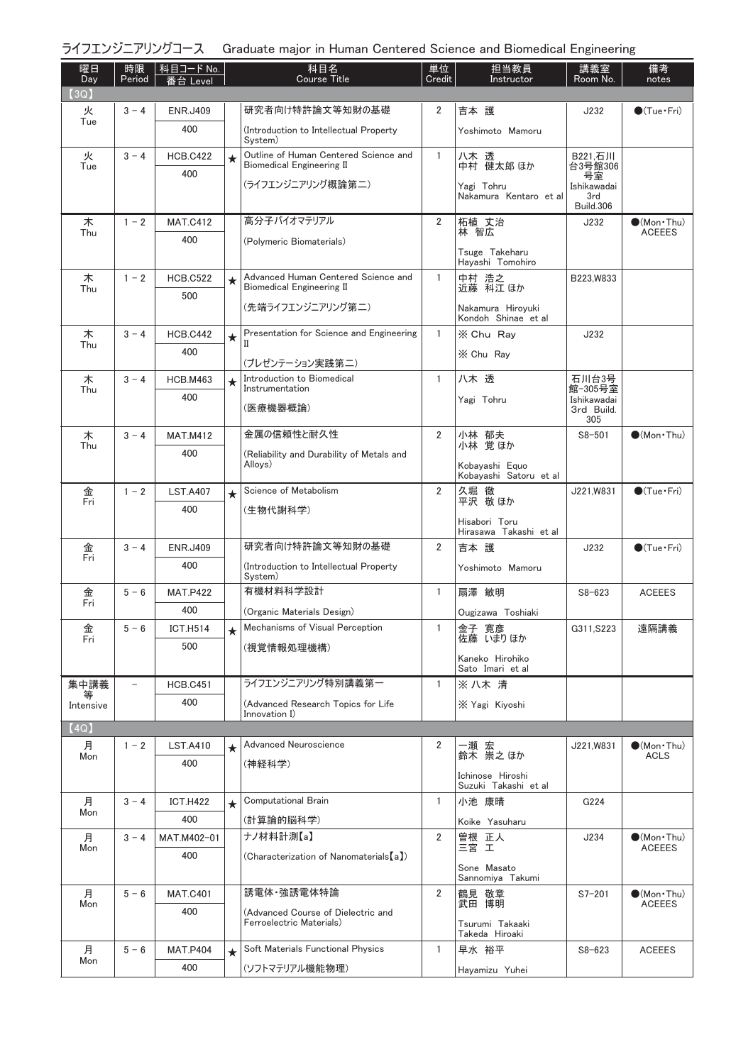|  | ライフエンジニアリングコース Graduate major in Human Centered Science and Biomedical Engineering |  |  |  |
|--|------------------------------------------------------------------------------------|--|--|--|
|--|------------------------------------------------------------------------------------|--|--|--|

| 曜日<br>Day | 時限<br>Period | │ 科目コード No.<br>番台 Level |         | 科目名<br><b>Course Title</b>                                                | 単位<br>Credit   | 担当教員<br>Instructor                       | 講義室<br>Room No.                       | 備考<br>notes                            |
|-----------|--------------|-------------------------|---------|---------------------------------------------------------------------------|----------------|------------------------------------------|---------------------------------------|----------------------------------------|
| (3Q)      |              |                         |         |                                                                           |                |                                          |                                       |                                        |
| 火<br>Tue  | $3 - 4$      | <b>ENR.J409</b>         |         | 研究者向け特許論文等知財の基礎                                                           | 2              | 吉本 護                                     | J232                                  | $\bullet$ (Tue · Fri)                  |
|           |              | 400                     |         | (Introduction to Intellectual Property<br>System)                         |                | Yoshimoto Mamoru                         |                                       |                                        |
| 火<br>Tue  | $3 - 4$      | <b>HCB.C422</b>         | $\star$ | Outline of Human Centered Science and<br><b>Biomedical Engineering II</b> | $\mathbf{1}$   | 八木 透<br>中村 健太郎 ほか                        | B221,石川<br>台3号館306                    |                                        |
|           |              | 400                     |         | (ライフエンジニアリング概論第二)                                                         |                | Yagi Tohru<br>Nakamura Kentaro et al     | 号室<br>Ishikawadai<br>3rd<br>Build.306 |                                        |
| 木         | $1 - 2$      | <b>MAT.C412</b>         |         | 高分子バイオマテリアル                                                               | $\overline{2}$ | 柘植 丈治<br>林 智広                            | J232                                  | $\bullet$ (Mon Thu)                    |
| Thu       |              | 400                     |         | (Polymeric Biomaterials)                                                  |                |                                          |                                       | <b>ACEEES</b>                          |
|           |              |                         |         |                                                                           |                | Tsuge Takeharu<br>Hayashi Tomohiro       |                                       |                                        |
| 木<br>Thu  | $1 - 2$      | <b>HCB.C522</b>         | $\star$ | Advanced Human Centered Science and<br><b>Biomedical Engineering II</b>   | $\mathbf{1}$   | 中村 浩之<br>近藤 科江ほか                         | B223, W833                            |                                        |
|           |              | 500                     |         | (先端ライフエンジニアリング第二)                                                         |                | Nakamura Hiroyuki<br>Kondoh Shinae et al |                                       |                                        |
| 木         | $3 - 4$      | <b>HCB.C442</b>         | $\star$ | Presentation for Science and Engineering                                  | $\mathbf{1}$   | X Chu Ray                                | J232                                  |                                        |
| Thu       |              | 400                     |         | П                                                                         |                | X Chu Rav                                |                                       |                                        |
| 木         | $3 - 4$      | <b>HCB.M463</b>         |         | (プレゼンテーション実践第二)<br>Introduction to Biomedical                             | $\mathbf{1}$   | 八木 透                                     | 石川台3号                                 |                                        |
| Thu       |              | 400                     | $\star$ | Instrumentation                                                           |                |                                          | 館-305号室<br>Ishikawadai                |                                        |
|           |              |                         |         | (医療機器概論)                                                                  |                | Yagi Tohru                               | 3rd Build.                            |                                        |
| 木         | $3 - 4$      | <b>MAT.M412</b>         |         | 金属の信頼性と耐久性                                                                | $\overline{2}$ |                                          | 305<br>$S8 - 501$                     | $\bullet$ (Mon · Thu)                  |
| Thu       |              | 400                     |         | (Reliability and Durability of Metals and                                 |                | 小林 郁夫<br>小林 覚ほか                          |                                       |                                        |
|           |              |                         |         | Alloys)                                                                   |                | Kobayashi Equo<br>Kobayashi Satoru et al |                                       |                                        |
| 金<br>Fri  | $1 - 2$      | <b>LST.A407</b>         | $\star$ | Science of Metabolism                                                     | $\overline{2}$ | 久堀 徹<br>平沢 敬ほか                           | J221, W831                            | $\bigcirc$ (Tue · Fri)                 |
|           |              | 400                     |         | (生物代謝科学)                                                                  |                | Hisabori Toru                            |                                       |                                        |
|           |              |                         |         |                                                                           |                | Hirasawa Takashi et al                   |                                       |                                        |
| 金<br>Fri  | $3 - 4$      | <b>ENR.J409</b>         |         | 研究者向け特許論文等知財の基礎                                                           | $\overline{2}$ | 吉本 護                                     | J232                                  | $\bigcirc$ (Tue · Fri)                 |
|           |              | 400                     |         | (Introduction to Intellectual Property<br>System)                         |                | Yoshimoto Mamoru                         |                                       |                                        |
| 金<br>Fri  | $5 - 6$      | <b>MAT.P422</b>         |         | 有機材料科学設計                                                                  | $\mathbf{1}$   | 扇澤 敏明                                    | $S8 - 623$                            | <b>ACEEES</b>                          |
|           |              | 400                     |         | (Organic Materials Design)                                                |                | Ougizawa Toshiaki                        |                                       |                                        |
| 金<br>Fri  | $5 - 6$      | <b>ICT.H514</b>         | $\star$ | Mechanisms of Visual Perception                                           | 1              | 金子 寛彦<br>佐藤 いまりほか                        | G311, S223                            | 遠隔講義                                   |
|           |              | 500                     |         | (視覚情報処理機構)                                                                |                | Kaneko Hirohiko                          |                                       |                                        |
|           |              |                         |         |                                                                           |                | Sato Imari et al                         |                                       |                                        |
| 集中講義      |              | <b>HCB.C451</b>         |         | ライフエンジニアリング特別講義第一                                                         | $\mathbf{1}$   | ※八木清                                     |                                       |                                        |
| Intensive |              | 400                     |         | (Advanced Research Topics for Life<br>Innovation I)                       |                | X Yagi Kiyoshi                           |                                       |                                        |
| (4Q)      |              |                         |         |                                                                           |                |                                          |                                       |                                        |
| 月<br>Mon  | $1 - 2$      | <b>LST.A410</b>         | $\star$ | Advanced Neuroscience                                                     | 2              | 一瀬 宏<br>鈴木 崇之ほか                          | J221, W831                            | $\bullet$ (Mon · Thu)<br><b>ACLS</b>   |
|           |              | 400                     |         | (神経科学)                                                                    |                | Ichinose Hiroshi<br>Suzuki Takashi et al |                                       |                                        |
| 月         | $3 - 4$      | <b>ICT.H422</b>         | $\star$ | <b>Computational Brain</b>                                                | $\mathbf{1}$   | 小池 康晴                                    | G224                                  |                                        |
| Mon       |              | 400                     |         | (計算論的脳科学)                                                                 |                | Koike Yasuharu                           |                                       |                                        |
| 月         | $3 - 4$      | MAT.M402-01             |         | ナノ材料計測【a】                                                                 | $\overline{2}$ | 曽根 正人<br>三宮 エ                            | J234                                  | $\bullet$ (Mon · Thu)                  |
| Mon       |              | 400                     |         | (Characterization of Nanomaterials [a])                                   |                |                                          |                                       | <b>ACEEES</b>                          |
|           |              |                         |         |                                                                           |                | Sone Masato<br>Sannomiya Takumi          |                                       |                                        |
| 月<br>Mon  | $5 - 6$      | <b>MAT.C401</b>         |         | 誘電体·強誘電体特論                                                                | $\overline{2}$ | 鶴見 敬章<br>武田 博明                           | $S7 - 201$                            | $\bullet$ (Mon · Thu)<br><b>ACEEES</b> |
|           |              | 400                     |         | (Advanced Course of Dielectric and<br>Ferroelectric Materials)            |                | Tsurumi Takaaki<br>Takeda Hiroaki        |                                       |                                        |
| 月         | $5 - 6$      | <b>MAT.P404</b>         | $\star$ | Soft Materials Functional Physics                                         | $\mathbf{1}$   | 早水 裕平                                    | $S8 - 623$                            | <b>ACEEES</b>                          |
| Mon       |              | 400                     |         | (ソフトマテリアル機能物理)                                                            |                | Hayamizu Yuhei                           |                                       |                                        |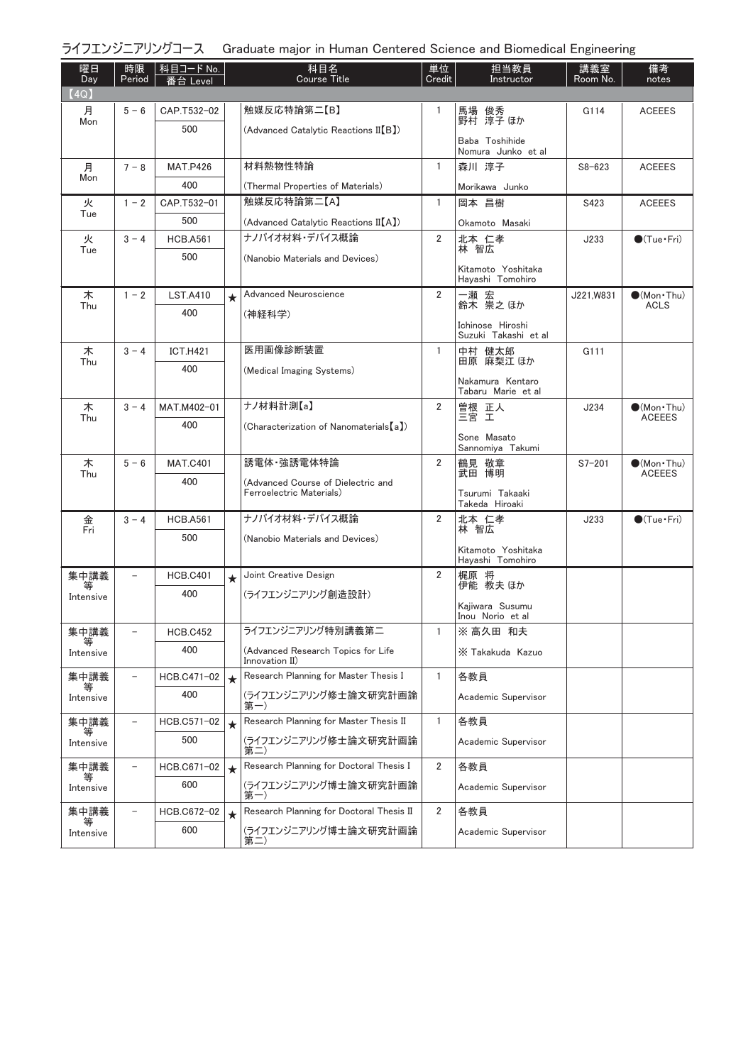| ライフエンジニアリングコース Graduate major in Human Centered Science and Biomedical Engineering |  |  |  |
|------------------------------------------------------------------------------------|--|--|--|
|                                                                                    |  |  |  |

| 曜日<br>Day      | 時限<br>Period             | │ 科目コード No.  <br>番台 Level |         | 科目名<br><b>Course Title</b>                           | 単位<br>Credit   | 担当教員<br>Instructor                       | 講義室<br>Room No. | 備考<br>notes            |
|----------------|--------------------------|---------------------------|---------|------------------------------------------------------|----------------|------------------------------------------|-----------------|------------------------|
| (4Q)<br>月      | $5 - 6$                  | CAP.T532-02               |         | 触媒反応特論第二【B】                                          | -1             |                                          | G114            | <b>ACEEES</b>          |
| Mon            |                          | 500                       |         | (Advanced Catalytic Reactions II(B))                 |                | 馬場 俊秀<br>野村 淳子 ほか                        |                 |                        |
|                |                          |                           |         |                                                      |                | Baba Toshihide<br>Nomura Junko et al     |                 |                        |
| 月              | $7 - 8$                  | <b>MAT.P426</b>           |         | 材料熱物性特論                                              | $\mathbf{1}$   | 森川 淳子                                    | $S8 - 623$      | <b>ACEEES</b>          |
| Mon            |                          | 400                       |         | (Thermal Properties of Materials)                    |                | Morikawa Junko                           |                 |                        |
| 火              | $1 - 2$                  | CAP.T532-01               |         | 触媒反応特論第二【A】                                          | $\mathbf{1}$   | 岡本 昌樹                                    | S423            | <b>ACEEES</b>          |
| Tue            |                          | 500                       |         | (Advanced Catalytic Reactions II(A))                 |                | Okamoto Masaki                           |                 |                        |
| 火<br>Tue       | $3 - 4$                  | <b>HCB.A561</b>           |         | ナノバイオ材料・デバイス概論                                       | 2              | 北本 仁孝<br>林 智広                            | J233            | $\bigcirc$ (Tue · Fri) |
|                |                          | 500                       |         | (Nanobio Materials and Devices)                      |                |                                          |                 |                        |
|                |                          |                           |         |                                                      |                | Kitamoto Yoshitaka<br>Hayashi Tomohiro   |                 |                        |
| 木              | $1 - 2$                  | <b>LST.A410</b>           | $\star$ | Advanced Neuroscience                                | $\overline{2}$ | 一瀬 宏                                     | J221,W831       | $\bullet$ (Mon · Thu)  |
| Thu            |                          | 400                       |         | (神経科学)                                               |                | 鈴木 祟之ほか                                  |                 | <b>ACLS</b>            |
|                |                          |                           |         |                                                      |                | Ichinose Hiroshi<br>Suzuki Takashi et al |                 |                        |
| 木              | $3 - 4$                  | <b>ICT.H421</b>           |         | 医用画像診断装置                                             | $\mathbf{1}$   | 中村 健太郎                                   | G111            |                        |
| Thu            |                          | 400                       |         | (Medical Imaging Systems)                            |                | 田原 麻梨江 ほか                                |                 |                        |
|                |                          |                           |         |                                                      |                | Nakamura Kentaro<br>Tabaru Marie et al   |                 |                        |
| 木              | $3 - 4$                  | MAT.M402-01               |         | ナノ材料計測【a】                                            | 2              | 曽根 正人                                    | J234            | $\bullet$ (Mon · Thu)  |
| Thu            |                          | 400                       |         | (Characterization of Nanomaterials [a])              |                | 三宮 工                                     |                 | <b>ACEEES</b>          |
|                |                          |                           |         |                                                      |                | Sone Masato<br>Sannomiya Takumi          |                 |                        |
| 木              | $5 - 6$                  | <b>MAT.C401</b>           |         | 誘電体·強誘電体特論                                           | 2              | 鶴見 敬章                                    | $S7 - 201$      | $\bullet$ (Mon · Thu)  |
| Thu            |                          | 400                       |         | (Advanced Course of Dielectric and                   |                | 武田 博明                                    |                 | <b>ACEEES</b>          |
|                |                          |                           |         | Ferroelectric Materials)                             |                | Tsurumi Takaaki<br>Takeda Hiroaki        |                 |                        |
| 金              | $3 - 4$                  | <b>HCB.A561</b>           |         | ナノバイオ材料・デバイス概論                                       | $\overline{2}$ | 北本 仁孝                                    | J233            | $\bigcirc$ (Tue · Fri) |
| Fri            |                          | 500                       |         | (Nanobio Materials and Devices)                      |                | 林 智広                                     |                 |                        |
|                |                          |                           |         |                                                      |                | Kitamoto Yoshitaka<br>Hayashi Tomohiro   |                 |                        |
| 集中講義           | $\overline{\phantom{a}}$ | <b>HCB.C401</b>           | $\star$ | Joint Creative Design                                | $\overline{2}$ | 梶原 将                                     |                 |                        |
| 等<br>Intensive |                          | 400                       |         | (ライフエンジニアリング創造設計)                                    |                | 伊能 教夫 ほか                                 |                 |                        |
|                |                          |                           |         |                                                      |                | Kaiiwara Susumu<br>Inou Norio et al      |                 |                        |
| 集中講義           |                          | <b>HCB.C452</b>           |         | ライフエンジニアリング特別講義第二                                    | 1              | ※ 高久田 和夫                                 |                 |                        |
| Intensive      |                          | 400                       |         | (Advanced Research Topics for Life<br>Innovation II) |                | X Takakuda Kazuo                         |                 |                        |
| 集中講義           |                          | HCB.C471-02               | $\star$ | Research Planning for Master Thesis I                | $\mathbf{1}$   | 各教員                                      |                 |                        |
| Intensive      |                          | 400                       |         | (ライフエンジニアリング修士論文研究計画論<br>第一)                         |                | Academic Supervisor                      |                 |                        |
| 集中講義           |                          | HCB.C571-02               | $\star$ | Research Planning for Master Thesis II               | $\mathbf{1}$   | 各教員                                      |                 |                        |
| Intensive      |                          | 500                       |         | (ライフエンジニアリング修士論文研究計画論<br>第二                          |                | Academic Supervisor                      |                 |                        |
| 集中講義           |                          | HCB.C671-02               | $\star$ | Research Planning for Doctoral Thesis I              | $\overline{2}$ | 各教員                                      |                 |                        |
| Intensive      |                          | 600                       |         | (ライフエンジニアリング博士論文研究計画論<br>第一)                         |                | Academic Supervisor                      |                 |                        |
| 集中講義<br>等      |                          | HCB.C672-02               | $\star$ | Research Planning for Doctoral Thesis II             | 2              | 各教員                                      |                 |                        |
| Intensive      |                          | 600                       |         | (ライフエンジニアリング博士論文研究計画論<br>第二                          |                | Academic Supervisor                      |                 |                        |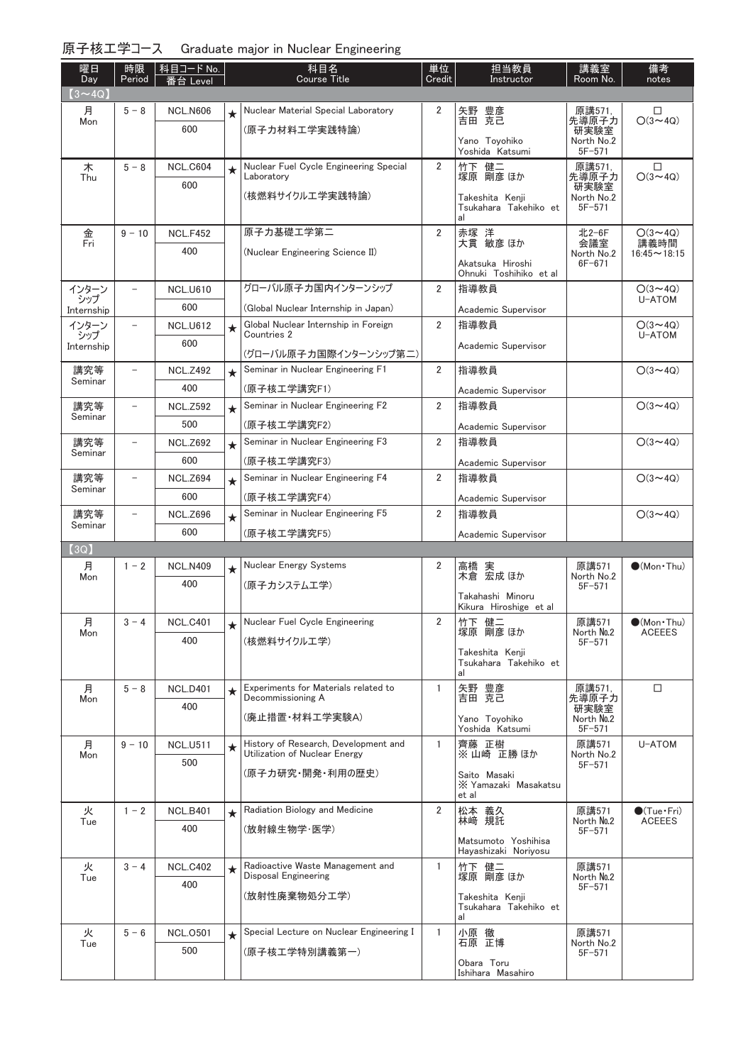| 原子核工学コース Graduate major in Nuclear Engineering |  |  |
|------------------------------------------------|--|--|
|                                                |  |  |

| 曜日<br>Day      | 時限<br>Period      | │科目コード No.<br>番台 Level |         | 科目名<br><b>Course Title</b>                                            | 単位<br>Credit   | 担当教員<br>Instructor                             | 講義室<br>Room No.          | 備考<br>notes                 |
|----------------|-------------------|------------------------|---------|-----------------------------------------------------------------------|----------------|------------------------------------------------|--------------------------|-----------------------------|
| $(3 \sim 4Q)$  |                   |                        |         |                                                                       |                |                                                |                          |                             |
| 月              | $5 - 8$           | <b>NCL.N606</b>        | $\star$ | Nuclear Material Special Laboratory                                   | 2              | 矢野 豊彦<br>吉田 克己                                 | 原講571,<br>先導原子力          | □<br>$O(3 \sim 4Q)$         |
| Mon            |                   | 600                    |         | (原子力材料工学実践特論)                                                         |                |                                                | 研実験室                     |                             |
|                |                   |                        |         |                                                                       |                | Yano Toyohiko<br>Yoshida Katsumi               | North No.2<br>$5F - 571$ |                             |
| 木<br>Thu       | $5 - 8$           | <b>NCL.C604</b>        | $\star$ | Nuclear Fuel Cycle Engineering Special<br>Laboratory                  | $\overline{2}$ | 竹下 健二<br>塚原 剛彦 ほか                              | 原講571,<br>先導原子力          | □<br>$O(3 \sim 4Q)$         |
|                |                   | 600                    |         | (核燃料サイクルエ学実践特論)                                                       |                | Takeshita Kenii                                | 研実験室<br>North No.2       |                             |
|                |                   |                        |         |                                                                       |                | Tsukahara Takehiko et<br>al                    | $5F - 571$               |                             |
| 金              | $9 - 10$          | <b>NCL.F452</b>        |         | 原子力基礎工学第二                                                             | $\overline{2}$ | 赤塚 洋<br>大貫 敏彦 ほか                               | 北2-6F                    | $O(3 - 4Q)$                 |
| Fri            |                   | 400                    |         | (Nuclear Engineering Science II)                                      |                |                                                | 会議室<br>North No.2        | 講義時間<br>$16:45 \sim 18:15$  |
|                |                   |                        |         |                                                                       |                | Akatsuka Hiroshi<br>Ohnuki Toshihiko et al     | $6F - 671$               |                             |
| インターン<br>シップ   | $\qquad \qquad -$ | <b>NCL.U610</b>        |         | グローバル原子力国内インターンシップ                                                    | $\overline{2}$ | 指導教員                                           |                          | $O(3 \sim 4Q)$<br>U-ATOM    |
| Internship     |                   | 600                    |         | (Global Nuclear Internship in Japan)                                  |                | Academic Supervisor                            |                          |                             |
| インターン<br>シップ   | $\qquad \qquad -$ | <b>NCL.U612</b>        | $\star$ | Global Nuclear Internship in Foreign<br>Countries 2                   | $\overline{2}$ | 指導教員                                           |                          | $O(3 \sim 4Q)$<br>U-ATOM    |
| Internship     |                   | 600                    |         | (グローバル原子力国際インターンシップ第二)                                                |                | Academic Supervisor                            |                          |                             |
| 講究等            | $\qquad \qquad -$ | <b>NCL.Z492</b>        | $\star$ | Seminar in Nuclear Engineering F1                                     | $\overline{2}$ | 指導教員                                           |                          | $O(3 \sim 4Q)$              |
| Seminar        |                   | 400                    |         | (原子核工学講究F1)                                                           |                | Academic Supervisor                            |                          |                             |
| 講究等            |                   | <b>NCL.Z592</b>        | $\star$ | Seminar in Nuclear Engineering F2                                     | $\overline{2}$ | 指導教員                                           |                          | $O(3 \sim 4Q)$              |
| Seminar        |                   | 500                    |         | (原子核工学講究F2)                                                           |                | Academic Supervisor                            |                          |                             |
| 講究等<br>Seminar |                   | <b>NCL.Z692</b>        | $\star$ | Seminar in Nuclear Engineering F3                                     | $\overline{2}$ | 指導教員                                           |                          | $O(3 \sim 4Q)$              |
|                |                   | 600                    |         | (原子核工学講究F3)                                                           |                | Academic Supervisor                            |                          |                             |
| 講究等<br>Seminar | $\qquad \qquad -$ | <b>NCL.Z694</b>        | $\star$ | Seminar in Nuclear Engineering F4                                     | $\overline{2}$ | 指導教員                                           |                          | $O(3 \sim 4Q)$              |
|                |                   | 600                    |         | (原子核工学講究F4)                                                           |                | Academic Supervisor                            |                          |                             |
| 講究等<br>Seminar | $\equiv$          | <b>NCL.Z696</b>        | $\star$ | Seminar in Nuclear Engineering F5                                     | 2              | 指導教員                                           |                          | $O(3 \sim 4Q)$              |
| (3Q)           |                   | 600                    |         | (原子核工学講究F5)                                                           |                | Academic Supervisor                            |                          |                             |
| 月              | $1 - 2$           | <b>NCL.N409</b>        | $\star$ | Nuclear Energy Systems                                                | 2              | 高橋 実                                           | 原講571                    | $\bullet$ (Mon Thu)         |
| Mon            |                   | 400                    |         | (原子カシステムエ学)                                                           |                | 木倉 宏成 ほか                                       | North No.2<br>$5F - 571$ |                             |
|                |                   |                        |         |                                                                       |                | Takahashi Minoru<br>Kikura Hiroshige et al     |                          |                             |
| 月              | $3 - 4$           | <b>NCL.C401</b>        | $\star$ | Nuclear Fuel Cycle Engineering                                        | $\overline{2}$ | 竹下 健二                                          | 原講571                    | $\bullet$ (Mon · Thu)       |
| Mon            |                   | 400                    |         | (核燃料サイクルエ学)                                                           |                | 塚原 剛彦 ほか                                       | North No.2<br>$5F - 571$ | <b>ACEEES</b>               |
|                |                   |                        |         |                                                                       |                | Takeshita Kenji<br>Tsukahara Takehiko et<br>al |                          |                             |
| 月              | $5 - 8$           | <b>NCL.D401</b>        | $\star$ | Experiments for Materials related to                                  | 1              | 矢野 豊彦                                          | 原講571,                   | $\Box$                      |
| Mon            |                   | 400                    |         | Decommissioning A                                                     |                | 吉田 克己                                          | 先導原子力<br>研実験室            |                             |
|                |                   |                        |         | (廃止措置·材料工学実験A)                                                        |                | Yano Tovohiko<br>Yoshida Katsumi               | North No.2<br>$5F - 571$ |                             |
| 月              | $9 - 10$          | <b>NCL.U511</b>        | $\star$ | History of Research, Development and<br>Utilization of Nuclear Energy | $\mathbf{1}$   | 齊藤 正樹<br>※山崎 正勝ほか                              | 原講571<br>North No.2      | U-ATOM                      |
| Mon            |                   | 500                    |         | (原子力研究・開発・利用の歴史)                                                      |                |                                                | $5F - 571$               |                             |
|                |                   |                        |         |                                                                       |                | Saito Masaki<br>X Yamazaki Masakatsu<br>et al  |                          |                             |
| 火              | $1 - 2$           | <b>NCL.B401</b>        | $\star$ | Radiation Biology and Medicine                                        | $\overline{2}$ | 松本 義久                                          | 原講571                    | $\bullet$ (Tue $\cdot$ Fri) |
| Tue            |                   | 400                    |         | (放射線生物学·医学)                                                           |                | 林崎 規託                                          | North No.2<br>$5F-571$   | <b>ACEEES</b>               |
|                |                   |                        |         |                                                                       |                | Matsumoto Yoshihisa<br>Hayashizaki Noriyosu    |                          |                             |
| 火<br>Tue       | $3 - 4$           | <b>NCL.C402</b>        | $\star$ | Radioactive Waste Management and<br>Disposal Engineering              | $\mathbf{1}$   | 竹下 健二<br>塚原 剛彦 ほか                              | 原講571<br>North No.2      |                             |
|                |                   | 400                    |         | (放射性廃棄物処分工学)                                                          |                |                                                | $5F - 571$               |                             |
|                |                   |                        |         |                                                                       |                | Takeshita Kenji<br>Tsukahara Takehiko et<br>al |                          |                             |
| 火              | $5 - 6$           | <b>NCL.0501</b>        | $\star$ | Special Lecture on Nuclear Engineering I                              | $\mathbf{1}$   | 小原 徹<br>石原 正博                                  | 原講571                    |                             |
| Tue            |                   | 500                    |         | (原子核工学特別講義第一)                                                         |                |                                                | North No.2<br>$5F - 571$ |                             |
|                |                   |                        |         |                                                                       |                | Obara Toru<br>Ishihara Masahiro                |                          |                             |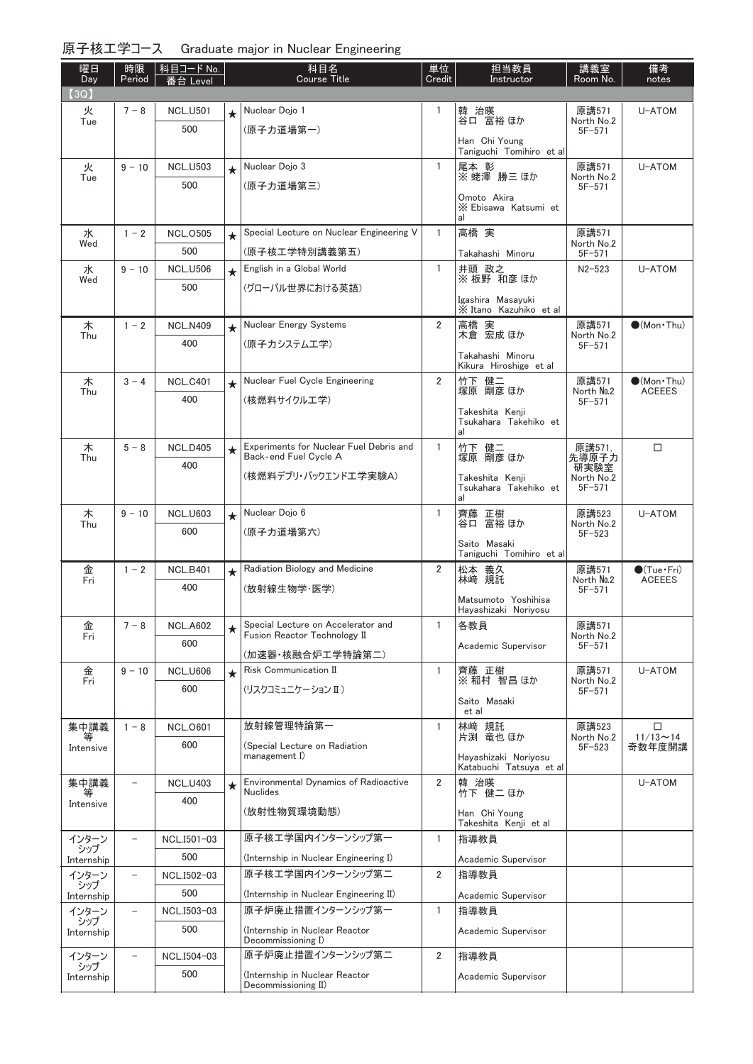| 原子核工学コース Graduate major in Nuclear Engineering |  |  |
|------------------------------------------------|--|--|
|                                                |  |  |

| (3Q)<br>Nuclear Dojo 1<br>韓 治暎<br>火<br>$7 - 8$<br><b>NCL.U501</b><br>1<br>原講571<br>U-ATOM<br>$\star$<br>谷口 富裕 ほか<br>Tue<br>North No.2<br>500<br>(原子力道場第一)<br>$5F - 571$<br>Han Chi Young<br>Taniguchi Tomihiro et al<br>Nuclear Dojo 3<br>$\mathbf{1}$<br>火<br>$9 - 10$<br>尾本 彰<br>原講571<br>U-ATOM<br><b>NCL.U503</b><br>$\star$<br>※蛯澤勝三ほか<br>Tue<br>North No.2<br>500<br>(原子力道場第三)<br>$5F - 571$<br>Omoto Akira<br>X Ebisawa Katsumi et<br>al<br>Special Lecture on Nuclear Engineering V<br>高橋 実<br>水<br>$1 - 2$<br>$\mathbf{1}$<br><b>NCL.0505</b><br>原講571<br>$\star$<br>North No.2<br>Wed<br>500<br>(原子核工学特別講義第五)<br>$5F - 571$<br>Takahashi Minoru<br>English in a Global World<br>井頭 政之<br>水<br>$9 - 10$<br><b>NCL.U506</b><br>$\mathbf{1}$<br>$N2 - 523$<br>U-ATOM<br>$\star$<br>※板野 和彦 ほか<br>Wed<br>500<br>(グローバル世界における英語)<br>Igashira Masayuki<br>X Itano Kazuhiko et al<br>Nuclear Energy Systems<br>$\overline{2}$<br>木<br>高橋 実<br>木倉 宏成 ほか<br>原講571<br>$\bullet$ (Mon · Thu)<br>$1 - 2$<br><b>NCL.N409</b><br>$\star$<br>Thu<br>North No.2<br>400<br>(原子カシステムエ学)<br>$5F - 571$<br>Takahashi Minoru<br>Kikura Hiroshige et al<br>木<br>$3 - 4$<br>Nuclear Fuel Cycle Engineering<br>$\overline{2}$<br>原講571<br><b>NCL.C401</b><br>竹下 健二<br>塚原 剛彦 ほか<br>$\bullet$ (Mon · Thu)<br>$\star$<br>North No.2<br><b>ACEEES</b><br>Thu<br>400<br>(核燃料サイクル工学)<br>$5F-571$<br>Takeshita Kenji<br>Tsukahara Takehiko et<br>al<br>Experiments for Nuclear Fuel Debris and<br>$\mathbf{1}$<br>竹下 健二<br>塚原 剛彦 ほか<br>$\Box$<br>木<br>原講571,<br>$5 - 8$<br><b>NCL.D405</b><br>$\star$<br>Back-end Fuel Cycle A<br>先導原子力<br>Thu<br>400<br>研実験室<br>(核燃料デブリ・バックエンドエ学実験A)<br>North No.2<br>Takeshita Kenji<br>$5F - 571$<br>Tsukahara Takehiko et<br>al<br>木<br>$9 - 10$<br>Nuclear Dojo 6<br><b>NCL.U603</b><br>1<br>齊藤 正樹<br>原講523<br>U-ATOM<br>$\star$<br>富裕 ほか<br>North No.2<br>Thu<br>谷口<br>600<br>(原子力道場第六)<br>$5F - 523$<br>Saito Masaki<br>Taniguchi Tomihiro et al<br>Radiation Biology and Medicine<br>原講571<br>$\bullet$ (Tue · Fri)<br>金<br>2<br>松本 義久<br>$1 - 2$<br><b>NCL.B401</b><br>$\star$<br>林崎 規託<br>Fri<br>North No.2<br><b>ACEEES</b><br>400<br>(放射線生物学·医学)<br>$5F - 571$<br>Matsumoto Yoshihisa<br>Hayashizaki Noriyosu<br>$7 - 8$<br><b>NCL.A602</b><br>Special Lecture on Accelerator and<br>$\mathbf{1}$<br>各教員<br>原講571<br>金<br>$\star$<br>Fusion Reactor Technology II<br>Fri<br>North No.2<br>600<br>Academic Supervisor<br>$5F - 571$<br>(加速器・核融合炉工学特論第二)<br>Risk Communication II<br>金<br>$9 - 10$<br><b>NCL.U606</b><br>1.<br>齊藤 正樹<br>原講571<br>U-ATOM<br>$\star$<br>※ 稲村 智昌 ほか<br>Fri<br>North No.2<br>600<br>(リスクコミュニケーション II)<br>$5F - 571$<br>Saito Masaki<br>et al<br>放射線管理特論第一<br>林崎 規託<br>集中講義<br>1<br>原講523<br>□<br>$1 - 8$<br><b>NCL.0601</b><br>片渕 竜也 ほか<br>$11/13 \sim 14$<br>North No.2<br>等<br>600<br>奇数年度開講<br>(Special Lecture on Radiation<br>$5F - 523$<br>Intensive<br>management I)<br>Hayashizaki Noriyosu<br>Katabuchi Tatsuya et al<br><b>Environmental Dynamics of Radioactive</b><br>$\overline{2}$<br>韓 治暎<br>集中講義<br>U-ATOM<br><b>NCL.U403</b><br>$\star$<br><b>Nuclides</b><br>竹下 健二 ほか<br>400<br>Intensive<br>(放射性物質環境動態)<br>Han Chi Young<br>Takeshita Kenji et al<br>原子核工学国内インターンシップ第一<br>インターン<br>指導教員<br>NCL.I501-03<br>$\mathbf{1}$<br>シップ<br>500<br>(Internship in Nuclear Engineering I)<br>Academic Supervisor<br>Internship<br>原子核工学国内インターンシップ第二<br>$\overline{2}$<br>インターン<br>指導教員<br>NCL.I502-03<br>$\overline{\phantom{0}}$<br>シップ<br>500<br>(Internship in Nuclear Engineering II)<br>Academic Supervisor<br>Internship<br>原子炉廃止措置インターンシップ第一<br>1<br>インターン<br>指導教員<br>NCL.I503-03<br>$\overline{\phantom{0}}$<br>シップ<br>500<br>(Internship in Nuclear Reactor<br>Academic Supervisor<br>Internship<br>Decommissioning I)<br>原子炉廃止措置インターンシップ第二<br>$\overline{2}$<br>NCL.I504-03<br>指導教員<br>インターン<br>シップ<br>500<br>(Internship in Nuclear Reactor<br>Academic Supervisor<br>Internship<br>Decommissioning II) | 曜日<br>Day | 時限<br>Period | │科目コード No.<br>番台 Level | 科目名<br><b>Course Title</b> | 単位<br>Credit | 担当教員<br>Instructor | 講義室<br>Room No. | 備考<br>notes |
|---------------------------------------------------------------------------------------------------------------------------------------------------------------------------------------------------------------------------------------------------------------------------------------------------------------------------------------------------------------------------------------------------------------------------------------------------------------------------------------------------------------------------------------------------------------------------------------------------------------------------------------------------------------------------------------------------------------------------------------------------------------------------------------------------------------------------------------------------------------------------------------------------------------------------------------------------------------------------------------------------------------------------------------------------------------------------------------------------------------------------------------------------------------------------------------------------------------------------------------------------------------------------------------------------------------------------------------------------------------------------------------------------------------------------------------------------------------------------------------------------------------------------------------------------------------------------------------------------------------------------------------------------------------------------------------------------------------------------------------------------------------------------------------------------------------------------------------------------------------------------------------------------------------------------------------------------------------------------------------------------------------------------------------------------------------------------------------------------------------------------------------------------------------------------------------------------------------------------------------------------------------------------------------------------------------------------------------------------------------------------------------------------------------------------------------------------------------------------------------------------------------------------------------------------------------------------------------------------------------------------------------------------------------------------------------------------------------------------------------------------------------------------------------------------------------------------------------------------------------------------------------------------------------------------------------------------------------------------------------------------------------------------------------------------------------------------------------------------------------------------------------------------------------------------------------------------------------------------------------------------------------------------------------------------------------------------------------------------------------------------------------------------------------------------------------------------------------------------------------------------------------------------------------------------------------------------------------------------------------------------------------------------------------------------------------------------------------------------------------------------------------------------------------------------------------------------------------------------------------------------------------------------------------------------------------------------------------------------|-----------|--------------|------------------------|----------------------------|--------------|--------------------|-----------------|-------------|
|                                                                                                                                                                                                                                                                                                                                                                                                                                                                                                                                                                                                                                                                                                                                                                                                                                                                                                                                                                                                                                                                                                                                                                                                                                                                                                                                                                                                                                                                                                                                                                                                                                                                                                                                                                                                                                                                                                                                                                                                                                                                                                                                                                                                                                                                                                                                                                                                                                                                                                                                                                                                                                                                                                                                                                                                                                                                                                                                                                                                                                                                                                                                                                                                                                                                                                                                                                                                                                                                                                                                                                                                                                                                                                                                                                                                                                                                                                                                                                           |           |              |                        |                            |              |                    |                 |             |
|                                                                                                                                                                                                                                                                                                                                                                                                                                                                                                                                                                                                                                                                                                                                                                                                                                                                                                                                                                                                                                                                                                                                                                                                                                                                                                                                                                                                                                                                                                                                                                                                                                                                                                                                                                                                                                                                                                                                                                                                                                                                                                                                                                                                                                                                                                                                                                                                                                                                                                                                                                                                                                                                                                                                                                                                                                                                                                                                                                                                                                                                                                                                                                                                                                                                                                                                                                                                                                                                                                                                                                                                                                                                                                                                                                                                                                                                                                                                                                           |           |              |                        |                            |              |                    |                 |             |
|                                                                                                                                                                                                                                                                                                                                                                                                                                                                                                                                                                                                                                                                                                                                                                                                                                                                                                                                                                                                                                                                                                                                                                                                                                                                                                                                                                                                                                                                                                                                                                                                                                                                                                                                                                                                                                                                                                                                                                                                                                                                                                                                                                                                                                                                                                                                                                                                                                                                                                                                                                                                                                                                                                                                                                                                                                                                                                                                                                                                                                                                                                                                                                                                                                                                                                                                                                                                                                                                                                                                                                                                                                                                                                                                                                                                                                                                                                                                                                           |           |              |                        |                            |              |                    |                 |             |
|                                                                                                                                                                                                                                                                                                                                                                                                                                                                                                                                                                                                                                                                                                                                                                                                                                                                                                                                                                                                                                                                                                                                                                                                                                                                                                                                                                                                                                                                                                                                                                                                                                                                                                                                                                                                                                                                                                                                                                                                                                                                                                                                                                                                                                                                                                                                                                                                                                                                                                                                                                                                                                                                                                                                                                                                                                                                                                                                                                                                                                                                                                                                                                                                                                                                                                                                                                                                                                                                                                                                                                                                                                                                                                                                                                                                                                                                                                                                                                           |           |              |                        |                            |              |                    |                 |             |
|                                                                                                                                                                                                                                                                                                                                                                                                                                                                                                                                                                                                                                                                                                                                                                                                                                                                                                                                                                                                                                                                                                                                                                                                                                                                                                                                                                                                                                                                                                                                                                                                                                                                                                                                                                                                                                                                                                                                                                                                                                                                                                                                                                                                                                                                                                                                                                                                                                                                                                                                                                                                                                                                                                                                                                                                                                                                                                                                                                                                                                                                                                                                                                                                                                                                                                                                                                                                                                                                                                                                                                                                                                                                                                                                                                                                                                                                                                                                                                           |           |              |                        |                            |              |                    |                 |             |
|                                                                                                                                                                                                                                                                                                                                                                                                                                                                                                                                                                                                                                                                                                                                                                                                                                                                                                                                                                                                                                                                                                                                                                                                                                                                                                                                                                                                                                                                                                                                                                                                                                                                                                                                                                                                                                                                                                                                                                                                                                                                                                                                                                                                                                                                                                                                                                                                                                                                                                                                                                                                                                                                                                                                                                                                                                                                                                                                                                                                                                                                                                                                                                                                                                                                                                                                                                                                                                                                                                                                                                                                                                                                                                                                                                                                                                                                                                                                                                           |           |              |                        |                            |              |                    |                 |             |
|                                                                                                                                                                                                                                                                                                                                                                                                                                                                                                                                                                                                                                                                                                                                                                                                                                                                                                                                                                                                                                                                                                                                                                                                                                                                                                                                                                                                                                                                                                                                                                                                                                                                                                                                                                                                                                                                                                                                                                                                                                                                                                                                                                                                                                                                                                                                                                                                                                                                                                                                                                                                                                                                                                                                                                                                                                                                                                                                                                                                                                                                                                                                                                                                                                                                                                                                                                                                                                                                                                                                                                                                                                                                                                                                                                                                                                                                                                                                                                           |           |              |                        |                            |              |                    |                 |             |
|                                                                                                                                                                                                                                                                                                                                                                                                                                                                                                                                                                                                                                                                                                                                                                                                                                                                                                                                                                                                                                                                                                                                                                                                                                                                                                                                                                                                                                                                                                                                                                                                                                                                                                                                                                                                                                                                                                                                                                                                                                                                                                                                                                                                                                                                                                                                                                                                                                                                                                                                                                                                                                                                                                                                                                                                                                                                                                                                                                                                                                                                                                                                                                                                                                                                                                                                                                                                                                                                                                                                                                                                                                                                                                                                                                                                                                                                                                                                                                           |           |              |                        |                            |              |                    |                 |             |
|                                                                                                                                                                                                                                                                                                                                                                                                                                                                                                                                                                                                                                                                                                                                                                                                                                                                                                                                                                                                                                                                                                                                                                                                                                                                                                                                                                                                                                                                                                                                                                                                                                                                                                                                                                                                                                                                                                                                                                                                                                                                                                                                                                                                                                                                                                                                                                                                                                                                                                                                                                                                                                                                                                                                                                                                                                                                                                                                                                                                                                                                                                                                                                                                                                                                                                                                                                                                                                                                                                                                                                                                                                                                                                                                                                                                                                                                                                                                                                           |           |              |                        |                            |              |                    |                 |             |
|                                                                                                                                                                                                                                                                                                                                                                                                                                                                                                                                                                                                                                                                                                                                                                                                                                                                                                                                                                                                                                                                                                                                                                                                                                                                                                                                                                                                                                                                                                                                                                                                                                                                                                                                                                                                                                                                                                                                                                                                                                                                                                                                                                                                                                                                                                                                                                                                                                                                                                                                                                                                                                                                                                                                                                                                                                                                                                                                                                                                                                                                                                                                                                                                                                                                                                                                                                                                                                                                                                                                                                                                                                                                                                                                                                                                                                                                                                                                                                           |           |              |                        |                            |              |                    |                 |             |
|                                                                                                                                                                                                                                                                                                                                                                                                                                                                                                                                                                                                                                                                                                                                                                                                                                                                                                                                                                                                                                                                                                                                                                                                                                                                                                                                                                                                                                                                                                                                                                                                                                                                                                                                                                                                                                                                                                                                                                                                                                                                                                                                                                                                                                                                                                                                                                                                                                                                                                                                                                                                                                                                                                                                                                                                                                                                                                                                                                                                                                                                                                                                                                                                                                                                                                                                                                                                                                                                                                                                                                                                                                                                                                                                                                                                                                                                                                                                                                           |           |              |                        |                            |              |                    |                 |             |
|                                                                                                                                                                                                                                                                                                                                                                                                                                                                                                                                                                                                                                                                                                                                                                                                                                                                                                                                                                                                                                                                                                                                                                                                                                                                                                                                                                                                                                                                                                                                                                                                                                                                                                                                                                                                                                                                                                                                                                                                                                                                                                                                                                                                                                                                                                                                                                                                                                                                                                                                                                                                                                                                                                                                                                                                                                                                                                                                                                                                                                                                                                                                                                                                                                                                                                                                                                                                                                                                                                                                                                                                                                                                                                                                                                                                                                                                                                                                                                           |           |              |                        |                            |              |                    |                 |             |
|                                                                                                                                                                                                                                                                                                                                                                                                                                                                                                                                                                                                                                                                                                                                                                                                                                                                                                                                                                                                                                                                                                                                                                                                                                                                                                                                                                                                                                                                                                                                                                                                                                                                                                                                                                                                                                                                                                                                                                                                                                                                                                                                                                                                                                                                                                                                                                                                                                                                                                                                                                                                                                                                                                                                                                                                                                                                                                                                                                                                                                                                                                                                                                                                                                                                                                                                                                                                                                                                                                                                                                                                                                                                                                                                                                                                                                                                                                                                                                           |           |              |                        |                            |              |                    |                 |             |
|                                                                                                                                                                                                                                                                                                                                                                                                                                                                                                                                                                                                                                                                                                                                                                                                                                                                                                                                                                                                                                                                                                                                                                                                                                                                                                                                                                                                                                                                                                                                                                                                                                                                                                                                                                                                                                                                                                                                                                                                                                                                                                                                                                                                                                                                                                                                                                                                                                                                                                                                                                                                                                                                                                                                                                                                                                                                                                                                                                                                                                                                                                                                                                                                                                                                                                                                                                                                                                                                                                                                                                                                                                                                                                                                                                                                                                                                                                                                                                           |           |              |                        |                            |              |                    |                 |             |
|                                                                                                                                                                                                                                                                                                                                                                                                                                                                                                                                                                                                                                                                                                                                                                                                                                                                                                                                                                                                                                                                                                                                                                                                                                                                                                                                                                                                                                                                                                                                                                                                                                                                                                                                                                                                                                                                                                                                                                                                                                                                                                                                                                                                                                                                                                                                                                                                                                                                                                                                                                                                                                                                                                                                                                                                                                                                                                                                                                                                                                                                                                                                                                                                                                                                                                                                                                                                                                                                                                                                                                                                                                                                                                                                                                                                                                                                                                                                                                           |           |              |                        |                            |              |                    |                 |             |
|                                                                                                                                                                                                                                                                                                                                                                                                                                                                                                                                                                                                                                                                                                                                                                                                                                                                                                                                                                                                                                                                                                                                                                                                                                                                                                                                                                                                                                                                                                                                                                                                                                                                                                                                                                                                                                                                                                                                                                                                                                                                                                                                                                                                                                                                                                                                                                                                                                                                                                                                                                                                                                                                                                                                                                                                                                                                                                                                                                                                                                                                                                                                                                                                                                                                                                                                                                                                                                                                                                                                                                                                                                                                                                                                                                                                                                                                                                                                                                           |           |              |                        |                            |              |                    |                 |             |
|                                                                                                                                                                                                                                                                                                                                                                                                                                                                                                                                                                                                                                                                                                                                                                                                                                                                                                                                                                                                                                                                                                                                                                                                                                                                                                                                                                                                                                                                                                                                                                                                                                                                                                                                                                                                                                                                                                                                                                                                                                                                                                                                                                                                                                                                                                                                                                                                                                                                                                                                                                                                                                                                                                                                                                                                                                                                                                                                                                                                                                                                                                                                                                                                                                                                                                                                                                                                                                                                                                                                                                                                                                                                                                                                                                                                                                                                                                                                                                           |           |              |                        |                            |              |                    |                 |             |
|                                                                                                                                                                                                                                                                                                                                                                                                                                                                                                                                                                                                                                                                                                                                                                                                                                                                                                                                                                                                                                                                                                                                                                                                                                                                                                                                                                                                                                                                                                                                                                                                                                                                                                                                                                                                                                                                                                                                                                                                                                                                                                                                                                                                                                                                                                                                                                                                                                                                                                                                                                                                                                                                                                                                                                                                                                                                                                                                                                                                                                                                                                                                                                                                                                                                                                                                                                                                                                                                                                                                                                                                                                                                                                                                                                                                                                                                                                                                                                           |           |              |                        |                            |              |                    |                 |             |
|                                                                                                                                                                                                                                                                                                                                                                                                                                                                                                                                                                                                                                                                                                                                                                                                                                                                                                                                                                                                                                                                                                                                                                                                                                                                                                                                                                                                                                                                                                                                                                                                                                                                                                                                                                                                                                                                                                                                                                                                                                                                                                                                                                                                                                                                                                                                                                                                                                                                                                                                                                                                                                                                                                                                                                                                                                                                                                                                                                                                                                                                                                                                                                                                                                                                                                                                                                                                                                                                                                                                                                                                                                                                                                                                                                                                                                                                                                                                                                           |           |              |                        |                            |              |                    |                 |             |
|                                                                                                                                                                                                                                                                                                                                                                                                                                                                                                                                                                                                                                                                                                                                                                                                                                                                                                                                                                                                                                                                                                                                                                                                                                                                                                                                                                                                                                                                                                                                                                                                                                                                                                                                                                                                                                                                                                                                                                                                                                                                                                                                                                                                                                                                                                                                                                                                                                                                                                                                                                                                                                                                                                                                                                                                                                                                                                                                                                                                                                                                                                                                                                                                                                                                                                                                                                                                                                                                                                                                                                                                                                                                                                                                                                                                                                                                                                                                                                           |           |              |                        |                            |              |                    |                 |             |
|                                                                                                                                                                                                                                                                                                                                                                                                                                                                                                                                                                                                                                                                                                                                                                                                                                                                                                                                                                                                                                                                                                                                                                                                                                                                                                                                                                                                                                                                                                                                                                                                                                                                                                                                                                                                                                                                                                                                                                                                                                                                                                                                                                                                                                                                                                                                                                                                                                                                                                                                                                                                                                                                                                                                                                                                                                                                                                                                                                                                                                                                                                                                                                                                                                                                                                                                                                                                                                                                                                                                                                                                                                                                                                                                                                                                                                                                                                                                                                           |           |              |                        |                            |              |                    |                 |             |
|                                                                                                                                                                                                                                                                                                                                                                                                                                                                                                                                                                                                                                                                                                                                                                                                                                                                                                                                                                                                                                                                                                                                                                                                                                                                                                                                                                                                                                                                                                                                                                                                                                                                                                                                                                                                                                                                                                                                                                                                                                                                                                                                                                                                                                                                                                                                                                                                                                                                                                                                                                                                                                                                                                                                                                                                                                                                                                                                                                                                                                                                                                                                                                                                                                                                                                                                                                                                                                                                                                                                                                                                                                                                                                                                                                                                                                                                                                                                                                           |           |              |                        |                            |              |                    |                 |             |
|                                                                                                                                                                                                                                                                                                                                                                                                                                                                                                                                                                                                                                                                                                                                                                                                                                                                                                                                                                                                                                                                                                                                                                                                                                                                                                                                                                                                                                                                                                                                                                                                                                                                                                                                                                                                                                                                                                                                                                                                                                                                                                                                                                                                                                                                                                                                                                                                                                                                                                                                                                                                                                                                                                                                                                                                                                                                                                                                                                                                                                                                                                                                                                                                                                                                                                                                                                                                                                                                                                                                                                                                                                                                                                                                                                                                                                                                                                                                                                           |           |              |                        |                            |              |                    |                 |             |
|                                                                                                                                                                                                                                                                                                                                                                                                                                                                                                                                                                                                                                                                                                                                                                                                                                                                                                                                                                                                                                                                                                                                                                                                                                                                                                                                                                                                                                                                                                                                                                                                                                                                                                                                                                                                                                                                                                                                                                                                                                                                                                                                                                                                                                                                                                                                                                                                                                                                                                                                                                                                                                                                                                                                                                                                                                                                                                                                                                                                                                                                                                                                                                                                                                                                                                                                                                                                                                                                                                                                                                                                                                                                                                                                                                                                                                                                                                                                                                           |           |              |                        |                            |              |                    |                 |             |
|                                                                                                                                                                                                                                                                                                                                                                                                                                                                                                                                                                                                                                                                                                                                                                                                                                                                                                                                                                                                                                                                                                                                                                                                                                                                                                                                                                                                                                                                                                                                                                                                                                                                                                                                                                                                                                                                                                                                                                                                                                                                                                                                                                                                                                                                                                                                                                                                                                                                                                                                                                                                                                                                                                                                                                                                                                                                                                                                                                                                                                                                                                                                                                                                                                                                                                                                                                                                                                                                                                                                                                                                                                                                                                                                                                                                                                                                                                                                                                           |           |              |                        |                            |              |                    |                 |             |
|                                                                                                                                                                                                                                                                                                                                                                                                                                                                                                                                                                                                                                                                                                                                                                                                                                                                                                                                                                                                                                                                                                                                                                                                                                                                                                                                                                                                                                                                                                                                                                                                                                                                                                                                                                                                                                                                                                                                                                                                                                                                                                                                                                                                                                                                                                                                                                                                                                                                                                                                                                                                                                                                                                                                                                                                                                                                                                                                                                                                                                                                                                                                                                                                                                                                                                                                                                                                                                                                                                                                                                                                                                                                                                                                                                                                                                                                                                                                                                           |           |              |                        |                            |              |                    |                 |             |
|                                                                                                                                                                                                                                                                                                                                                                                                                                                                                                                                                                                                                                                                                                                                                                                                                                                                                                                                                                                                                                                                                                                                                                                                                                                                                                                                                                                                                                                                                                                                                                                                                                                                                                                                                                                                                                                                                                                                                                                                                                                                                                                                                                                                                                                                                                                                                                                                                                                                                                                                                                                                                                                                                                                                                                                                                                                                                                                                                                                                                                                                                                                                                                                                                                                                                                                                                                                                                                                                                                                                                                                                                                                                                                                                                                                                                                                                                                                                                                           |           |              |                        |                            |              |                    |                 |             |
|                                                                                                                                                                                                                                                                                                                                                                                                                                                                                                                                                                                                                                                                                                                                                                                                                                                                                                                                                                                                                                                                                                                                                                                                                                                                                                                                                                                                                                                                                                                                                                                                                                                                                                                                                                                                                                                                                                                                                                                                                                                                                                                                                                                                                                                                                                                                                                                                                                                                                                                                                                                                                                                                                                                                                                                                                                                                                                                                                                                                                                                                                                                                                                                                                                                                                                                                                                                                                                                                                                                                                                                                                                                                                                                                                                                                                                                                                                                                                                           |           |              |                        |                            |              |                    |                 |             |
|                                                                                                                                                                                                                                                                                                                                                                                                                                                                                                                                                                                                                                                                                                                                                                                                                                                                                                                                                                                                                                                                                                                                                                                                                                                                                                                                                                                                                                                                                                                                                                                                                                                                                                                                                                                                                                                                                                                                                                                                                                                                                                                                                                                                                                                                                                                                                                                                                                                                                                                                                                                                                                                                                                                                                                                                                                                                                                                                                                                                                                                                                                                                                                                                                                                                                                                                                                                                                                                                                                                                                                                                                                                                                                                                                                                                                                                                                                                                                                           |           |              |                        |                            |              |                    |                 |             |
|                                                                                                                                                                                                                                                                                                                                                                                                                                                                                                                                                                                                                                                                                                                                                                                                                                                                                                                                                                                                                                                                                                                                                                                                                                                                                                                                                                                                                                                                                                                                                                                                                                                                                                                                                                                                                                                                                                                                                                                                                                                                                                                                                                                                                                                                                                                                                                                                                                                                                                                                                                                                                                                                                                                                                                                                                                                                                                                                                                                                                                                                                                                                                                                                                                                                                                                                                                                                                                                                                                                                                                                                                                                                                                                                                                                                                                                                                                                                                                           |           |              |                        |                            |              |                    |                 |             |
|                                                                                                                                                                                                                                                                                                                                                                                                                                                                                                                                                                                                                                                                                                                                                                                                                                                                                                                                                                                                                                                                                                                                                                                                                                                                                                                                                                                                                                                                                                                                                                                                                                                                                                                                                                                                                                                                                                                                                                                                                                                                                                                                                                                                                                                                                                                                                                                                                                                                                                                                                                                                                                                                                                                                                                                                                                                                                                                                                                                                                                                                                                                                                                                                                                                                                                                                                                                                                                                                                                                                                                                                                                                                                                                                                                                                                                                                                                                                                                           |           |              |                        |                            |              |                    |                 |             |
|                                                                                                                                                                                                                                                                                                                                                                                                                                                                                                                                                                                                                                                                                                                                                                                                                                                                                                                                                                                                                                                                                                                                                                                                                                                                                                                                                                                                                                                                                                                                                                                                                                                                                                                                                                                                                                                                                                                                                                                                                                                                                                                                                                                                                                                                                                                                                                                                                                                                                                                                                                                                                                                                                                                                                                                                                                                                                                                                                                                                                                                                                                                                                                                                                                                                                                                                                                                                                                                                                                                                                                                                                                                                                                                                                                                                                                                                                                                                                                           |           |              |                        |                            |              |                    |                 |             |
|                                                                                                                                                                                                                                                                                                                                                                                                                                                                                                                                                                                                                                                                                                                                                                                                                                                                                                                                                                                                                                                                                                                                                                                                                                                                                                                                                                                                                                                                                                                                                                                                                                                                                                                                                                                                                                                                                                                                                                                                                                                                                                                                                                                                                                                                                                                                                                                                                                                                                                                                                                                                                                                                                                                                                                                                                                                                                                                                                                                                                                                                                                                                                                                                                                                                                                                                                                                                                                                                                                                                                                                                                                                                                                                                                                                                                                                                                                                                                                           |           |              |                        |                            |              |                    |                 |             |
|                                                                                                                                                                                                                                                                                                                                                                                                                                                                                                                                                                                                                                                                                                                                                                                                                                                                                                                                                                                                                                                                                                                                                                                                                                                                                                                                                                                                                                                                                                                                                                                                                                                                                                                                                                                                                                                                                                                                                                                                                                                                                                                                                                                                                                                                                                                                                                                                                                                                                                                                                                                                                                                                                                                                                                                                                                                                                                                                                                                                                                                                                                                                                                                                                                                                                                                                                                                                                                                                                                                                                                                                                                                                                                                                                                                                                                                                                                                                                                           |           |              |                        |                            |              |                    |                 |             |
|                                                                                                                                                                                                                                                                                                                                                                                                                                                                                                                                                                                                                                                                                                                                                                                                                                                                                                                                                                                                                                                                                                                                                                                                                                                                                                                                                                                                                                                                                                                                                                                                                                                                                                                                                                                                                                                                                                                                                                                                                                                                                                                                                                                                                                                                                                                                                                                                                                                                                                                                                                                                                                                                                                                                                                                                                                                                                                                                                                                                                                                                                                                                                                                                                                                                                                                                                                                                                                                                                                                                                                                                                                                                                                                                                                                                                                                                                                                                                                           |           |              |                        |                            |              |                    |                 |             |
|                                                                                                                                                                                                                                                                                                                                                                                                                                                                                                                                                                                                                                                                                                                                                                                                                                                                                                                                                                                                                                                                                                                                                                                                                                                                                                                                                                                                                                                                                                                                                                                                                                                                                                                                                                                                                                                                                                                                                                                                                                                                                                                                                                                                                                                                                                                                                                                                                                                                                                                                                                                                                                                                                                                                                                                                                                                                                                                                                                                                                                                                                                                                                                                                                                                                                                                                                                                                                                                                                                                                                                                                                                                                                                                                                                                                                                                                                                                                                                           |           |              |                        |                            |              |                    |                 |             |
|                                                                                                                                                                                                                                                                                                                                                                                                                                                                                                                                                                                                                                                                                                                                                                                                                                                                                                                                                                                                                                                                                                                                                                                                                                                                                                                                                                                                                                                                                                                                                                                                                                                                                                                                                                                                                                                                                                                                                                                                                                                                                                                                                                                                                                                                                                                                                                                                                                                                                                                                                                                                                                                                                                                                                                                                                                                                                                                                                                                                                                                                                                                                                                                                                                                                                                                                                                                                                                                                                                                                                                                                                                                                                                                                                                                                                                                                                                                                                                           |           |              |                        |                            |              |                    |                 |             |
|                                                                                                                                                                                                                                                                                                                                                                                                                                                                                                                                                                                                                                                                                                                                                                                                                                                                                                                                                                                                                                                                                                                                                                                                                                                                                                                                                                                                                                                                                                                                                                                                                                                                                                                                                                                                                                                                                                                                                                                                                                                                                                                                                                                                                                                                                                                                                                                                                                                                                                                                                                                                                                                                                                                                                                                                                                                                                                                                                                                                                                                                                                                                                                                                                                                                                                                                                                                                                                                                                                                                                                                                                                                                                                                                                                                                                                                                                                                                                                           |           |              |                        |                            |              |                    |                 |             |
|                                                                                                                                                                                                                                                                                                                                                                                                                                                                                                                                                                                                                                                                                                                                                                                                                                                                                                                                                                                                                                                                                                                                                                                                                                                                                                                                                                                                                                                                                                                                                                                                                                                                                                                                                                                                                                                                                                                                                                                                                                                                                                                                                                                                                                                                                                                                                                                                                                                                                                                                                                                                                                                                                                                                                                                                                                                                                                                                                                                                                                                                                                                                                                                                                                                                                                                                                                                                                                                                                                                                                                                                                                                                                                                                                                                                                                                                                                                                                                           |           |              |                        |                            |              |                    |                 |             |
|                                                                                                                                                                                                                                                                                                                                                                                                                                                                                                                                                                                                                                                                                                                                                                                                                                                                                                                                                                                                                                                                                                                                                                                                                                                                                                                                                                                                                                                                                                                                                                                                                                                                                                                                                                                                                                                                                                                                                                                                                                                                                                                                                                                                                                                                                                                                                                                                                                                                                                                                                                                                                                                                                                                                                                                                                                                                                                                                                                                                                                                                                                                                                                                                                                                                                                                                                                                                                                                                                                                                                                                                                                                                                                                                                                                                                                                                                                                                                                           |           |              |                        |                            |              |                    |                 |             |
|                                                                                                                                                                                                                                                                                                                                                                                                                                                                                                                                                                                                                                                                                                                                                                                                                                                                                                                                                                                                                                                                                                                                                                                                                                                                                                                                                                                                                                                                                                                                                                                                                                                                                                                                                                                                                                                                                                                                                                                                                                                                                                                                                                                                                                                                                                                                                                                                                                                                                                                                                                                                                                                                                                                                                                                                                                                                                                                                                                                                                                                                                                                                                                                                                                                                                                                                                                                                                                                                                                                                                                                                                                                                                                                                                                                                                                                                                                                                                                           |           |              |                        |                            |              |                    |                 |             |
|                                                                                                                                                                                                                                                                                                                                                                                                                                                                                                                                                                                                                                                                                                                                                                                                                                                                                                                                                                                                                                                                                                                                                                                                                                                                                                                                                                                                                                                                                                                                                                                                                                                                                                                                                                                                                                                                                                                                                                                                                                                                                                                                                                                                                                                                                                                                                                                                                                                                                                                                                                                                                                                                                                                                                                                                                                                                                                                                                                                                                                                                                                                                                                                                                                                                                                                                                                                                                                                                                                                                                                                                                                                                                                                                                                                                                                                                                                                                                                           |           |              |                        |                            |              |                    |                 |             |
|                                                                                                                                                                                                                                                                                                                                                                                                                                                                                                                                                                                                                                                                                                                                                                                                                                                                                                                                                                                                                                                                                                                                                                                                                                                                                                                                                                                                                                                                                                                                                                                                                                                                                                                                                                                                                                                                                                                                                                                                                                                                                                                                                                                                                                                                                                                                                                                                                                                                                                                                                                                                                                                                                                                                                                                                                                                                                                                                                                                                                                                                                                                                                                                                                                                                                                                                                                                                                                                                                                                                                                                                                                                                                                                                                                                                                                                                                                                                                                           |           |              |                        |                            |              |                    |                 |             |
|                                                                                                                                                                                                                                                                                                                                                                                                                                                                                                                                                                                                                                                                                                                                                                                                                                                                                                                                                                                                                                                                                                                                                                                                                                                                                                                                                                                                                                                                                                                                                                                                                                                                                                                                                                                                                                                                                                                                                                                                                                                                                                                                                                                                                                                                                                                                                                                                                                                                                                                                                                                                                                                                                                                                                                                                                                                                                                                                                                                                                                                                                                                                                                                                                                                                                                                                                                                                                                                                                                                                                                                                                                                                                                                                                                                                                                                                                                                                                                           |           |              |                        |                            |              |                    |                 |             |
|                                                                                                                                                                                                                                                                                                                                                                                                                                                                                                                                                                                                                                                                                                                                                                                                                                                                                                                                                                                                                                                                                                                                                                                                                                                                                                                                                                                                                                                                                                                                                                                                                                                                                                                                                                                                                                                                                                                                                                                                                                                                                                                                                                                                                                                                                                                                                                                                                                                                                                                                                                                                                                                                                                                                                                                                                                                                                                                                                                                                                                                                                                                                                                                                                                                                                                                                                                                                                                                                                                                                                                                                                                                                                                                                                                                                                                                                                                                                                                           |           |              |                        |                            |              |                    |                 |             |
|                                                                                                                                                                                                                                                                                                                                                                                                                                                                                                                                                                                                                                                                                                                                                                                                                                                                                                                                                                                                                                                                                                                                                                                                                                                                                                                                                                                                                                                                                                                                                                                                                                                                                                                                                                                                                                                                                                                                                                                                                                                                                                                                                                                                                                                                                                                                                                                                                                                                                                                                                                                                                                                                                                                                                                                                                                                                                                                                                                                                                                                                                                                                                                                                                                                                                                                                                                                                                                                                                                                                                                                                                                                                                                                                                                                                                                                                                                                                                                           |           |              |                        |                            |              |                    |                 |             |
|                                                                                                                                                                                                                                                                                                                                                                                                                                                                                                                                                                                                                                                                                                                                                                                                                                                                                                                                                                                                                                                                                                                                                                                                                                                                                                                                                                                                                                                                                                                                                                                                                                                                                                                                                                                                                                                                                                                                                                                                                                                                                                                                                                                                                                                                                                                                                                                                                                                                                                                                                                                                                                                                                                                                                                                                                                                                                                                                                                                                                                                                                                                                                                                                                                                                                                                                                                                                                                                                                                                                                                                                                                                                                                                                                                                                                                                                                                                                                                           |           |              |                        |                            |              |                    |                 |             |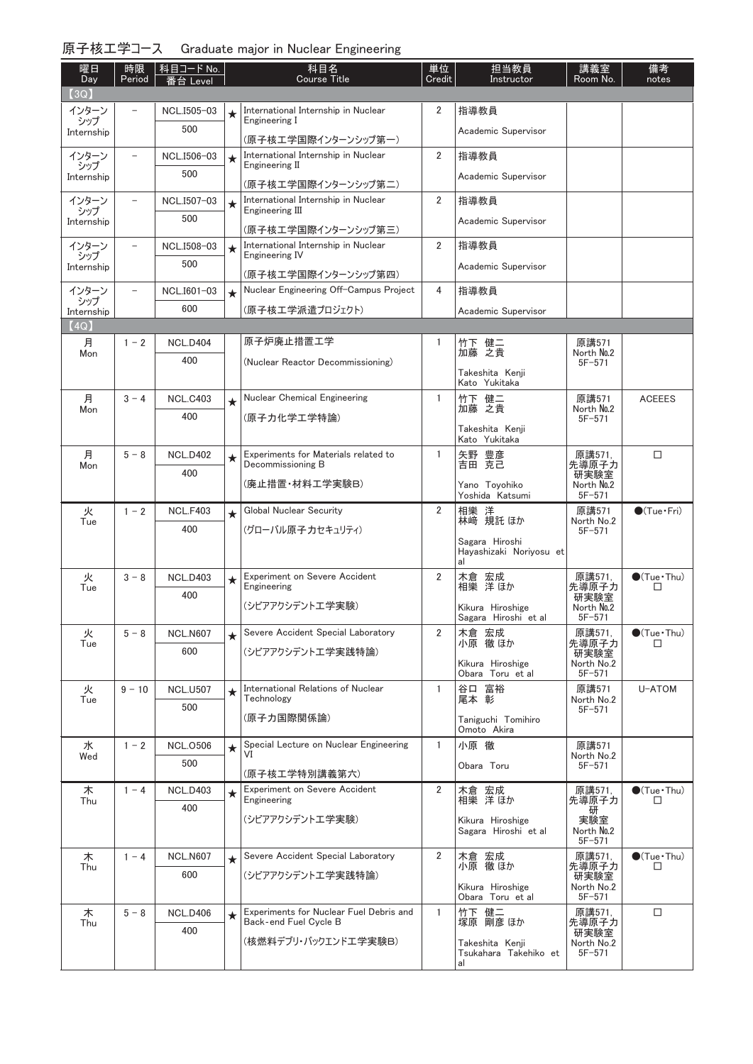| 原子核工学コース Graduate major in Nuclear Engineering |  |  |  |  |
|------------------------------------------------|--|--|--|--|
|------------------------------------------------|--|--|--|--|

| 曜日<br>Day          | 時限<br>Period             | │科目コード No.<br>番台 Level |         | 科目名<br><b>Course Title</b>                                    | 単位<br>Credit   | 担当教員<br>Instructor                             | 講義室<br>Room No.          | 備考<br>notes            |
|--------------------|--------------------------|------------------------|---------|---------------------------------------------------------------|----------------|------------------------------------------------|--------------------------|------------------------|
| [3Q]               |                          |                        |         |                                                               |                |                                                |                          |                        |
| インターン<br>シップ       |                          | NCL.I505-03            | $\star$ | International Internship in Nuclear<br>Engineering I          | $\overline{2}$ | 指導教員                                           |                          |                        |
| Internship         |                          | 500                    |         | (原子核工学国際インターンシップ第一)                                           |                | Academic Supervisor                            |                          |                        |
| インターン              | $\overline{\phantom{0}}$ | NCL.I506-03            | $\star$ | International Internship in Nuclear                           | $\overline{2}$ | 指導教員                                           |                          |                        |
| シップ<br>Internship  |                          | 500                    |         | Engineering II                                                |                | Academic Supervisor                            |                          |                        |
| インターン              | $\overline{\phantom{0}}$ | NCL.I507-03            |         | (原子核工学国際インターンシップ第二)<br>International Internship in Nuclear    | $\overline{2}$ | 指導教員                                           |                          |                        |
| シップ                |                          | 500                    | $\star$ | Engineering III                                               |                |                                                |                          |                        |
| Internship         |                          |                        |         | (原子核工学国際インターンシップ第三)                                           |                | Academic Supervisor                            |                          |                        |
| インターン<br>シップ       | $\overline{\phantom{0}}$ | NCL.I508-03            | $\star$ | International Internship in Nuclear<br>Engineering IV         | 2              | 指導教員                                           |                          |                        |
| Internship         |                          | 500                    |         |                                                               |                | Academic Supervisor                            |                          |                        |
| インターン              |                          | NCL.I601-03            | $\star$ | (原子核工学国際インターンシップ第四)<br>Nuclear Engineering Off-Campus Project | 4              | 指導教員                                           |                          |                        |
| シップ                |                          | 600                    |         | (原子核エ学派遣プロジェクト)                                               |                | Academic Supervisor                            |                          |                        |
| Internship<br>(4Q) |                          |                        |         |                                                               |                |                                                |                          |                        |
| 月                  | $1 - 2$                  | <b>NCL.D404</b>        |         | 原子炉廃止措置工学                                                     | 1              | 竹下 健二                                          | 原講571                    |                        |
| Mon                |                          | 400                    |         | (Nuclear Reactor Decommissioning)                             |                | 加藤 之貴                                          | North No.2<br>$5F - 571$ |                        |
|                    |                          |                        |         |                                                               |                | Takeshita Kenji<br>Kato Yukitaka               |                          |                        |
| 月                  | $3 - 4$                  | <b>NCL.C403</b>        | $\star$ | Nuclear Chemical Engineering                                  | $\mathbf{1}$   | 竹下 健二                                          | 原講571                    | <b>ACEEES</b>          |
| Mon                |                          | 400                    |         | (原子力化学工学特論)                                                   |                | 加藤 之貴                                          | North No.2<br>$5F - 571$ |                        |
|                    |                          |                        |         |                                                               |                | Takeshita Kenji                                |                          |                        |
| 月                  | $5 - 8$                  | <b>NCL.D402</b>        |         | Experiments for Materials related to                          | 1              | Kato Yukitaka                                  | 原講571,                   | $\Box$                 |
| Mon                |                          | 400                    | $\star$ | Decommissioning B                                             |                | 矢野 豊彦<br>吉田 克己                                 | 先導原子力<br>研実験室            |                        |
|                    |                          |                        |         | (廃止措置・材料工学実験B)                                                |                | Yano Toyohiko                                  | North No.2               |                        |
| 火                  | $1 - 2$                  | <b>NCL.F403</b>        |         | Global Nuclear Security                                       | 2              | Yoshida Katsumi                                | $5F - 571$<br>原講571      | $\bigcirc$ (Tue·Fri)   |
| Tue                |                          | 400                    | $\star$ | (グローバル原子力セキュリティ)                                              |                | 相樂 洋<br>林﨑 規託 ほか                               | North No.2<br>$5F - 571$ |                        |
|                    |                          |                        |         |                                                               |                | Sagara Hiroshi                                 |                          |                        |
|                    |                          |                        |         |                                                               |                | Hayashizaki Noriyosu et<br>al                  |                          |                        |
| 火                  | $3 - 8$                  | <b>NCL.D403</b>        | $\star$ | <b>Experiment on Severe Accident</b><br>Engineering           | 2              | 木倉 宏成<br>相樂 洋 ほか                               | 原講571,                   | $\bigcirc$ (Tue · Thu) |
| Tue                |                          | 400                    |         |                                                               |                |                                                | 先導原子力<br>研実験室            | $\Box$                 |
|                    |                          |                        |         | (シビアアクシデントエ学実験)                                               |                | Kikura Hiroshige<br>Sagara Hiroshi et al       | North No.2<br>$5F - 571$ |                        |
| 火                  | $5 - 8$                  | <b>NCL.N607</b>        | $\star$ | Severe Accident Special Laboratory                            | $\overline{2}$ | 木倉 宏成                                          | 原講571.                   | $\bigcirc$ (Tue · Thu) |
| Tue                |                          | 600                    |         | (シビアアクシデントエ学実践特論)                                             |                | 小原 徹 ほか                                        | 先導原子力<br>研実験室            | □                      |
|                    |                          |                        |         |                                                               |                | Kikura Hiroshige<br>Obara Toru et al           | North No.2<br>$5F - 571$ |                        |
| 火                  | $9 - 10$                 | <b>NCL.U507</b>        | $\star$ | International Relations of Nuclear                            | $\mathbf{1}$   | 谷口 富裕                                          | 原講571                    | U-ATOM                 |
| Tue                |                          | 500                    |         | Technology                                                    |                | 尾本 彰                                           | North No.2<br>$5F - 571$ |                        |
|                    |                          |                        |         | (原子力国際関係論)                                                    |                | Taniguchi Tomihiro<br>Omoto Akira              |                          |                        |
| 水                  | $1 - 2$                  | <b>NCL.0506</b>        | $\star$ | Special Lecture on Nuclear Engineering                        | 1              | 小原 徹                                           | 原講571                    |                        |
| Wed                |                          | 500                    |         |                                                               |                | Obara Toru                                     | North No.2<br>$5F - 571$ |                        |
|                    | $1 - 4$                  | <b>NCL.D403</b>        |         | (原子核工学特別講義第六)<br><b>Experiment on Severe Accident</b>         | $\overline{2}$ |                                                | 原講571.                   | $\bigcirc$ (Tue · Thu) |
| 木<br>Thu           |                          | 400                    | $\star$ | Engineering                                                   |                | 木倉 宏成<br>相樂 洋ほか                                | 先導原子力                    | □                      |
|                    |                          |                        |         | (シビアアクシデントエ学実験)                                               |                | Kikura Hiroshige                               | 研<br>実験室                 |                        |
|                    |                          |                        |         |                                                               |                | Sagara Hiroshi et al                           | North No.2<br>$5F - 571$ |                        |
| 木                  | $1 - 4$                  | <b>NCL.N607</b>        | $\star$ | Severe Accident Special Laboratory                            | $\overline{2}$ | 木倉 宏成<br>小原 徹ほか                                | 原講571,                   | $\bullet$ (Tue · Thu)  |
| Thu                |                          | 600                    |         | (シビアアクシデントエ学実践特論)                                             |                |                                                | 先導原子力<br>研実験室            | □                      |
|                    |                          |                        |         |                                                               |                | Kikura Hiroshige<br>Obara Toru et al           | North No.2<br>$5F - 571$ |                        |
| 木                  | $5 - 8$                  | <b>NCL.D406</b>        | $\star$ | Experiments for Nuclear Fuel Debris and                       | $\mathbf{1}$   | 竹下 健二<br>塚原 剛彦 ほか                              | 原講571,                   | $\Box$                 |
| Thu                |                          | 400                    |         | Back-end Fuel Cycle B                                         |                |                                                | 先導原子力<br>研実験室            |                        |
|                    |                          |                        |         | (核燃料デブリ・バックエンドエ学実験B)                                          |                | Takeshita Kenji<br>Tsukahara Takehiko et<br>al | North No.2<br>$5F - 571$ |                        |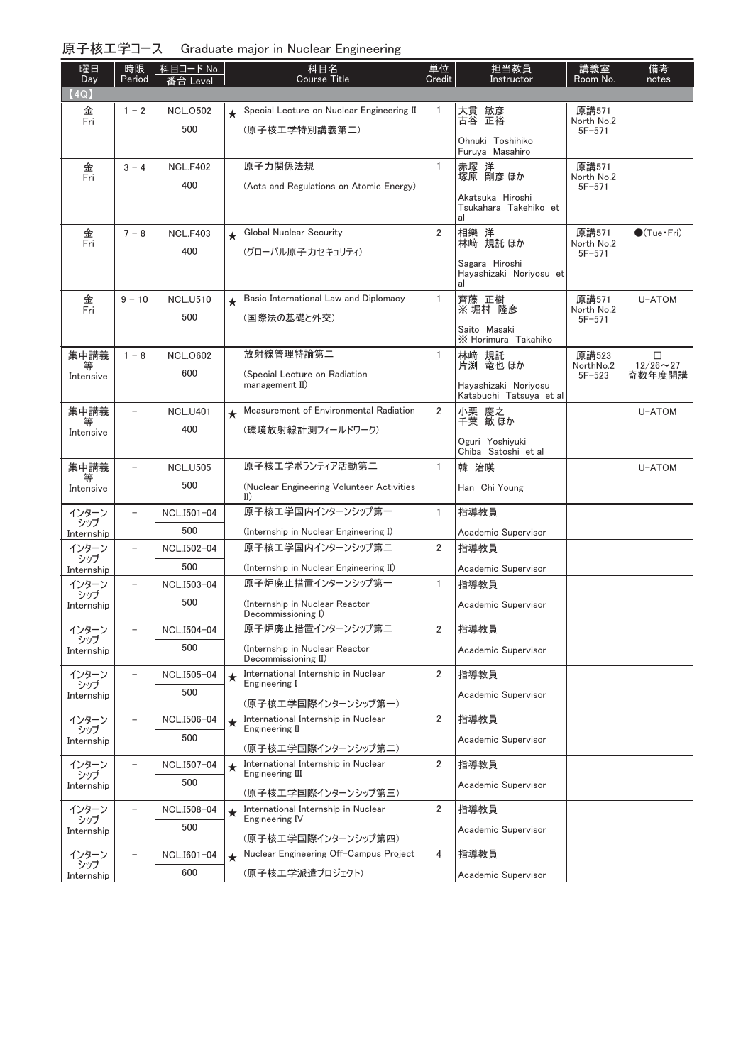| 原子核工学コース Graduate major in Nuclear Engineering |  |  |
|------------------------------------------------|--|--|
|                                                |  |  |

| 曜日                | 時限                       | 科目コード No.          |         | 科目名                                                        | 単位             | 担当教員                                            | 講義室                      | 備考                    |
|-------------------|--------------------------|--------------------|---------|------------------------------------------------------------|----------------|-------------------------------------------------|--------------------------|-----------------------|
| Day               | Period                   | 番台 Level           |         | <b>Course Title</b>                                        | Credit         | Instructor                                      | Room No.                 | notes                 |
| (4Q)<br>金         | $1 - 2$                  | <b>NCL.0502</b>    |         | Special Lecture on Nuclear Engineering II                  | 1              | 大貫 敏彦                                           | 原講571                    |                       |
| Fri               |                          | 500                | $\star$ | (原子核工学特別講義第二)                                              |                | 古谷 正裕                                           | North No.2<br>$5F - 571$ |                       |
|                   |                          |                    |         |                                                            |                | Ohnuki Toshihiko<br>Furuya Masahiro             |                          |                       |
| 金<br>Fri          | $3 - 4$                  | <b>NCL.F402</b>    |         | 原子力関係法規                                                    | $\mathbf{1}$   | 赤塚 洋<br>塚原 剛彦 ほか                                | 原講571<br>North No.2      |                       |
|                   |                          | 400                |         | (Acts and Regulations on Atomic Energy)                    |                |                                                 | $5F - 571$               |                       |
|                   |                          |                    |         |                                                            |                | Akatsuka Hiroshi<br>Tsukahara Takehiko et<br>al |                          |                       |
| 金<br>Fri          | $7 - 8$                  | <b>NCL.F403</b>    | $\star$ | Global Nuclear Security                                    | $\overline{2}$ | 相樂 洋<br>林﨑 規託 ほか                                | 原講571<br>North No.2      | $\bullet$ (Tue · Fri) |
|                   |                          | 400                |         | (グローバル原子力セキュリティ)                                           |                | Sagara Hiroshi                                  | $5F - 571$               |                       |
|                   |                          |                    |         |                                                            |                | Hayashizaki Noriyosu et<br>al                   |                          |                       |
| 金<br>Fri          | $9 - 10$                 | <b>NCL.U510</b>    | $\star$ | Basic International Law and Diplomacy                      | 1              | 齊藤 正樹<br>※堀村 隆彦                                 | 原講571<br>North No.2      | U-ATOM                |
|                   |                          | 500                |         | (国際法の基礎と外交)                                                |                |                                                 | $5F - 571$               |                       |
|                   |                          |                    |         |                                                            |                | Saito Masaki<br>X Horimura Takahiko             |                          |                       |
| 集中講義<br>等         | $1 - 8$                  | <b>NCL.0602</b>    |         | 放射線管理特論第二                                                  | 1              | 林崎 規託<br>片渕 竜也 ほか                               | 原講523<br>NorthNo.2       | □<br>$12/26 \sim 27$  |
| Intensive         |                          | 600                |         | (Special Lecture on Radiation<br>management II)            |                | Havashizaki Norivosu                            | $5F - 523$               | 奇数年度開講                |
|                   |                          |                    |         |                                                            |                | Katabuchi Tatsuya et al                         |                          |                       |
| 集中講義              |                          | <b>NCL.U401</b>    | $\star$ | Measurement of Environmental Radiation                     | $\overline{2}$ | 小栗 慶之<br>千葉 敏ほか                                 |                          | U-ATOM                |
| Intensive         |                          | 400                |         | (環境放射線計測フィールドワーク)                                          |                | Oguri Yoshiyuki                                 |                          |                       |
|                   |                          |                    |         |                                                            |                | Chiba Satoshi et al                             |                          |                       |
| 集中講義<br>等         | $\overline{\phantom{0}}$ | <b>NCL.U505</b>    |         | 原子核エ学ボランティア活動第二                                            | $\mathbf{1}$   | 韓 治暎                                            |                          | U-ATOM                |
| Intensive         |                          | 500                |         | (Nuclear Engineering Volunteer Activities<br>$_{II}$       |                | Han Chi Young                                   |                          |                       |
| インターン<br>シップ      | $\qquad \qquad -$        | NCL.I501-04        |         | 原子核工学国内インターンシップ第一                                          | $\mathbf{1}$   | 指導教員                                            |                          |                       |
| Internship        |                          | 500                |         | (Internship in Nuclear Engineering I)                      |                | Academic Supervisor                             |                          |                       |
| インターン<br>シップ      | $\overline{\phantom{0}}$ | NCL.I502-04        |         | 原子核工学国内インターンシップ第二                                          | $\overline{2}$ | 指導教員                                            |                          |                       |
| Internship        |                          | 500                |         | (Internship in Nuclear Engineering II)                     |                | Academic Supervisor                             |                          |                       |
| インターン<br>シップ      |                          | NCL.I503-04        |         | 原子炉廃止措置インターンシップ第一                                          | $\mathbf{1}$   | 指導教員                                            |                          |                       |
| Internship        |                          | 500                |         | (Internship in Nuclear Reactor<br>Decommissioning I)       |                | Academic Supervisor                             |                          |                       |
| インターン             |                          | NCL.I504-04        |         | 原子炉廃止措置インターンシップ第二                                          | $\overline{2}$ | 指導教員                                            |                          |                       |
| シップ<br>Internship |                          | 500                |         | (Internship in Nuclear Reactor<br>Decommissioning II)      |                | Academic Supervisor                             |                          |                       |
| インターン<br>シップ      |                          | NCL.I505-04        | $\star$ | International Internship in Nuclear<br>Engineering I       | $\overline{2}$ | 指導教員                                            |                          |                       |
| Internship        |                          | 500                |         | (原子核工学国際インターンシップ第一)                                        |                | Academic Supervisor                             |                          |                       |
| インターン<br>シップ      |                          | NCL.I506-04        | $\star$ | International Internship in Nuclear<br>Engineering II      | $\overline{2}$ | 指導教員                                            |                          |                       |
| Internship        |                          | 500                |         | (原子核工学国際インターンシップ第二)                                        |                | Academic Supervisor                             |                          |                       |
| インターン             |                          | NCL.I507-04        | $\star$ | International Internship in Nuclear                        | $\overline{2}$ | 指導教員                                            |                          |                       |
| シップ<br>Internship |                          | 500                |         | Engineering III                                            |                | Academic Supervisor                             |                          |                       |
|                   | $\overline{\phantom{a}}$ |                    |         | (原子核工学国際インターンシップ第三)<br>International Internship in Nuclear | $\overline{2}$ | 指導教員                                            |                          |                       |
| インターン<br>シップ      |                          | NCL.I508-04<br>500 | $\star$ | Engineering IV                                             |                |                                                 |                          |                       |
| Internship        |                          |                    |         | (原子核工学国際インターンシップ第四)                                        |                | Academic Supervisor                             |                          |                       |
| インターン<br>シップ      | $\overline{\phantom{a}}$ | NCL.I601-04        | $\star$ | Nuclear Engineering Off-Campus Project                     | 4              | 指導教員                                            |                          |                       |
| Internship        |                          | 600                |         | (原子核エ学派遣プロジェクト)                                            |                | Academic Supervisor                             |                          |                       |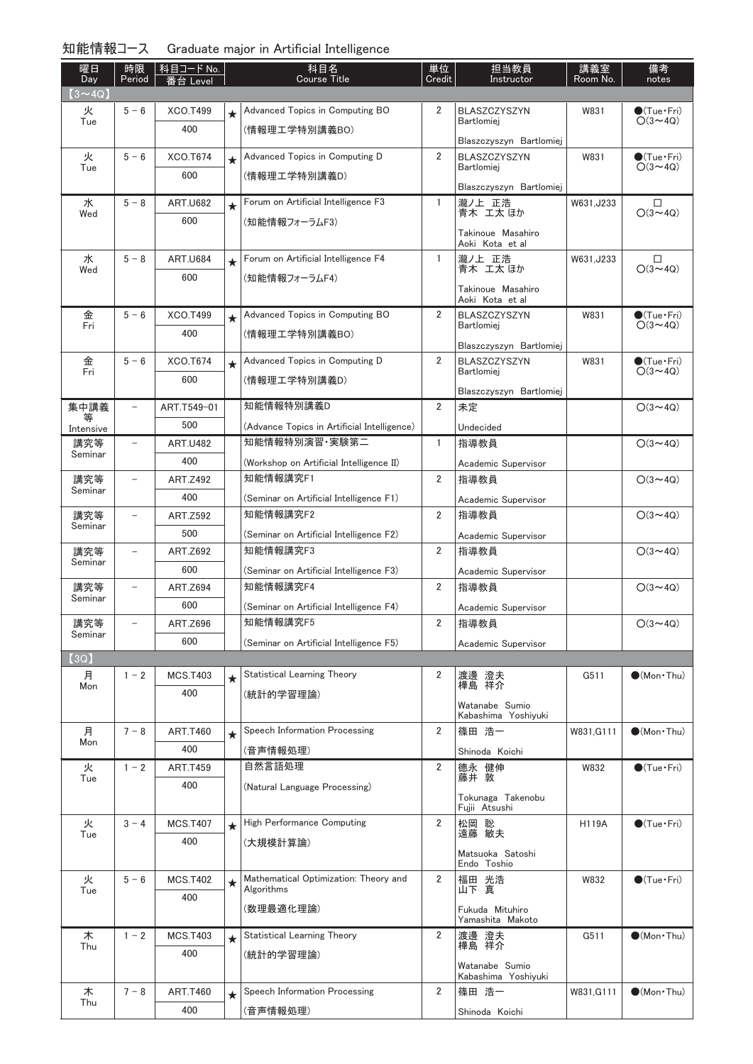| 曜日                   | 時限<br>Period             | 科目コード No.              |         | 科目名<br><b>Course Title</b>                  | 単位<br>Credit   | 担当教員<br>Instructor                       | 講義室<br>Room No. | 備考                                      |
|----------------------|--------------------------|------------------------|---------|---------------------------------------------|----------------|------------------------------------------|-----------------|-----------------------------------------|
| Day<br>$(3 \sim 4Q)$ |                          | 番台 Level               |         |                                             |                |                                          |                 | notes                                   |
| 火                    | $5 - 6$                  | <b>XCO.T499</b>        | $\star$ | Advanced Topics in Computing BO             | 2              | <b>BLASZCZYSZYN</b>                      | W831            | $\bullet$ (Tue•Fri)                     |
| Tue                  |                          | 400                    |         | (情報理工学特別講義BO)                               |                | <b>Bartlomiei</b>                        |                 | $O(3 \sim 4Q)$                          |
|                      |                          |                        |         |                                             |                | Blaszczyszyn Bartlomiej                  |                 |                                         |
| 火<br>Tue             | $5 - 6$                  | XCO.T674               | $\star$ | Advanced Topics in Computing D              | $\overline{2}$ | <b>BLASZCZYSZYN</b><br><b>Bartlomiei</b> | W831            | $\bullet$ (Tue•Fri)<br>$O(3 \sim 4Q)$   |
|                      |                          | 600                    |         | (情報理工学特別講義D)                                |                | Blaszczyszyn Bartlomiej                  |                 |                                         |
| 水                    | $5 - 8$                  | <b>ART.U682</b>        | $\star$ | Forum on Artificial Intelligence F3         | 1              | 瀧ノ上 正浩                                   | W631, J233      | $\Box$                                  |
| Wed                  |                          | 600                    |         | (知能情報フォーラムF3)                               |                | 青木 工太 ほか                                 |                 | $O(3 \sim 4Q)$                          |
|                      |                          |                        |         |                                             |                | Takinoue Masahiro<br>Aoki Kota et al     |                 |                                         |
| 水                    | $5 - 8$                  | <b>ART.U684</b>        | $\star$ | Forum on Artificial Intelligence F4         | $\mathbf{1}$   | 瀧ノ上 正浩                                   | W631, J233      | $\Box$                                  |
| Wed                  |                          | 600                    |         | (知能情報フォーラムF4)                               |                | 青木 工太 ほか                                 |                 | $O(3 \sim 4Q)$                          |
|                      |                          |                        |         |                                             |                | Takinoue Masahiro<br>Aoki Kota et al     |                 |                                         |
| 金                    | $5 - 6$                  | XCO.T499               | $\star$ | Advanced Topics in Computing BO             | 2              | BLASZCZYSZYN                             | W831            | $\bigcirc$ (Tue · Fri)                  |
| Fri                  |                          | 400                    |         | (情報理工学特別講義BO)                               |                | Bartlomiej                               |                 | $O(3 \sim 4Q)$                          |
|                      |                          |                        |         |                                             | $\overline{2}$ | Blaszczyszyn Bartlomiej                  |                 |                                         |
| 金<br>Fri             | $5 - 6$                  | XCO.T674               | $\star$ | Advanced Topics in Computing D              |                | BLASZCZYSZYN<br>Bartlomiei               | W831            | $\bullet$ (Tue · Fri)<br>$O(3 \sim 4Q)$ |
|                      |                          | 600                    |         | (情報理工学特別講義D)                                |                | Blaszczyszyn Bartlomiej                  |                 |                                         |
| 集中講義                 |                          | ART.T549-01            |         | 知能情報特別講義D                                   | $\overline{2}$ | 未定                                       |                 | $O(3 \sim 4Q)$                          |
| Intensive            |                          | 500                    |         | (Advance Topics in Artificial Intelligence) |                | Undecided                                |                 |                                         |
| 講究等                  | $\overline{\phantom{0}}$ | <b>ART.U482</b>        |         | 知能情報特別演習 実験第二                               | $\mathbf{1}$   | 指導教員                                     |                 | $O(3 \sim 4Q)$                          |
| Seminar              |                          | 400                    |         | (Workshop on Artificial Intelligence II)    |                | Academic Supervisor                      |                 |                                         |
| 講究等                  | $\overline{\phantom{0}}$ | <b>ART.Z492</b>        |         | 知能情報講究F1                                    | $\overline{2}$ | 指導教員                                     |                 | $O(3 \sim 4Q)$                          |
| Seminar              |                          | 400                    |         | (Seminar on Artificial Intelligence F1)     |                | Academic Supervisor                      |                 |                                         |
| 講究等                  | $\overline{\phantom{0}}$ | <b>ART.Z592</b>        |         | 知能情報講究F2                                    | 2              | 指導教員                                     |                 | $O(3 \sim 4Q)$                          |
| Seminar              |                          | 500                    |         | (Seminar on Artificial Intelligence F2)     |                | Academic Supervisor                      |                 |                                         |
| 講究等<br>Seminar       |                          | <b>ART.Z692</b>        |         | 知能情報講究F3                                    | $\overline{2}$ | 指導教員                                     |                 | $O(3 \sim 4Q)$                          |
|                      |                          | 600                    |         | (Seminar on Artificial Intelligence F3)     |                | Academic Supervisor                      |                 |                                         |
| 講究等<br>Seminar       |                          | <b>ART.Z694</b>        |         | 知能情報講究F4                                    | 2              | 指導教員                                     |                 | $O(3 \sim 4Q)$                          |
|                      |                          | 600                    |         | (Seminar on Artificial Intelligence F4)     |                | Academic Supervisor                      |                 |                                         |
| 講究等<br>Seminar       |                          | ART.Z696               |         | 知能情報講究F5                                    | 2              | 指導教員                                     |                 | $O(3 \sim 4Q)$                          |
|                      |                          | 600                    |         | (Seminar on Artificial Intelligence F5)     |                | Academic Supervisor                      |                 |                                         |
| (3Q)                 |                          |                        |         |                                             |                |                                          |                 |                                         |
| 月<br>Mon             | $1 - 2$                  | <b>MCS.T403</b>        | $\star$ | <b>Statistical Learning Theory</b>          | 2              | 渡邊 澄夫<br>樺島 祥介                           | G511            | $\bullet$ (Mon · Thu)                   |
|                      |                          | 400                    |         | (統計的学習理論)                                   |                | Watanabe Sumio                           |                 |                                         |
|                      |                          |                        |         |                                             |                | Kabashima Yoshiyuki                      |                 |                                         |
| 月<br>Mon             | $7 - 8$                  | <b>ART.T460</b>        | $\star$ | Speech Information Processing               | $\overline{2}$ | 篠田 浩一                                    | W831, G111      | $\bullet$ (Mon · Thu)                   |
|                      |                          | 400<br><b>ART.T459</b> |         | (音声情報処理)<br>自然言語処理                          | 2              | Shinoda Koichi                           |                 | $\bullet$ (Tue · Fri)                   |
| 火<br>Tue             | $1 - 2$                  | 400                    |         | (Natural Language Processing)               |                | 德永 健伸<br>藤井 敦                            | W832            |                                         |
|                      |                          |                        |         |                                             |                | Tokunaga Takenobu                        |                 |                                         |
| 火                    | $3 - 4$                  | <b>MCS.T407</b>        |         | High Performance Computing                  | $\overline{2}$ | Fujii Atsushi<br>松岡 聡                    | <b>H119A</b>    | $\bullet$ (Tue $\cdot$ Fri)             |
| Tue                  |                          | 400                    | $\star$ | (大規模計算論)                                    |                | 遠藤 敏夫                                    |                 |                                         |
|                      |                          |                        |         |                                             |                | Matsuoka Satoshi                         |                 |                                         |
| 火                    | $5 - 6$                  | <b>MCS.T402</b>        |         | Mathematical Optimization: Theory and       | 2              | Endo Toshio<br>福田 光浩                     | W832            | $\bullet$ (Tue · Fri)                   |
| Tue                  |                          | 400                    | $\star$ | Algorithms                                  |                | 山下真                                      |                 |                                         |
|                      |                          |                        |         | (数理最適化理論)                                   |                | Fukuda Mituhiro                          |                 |                                         |
|                      | $1 - 2$                  |                        |         | <b>Statistical Learning Theory</b>          | 2              | Yamashita Makoto                         | G511            | $\bullet$ (Mon $\cdot$ Thu)             |
| 木<br>Thu             |                          | <b>MCS.T403</b><br>400 | $\star$ |                                             |                | 渡邊 澄夫<br>樺島 祥介                           |                 |                                         |
|                      |                          |                        |         | (統計的学習理論)                                   |                | Watanabe Sumio                           |                 |                                         |
|                      | $7 - 8$                  |                        |         | Speech Information Processing               | $\overline{2}$ | Kabashima Yoshiyuki<br>篠田 浩一             |                 |                                         |
| 木<br>Thu             |                          | <b>ART.T460</b><br>400 | $\star$ |                                             |                |                                          | W831,G111       | $\bullet$ (Mon · Thu)                   |
|                      |                          |                        |         | (音声情報処理)                                    |                | Shinoda Koichi                           |                 |                                         |

## 知能情報コース Graduate major in Artificial Intelligence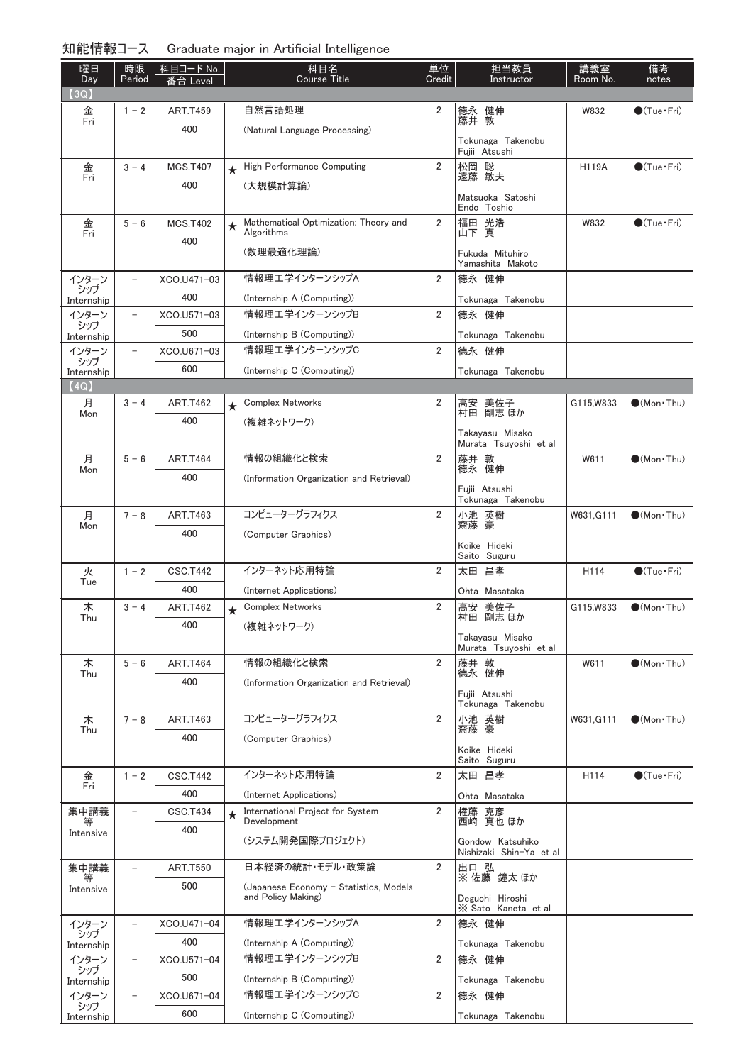| 曜日<br>Day    | 時限<br>Period             | 科目コード No.<br>番台 Level |         | 科目名<br>Course Title                                          | 単位<br>Credit   | 担当教員<br>Instructor                  | 講義室<br>Room No. | 備考<br>notes            |
|--------------|--------------------------|-----------------------|---------|--------------------------------------------------------------|----------------|-------------------------------------|-----------------|------------------------|
| (3Q)         |                          |                       |         |                                                              |                |                                     |                 |                        |
| 金<br>Fri     | $1 - 2$                  | <b>ART.T459</b>       |         | 自然言語処理                                                       | 2              | 德永 健伸                               | W832            | $\bullet$ (Tue · Fri)  |
|              |                          | 400                   |         | (Natural Language Processing)                                |                | 藤井 敦                                |                 |                        |
|              |                          |                       |         |                                                              |                | Tokunaga Takenobu<br>Fujii Atsushi  |                 |                        |
| 金            | $3 - 4$                  | <b>MCS.T407</b>       | $\star$ | High Performance Computing                                   | $\overline{2}$ | 松岡 聡                                | <b>H119A</b>    | $\bullet$ (Tue · Fri)  |
| Fri          |                          | 400                   |         | (大規模計算論)                                                     |                | 遠藤 敏夫                               |                 |                        |
|              |                          |                       |         |                                                              |                | Matsuoka Satoshi<br>Endo Toshio     |                 |                        |
| 金<br>Fri     | $5 - 6$                  | <b>MCS.T402</b>       | $\star$ | Mathematical Optimization: Theory and<br>Algorithms          | $\overline{2}$ | 福田 光浩<br>山下 真                       | W832            | $\bigcirc$ (Tue · Fri) |
|              |                          | 400                   |         | (数理最適化理論)                                                    |                |                                     |                 |                        |
|              |                          |                       |         |                                                              |                | Fukuda Mituhiro<br>Yamashita Makoto |                 |                        |
| インターン<br>シップ | $\overline{\phantom{a}}$ | XCO.U471-03           |         | 情報理工学インターンシップA                                               | 2              | 德永 健伸                               |                 |                        |
| Internship   |                          | 400                   |         | (Internship A (Computing))                                   |                | Tokunaga Takenobu                   |                 |                        |
| インターン<br>シップ | $\overline{\phantom{m}}$ | XCO.U571-03           |         | 情報理工学インターンシップB                                               | 2              | 德永 健伸                               |                 |                        |
| Internship   |                          | 500                   |         | (Internship B (Computing))                                   |                | Tokunaga Takenobu                   |                 |                        |
| インターン<br>シップ |                          | XCO.U671-03           |         | 情報理エ学インターンシップC                                               | 2              | 德永 健伸                               |                 |                        |
| Internship   |                          | 600                   |         | (Internship C (Computing))                                   |                | Tokunaga Takenobu                   |                 |                        |
| (4Q)         |                          |                       |         |                                                              |                |                                     |                 |                        |
| 月<br>Mon     | $3 - 4$                  | <b>ART.T462</b>       | ★       | <b>Complex Networks</b>                                      | 2              | 高安 美佐子<br>村田 剛志 ほか                  | G115, W833      | $\bullet$ (Mon · Thu)  |
|              |                          | 400                   |         | (複雑ネットワーク)                                                   |                | Takayasu Misako                     |                 |                        |
|              |                          |                       |         |                                                              |                | Murata Tsuyoshi et al               |                 |                        |
| 月<br>Mon     | $5 - 6$                  | <b>ART.T464</b>       |         | 情報の組織化と検索                                                    | 2              | 藤井 敦<br>德永 健伸                       | W611            | $\bigcirc$ (Mon Thu)   |
|              |                          | 400                   |         | (Information Organization and Retrieval)                     |                | Fujii Atsushi                       |                 |                        |
|              |                          |                       |         |                                                              |                | Tokunaga Takenobu                   |                 |                        |
| 月<br>Mon     | $7 - 8$                  | <b>ART.T463</b>       |         | コンピューターグラフィクス                                                | 2              | 小池 英樹<br>齋藤 豪                       | W631, G111      | $\bullet$ (Mon · Thu)  |
|              |                          | 400                   |         | (Computer Graphics)                                          |                | Koike Hideki                        |                 |                        |
|              |                          |                       |         |                                                              |                | Saito Suguru                        |                 |                        |
| 火<br>Tue     | $1 - 2$                  | <b>CSC.T442</b>       |         | インターネット応用特論                                                  | 2              | 太田 昌孝                               | H114            | $\bullet$ (Tue · Fri)  |
|              |                          | 400                   |         | (Internet Applications)                                      |                | Ohta Masataka                       |                 |                        |
| 木<br>Thu     | $3 - 4$                  | <b>ART.T462</b>       | $\star$ | <b>Complex Networks</b>                                      | 2              | 高安 美佐子<br>村田 剛志 ほか                  | G115, W833      | $\bigcirc$ (Mon · Thu) |
|              |                          | 400                   |         | (複雑ネットワーク)                                                   |                | Takavasu Misako                     |                 |                        |
|              |                          |                       |         |                                                              |                | Murata Tsuyoshi et al               |                 |                        |
| 木<br>Thu     | $5 - 6$                  | <b>ART.T464</b>       |         | 情報の組織化と検索                                                    | $\overline{2}$ | 藤井 敦<br>德永 健伸                       | W611            | $\bullet$ (Mon · Thu)  |
|              |                          | 400                   |         | (Information Organization and Retrieval)                     |                | Fujii Atsushi                       |                 |                        |
|              |                          |                       |         |                                                              |                | Tokunaga Takenobu                   |                 |                        |
| 木<br>Thu     | $7 - 8$                  | <b>ART.T463</b>       |         | コンピューターグラフィクス                                                | $\overline{2}$ | 小池 英樹<br>齋藤 豪                       | W631, G111      | $\bigcirc$ (Mon · Thu) |
|              |                          | 400                   |         | (Computer Graphics)                                          |                | Koike Hideki                        |                 |                        |
|              |                          |                       |         |                                                              |                | Saito Suguru                        |                 |                        |
| 金<br>Fri     | $1 - 2$                  | <b>CSC.T442</b>       |         | インターネット応用特論                                                  | $\overline{2}$ | 太田 昌孝                               | H114            | $\bigcirc$ (Tue · Fri) |
|              |                          | 400                   |         | (Internet Applications)                                      |                | Ohta Masataka                       |                 |                        |
| 集中講義<br>等    | $\overline{\phantom{a}}$ | <b>CSC.T434</b>       | $\star$ | International Project for System<br>Development              | 2              | 権藤 克彦<br>西崎 真也 ほか                   |                 |                        |
| Intensive    |                          | 400                   |         | (システム開発国際プロジェクト)                                             |                | Gondow Katsuhiko                    |                 |                        |
|              |                          |                       |         |                                                              |                | Nishizaki Shin-Ya et al             |                 |                        |
| 集中講義         |                          | <b>ART.T550</b>       |         | 日本経済の統計・モデル・政策論                                              | $\overline{2}$ | 出口 弘<br>※ 佐藤 鐘太 ほか                  |                 |                        |
| Intensive    |                          | 500                   |         | (Japanese Economy - Statistics, Models<br>and Policy Making) |                | Deguchi Hiroshi                     |                 |                        |
|              |                          |                       |         |                                                              |                | X Sato Kaneta et al                 |                 |                        |
| インターン<br>シップ | $\overline{\phantom{a}}$ | XCO.U471-04           |         | 情報理工学インターンシップA                                               | 2              | 德永 健伸                               |                 |                        |
| Internship   |                          | 400                   |         | (Internship A (Computing))                                   |                | Tokunaga Takenobu                   |                 |                        |
| インターン<br>シップ | $\qquad \qquad -$        | XCO.U571-04           |         | 情報理エ学インターンシップB                                               | 2              | 德永 健伸                               |                 |                        |
| Internship   |                          | 500                   |         | (Internship B (Computing))                                   |                | Tokunaga Takenobu                   |                 |                        |
| インターン<br>シップ | $\overline{\phantom{m}}$ | XCO.U671-04           |         | 情報理エ学インターンシップC                                               | $\overline{2}$ | 德永 健伸                               |                 |                        |
| Internship   |                          | 600                   |         | (Internship C (Computing))                                   |                | Tokunaga Takenobu                   |                 |                        |

#### 知能情報コース Graduate major in Artificial Intelligence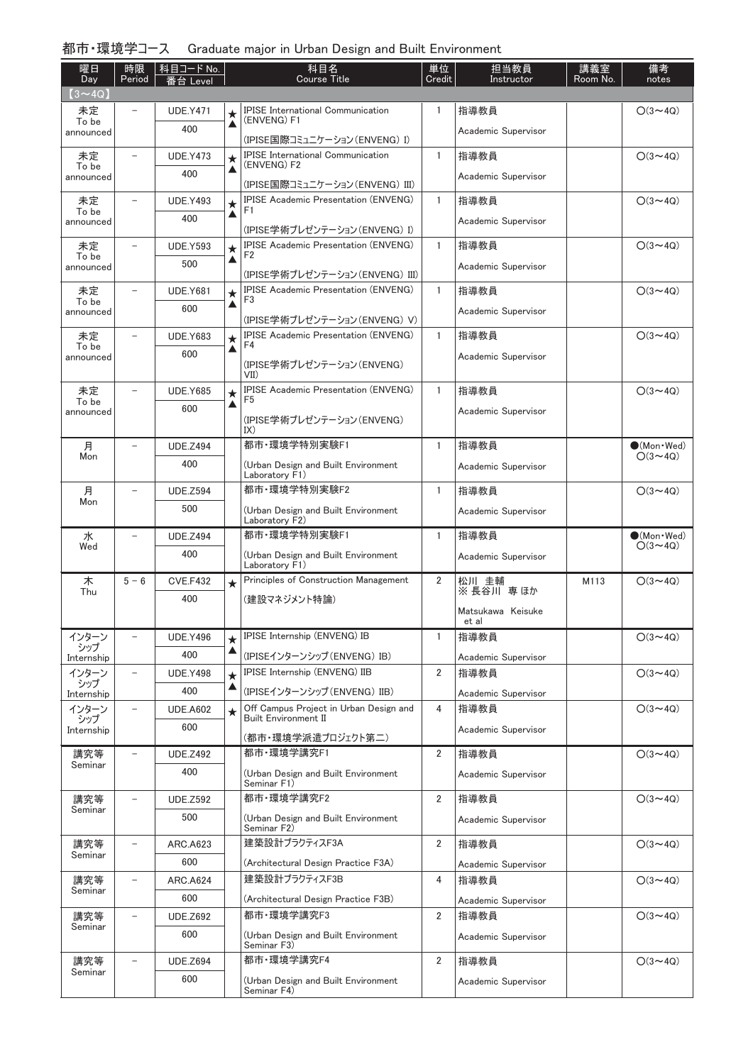# 都市・環境学コース Graduate major in Urban Design and Built Environment

| 曜日<br>Day          | 時限<br>Period             | 科目コード No.<br>番台 Level  |              | 科目名<br><b>Course Title</b>                                                    | 単位<br>Credit   | 担当教員<br>Instructor         | 講義室<br>Room No. | 備考<br>notes                              |
|--------------------|--------------------------|------------------------|--------------|-------------------------------------------------------------------------------|----------------|----------------------------|-----------------|------------------------------------------|
| $(3 \sim 4Q)$      |                          |                        |              |                                                                               |                |                            |                 |                                          |
| 未定                 |                          | <b>UDE.Y471</b>        | $\star$      | <b>IPISE International Communication</b><br>(ENVENG) F1                       | 1              | 指導教員                       |                 | $O(3 \sim 4Q)$                           |
| To be<br>announced |                          | 400                    | ▲            | (IPISE国際コミュニケーション(ENVENG) I)                                                  |                | Academic Supervisor        |                 |                                          |
| 未定                 | $\overline{\phantom{0}}$ | <b>UDE.Y473</b>        | $\star$      | <b>IPISE International Communication</b>                                      | 1              | 指導教員                       |                 | $O(3 \sim 4Q)$                           |
| To be<br>announced |                          | 400                    | ▲            | (ENVENG) F2                                                                   |                | Academic Supervisor        |                 |                                          |
|                    |                          |                        |              | (IPISE国際コミュニケーション(ENVENG) III)                                                |                |                            |                 |                                          |
| 未定<br>To be        | $\overline{\phantom{0}}$ | <b>UDE.Y493</b>        | $\star$<br>▲ | <b>IPISE Academic Presentation (ENVENG)</b><br>F1                             | 1              | 指導教員                       |                 | $O(3 \sim 4Q)$                           |
| announced          |                          | 400                    |              | (IPISE学術プレゼンテーション(ENVENG) I)                                                  |                | Academic Supervisor        |                 |                                          |
| 未定                 | $\overline{a}$           | <b>UDE.Y593</b>        | $\star$      | <b>IPISE Academic Presentation (ENVENG)</b>                                   | 1              | 指導教員                       |                 | $O(3 \sim 4Q)$                           |
| To be<br>announced |                          | 500                    | ▲            | F2                                                                            |                | Academic Supervisor        |                 |                                          |
|                    |                          |                        |              | (IPISE学術プレゼンテーション(ENVENG) III)<br><b>IPISE Academic Presentation (ENVENG)</b> | $\mathbf{1}$   |                            |                 |                                          |
| 未定<br>To be        |                          | <b>UDE.Y681</b>        | $\star$<br>▲ | F3                                                                            |                | 指導教員                       |                 | $O(3 \sim 4Q)$                           |
| announced          |                          | 600                    |              | (IPISE学術プレゼンテーション(ENVENG) V)                                                  |                | Academic Supervisor        |                 |                                          |
| 未定                 |                          | <b>UDE.Y683</b>        | $\star$      | <b>IPISE Academic Presentation (ENVENG)</b>                                   | $\mathbf{1}$   | 指導教員                       |                 | $O(3 \sim 4Q)$                           |
| To be<br>announced |                          | 600                    | ▲            | F4                                                                            |                | Academic Supervisor        |                 |                                          |
|                    |                          |                        |              | (IPISE学術プレゼンテーション(ENVENG)<br>VII                                              |                |                            |                 |                                          |
| 未定                 | $\overline{\phantom{0}}$ | <b>UDE.Y685</b>        | $\star$      | <b>IPISE Academic Presentation (ENVENG)</b><br>F <sub>5</sub>                 | $\mathbf{1}$   | 指導教員                       |                 | $O(3 \sim 4Q)$                           |
| To be<br>announced |                          | 600                    | ▲            |                                                                               |                | Academic Supervisor        |                 |                                          |
|                    |                          |                        |              | (IPISE学術プレゼンテーション(ENVENG)<br>IX)                                              |                |                            |                 |                                          |
| 月                  | $\overline{a}$           | <b>UDE.Z494</b>        |              | 都市·環境学特別実験F1                                                                  | 1              | 指導教員                       |                 | $\bigcirc$ (Mon · Wed)                   |
| Mon                |                          | 400                    |              | (Urban Design and Built Environment<br>Laboratory F1)                         |                | Academic Supervisor        |                 | $O(3 \sim 4Q)$                           |
| 月                  | $\overline{\phantom{0}}$ | <b>UDE.Z594</b>        |              | 都市·環境学特別実験F2                                                                  | 1              | 指導教員                       |                 | $O(3 \sim 4Q)$                           |
| Mon                |                          | 500                    |              | (Urban Design and Built Environment                                           |                | Academic Supervisor        |                 |                                          |
|                    |                          |                        |              | Laboratory F2)<br>都市·環境学特別実験F1                                                |                |                            |                 |                                          |
| 水<br>Wed           |                          | <b>UDE.Z494</b><br>400 |              |                                                                               | 1              | 指導教員                       |                 | $\bigcirc$ (Mon · Wed)<br>$O(3 \sim 4Q)$ |
|                    |                          |                        |              | (Urban Design and Built Environment<br>Laboratory F1)                         |                | Academic Supervisor        |                 |                                          |
| 木<br>Thu           | $5 - 6$                  | <b>CVE.F432</b>        | $\star$      | Principles of Construction Management                                         | 2              | 松川 圭輔<br>※ 長谷川 専 ほか        | M113            | $O(3 \sim 4Q)$                           |
|                    |                          | 400                    |              | (建設マネジメント特論)                                                                  |                |                            |                 |                                          |
|                    |                          |                        |              |                                                                               |                | Matsukawa Keisuke<br>et al |                 |                                          |
| インターン<br>シップ       | $\overline{\phantom{0}}$ | <b>UDE.Y496</b>        | $\star$      | IPISE Internship (ENVENG) IB                                                  | 1              | 指導教員                       |                 | $O(3 \sim 4Q)$                           |
| Internship         |                          | 400                    | ▲            | (IPISEインターンシップ (ENVENG) IB)                                                   |                | Academic Supervisor        |                 |                                          |
| インターン<br>シップ       | $\qquad \qquad -$        | <b>UDE.Y498</b>        | $\star$      | IPISE Internship (ENVENG) IIB                                                 | 2              | 指導教員                       |                 | $O(3 \sim 4Q)$                           |
| Internship         |                          | 400                    | ▲            | (IPISEインターンシップ (ENVENG) IIB)                                                  |                | Academic Supervisor        |                 |                                          |
| インターン<br>シップ       | $\overline{\phantom{0}}$ | <b>UDE.A602</b>        | $\star$      | Off Campus Project in Urban Design and<br><b>Built Environment II</b>         | 4              | 指導教員                       |                 | $O(3 \sim 4Q)$                           |
| Internship         |                          | 600                    |              | (都市・環境学派遣プロジェクト第二)                                                            |                | Academic Supervisor        |                 |                                          |
| 講究等                | -                        | <b>UDE.Z492</b>        |              | 都市·環境学講究F1                                                                    | $\overline{2}$ | 指導教員                       |                 | $O(3 \sim 4Q)$                           |
| Seminar            |                          | 400                    |              | (Urban Design and Built Environment<br>Seminar F1)                            |                | Academic Supervisor        |                 |                                          |
| 講究等                | -                        | <b>UDE.Z592</b>        |              | 都市·環境学講究F2                                                                    | $\overline{2}$ | 指導教員                       |                 | $O(3 \sim 4Q)$                           |
| Seminar            |                          | 500                    |              | (Urban Design and Built Environment                                           |                | Academic Supervisor        |                 |                                          |
|                    |                          |                        |              | Seminar F2)                                                                   |                |                            |                 |                                          |
| 講究等<br>Seminar     |                          | <b>ARC.A623</b>        |              | 建築設計プラクティスF3A                                                                 | 2              | 指導教員                       |                 | $O(3 \sim 4Q)$                           |
|                    |                          | 600                    |              | (Architectural Design Practice F3A)                                           |                | Academic Supervisor        |                 |                                          |
| 講究等<br>Seminar     | $\qquad \qquad -$        | <b>ARC.A624</b>        |              | 建築設計プラクティスF3B                                                                 | 4              | 指導教員                       |                 | $O(3 \sim 4Q)$                           |
|                    |                          | 600                    |              | (Architectural Design Practice F3B)                                           |                | Academic Supervisor        |                 |                                          |
| 講究等<br>Seminar     | $\qquad \qquad -$        | <b>UDE.Z692</b>        |              | 都市·環境学講究F3                                                                    | $\overline{2}$ | 指導教員                       |                 | $O(3 \sim 4Q)$                           |
|                    |                          | 600                    |              | (Urban Design and Built Environment<br>Seminar F3)                            |                | Academic Supervisor        |                 |                                          |
| 講究等                | $\overline{\phantom{0}}$ | <b>UDE.Z694</b>        |              | 都市·環境学講究F4                                                                    | 2              | 指導教員                       |                 | $O(3 \sim 4Q)$                           |
| Seminar            |                          | 600                    |              | (Urban Design and Built Environment<br>Seminar F4)                            |                | Academic Supervisor        |                 |                                          |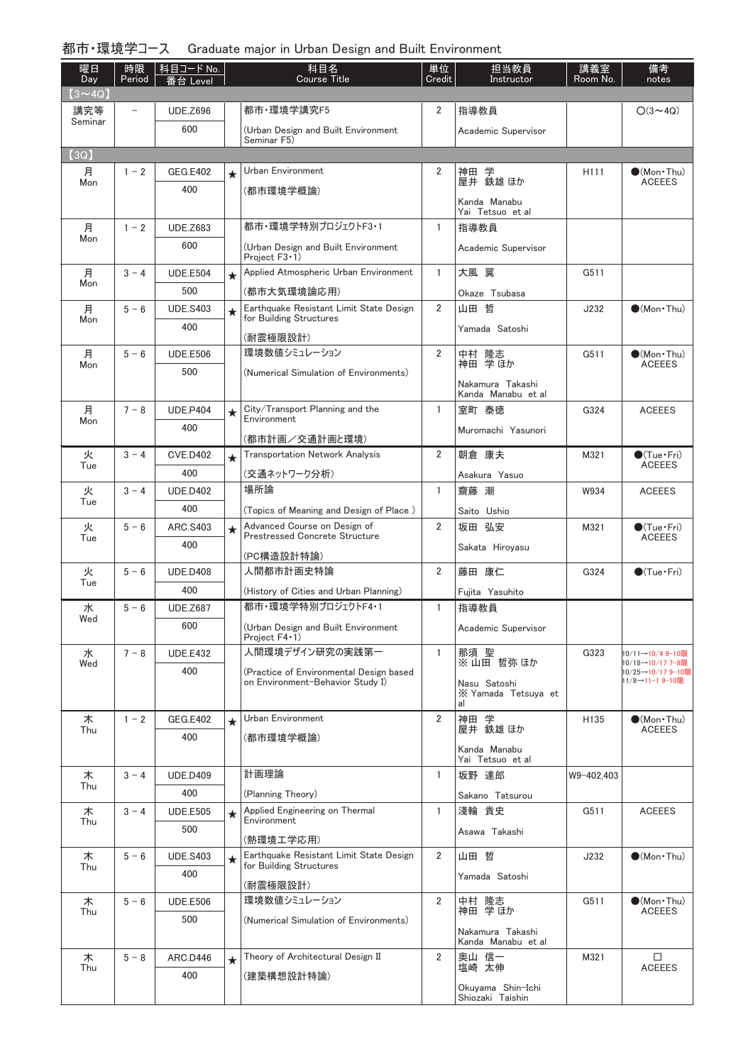## 都市・環境学コース Graduate major in Urban Design and Built Environment

| 曜日<br>Day      | 時限<br>Period             | 科目コード No.<br>番台 Level  |         | 科目名<br><b>Course Title</b>                                                  | 単位<br>Credit   | 担当教員<br>Instructor                     | 講義室<br>Room No.  | 備考<br>notes                            |
|----------------|--------------------------|------------------------|---------|-----------------------------------------------------------------------------|----------------|----------------------------------------|------------------|----------------------------------------|
| $(3 \sim 4Q)$  |                          |                        |         |                                                                             |                |                                        |                  |                                        |
| 講究等<br>Seminar | $\overline{\phantom{0}}$ | <b>UDE.Z696</b>        |         | 都市·環境学講究F5                                                                  | $\overline{2}$ | 指導教員                                   |                  | $O(3 \sim 4Q)$                         |
|                |                          | 600                    |         | (Urban Design and Built Environment<br>Seminar F5)                          |                | Academic Supervisor                    |                  |                                        |
| (3Q)           |                          |                        |         |                                                                             |                |                                        |                  |                                        |
| 月<br>Mon       | $1 - 2$                  | <b>GEG.E402</b>        | $\star$ | Urban Environment                                                           | 2              | 神田 学<br>屋井 鉄雄ほか                        | H <sub>111</sub> | $\bullet$ (Mon•Thu)<br><b>ACEEES</b>   |
|                |                          | 400                    |         | (都市環境学概論)                                                                   |                | Kanda Manabu<br>Yai Tetsuo et al       |                  |                                        |
| 月              | $1 - 2$                  | <b>UDE.Z683</b>        |         | 都市·環境学特別プロジェクトF3·1                                                          | $\mathbf{1}$   | 指導教員                                   |                  |                                        |
| Mon            |                          | 600                    |         | (Urban Design and Built Environment<br>Project $F3 \cdot 1$ )               |                | Academic Supervisor                    |                  |                                        |
| 月              | $3 - 4$                  | <b>UDE.E504</b>        | $\star$ | Applied Atmospheric Urban Environment                                       | $\mathbf{1}$   | 大風 翼                                   | G511             |                                        |
| Mon            |                          | 500                    |         | (都市大気環境論応用)                                                                 |                | Okaze Tsubasa                          |                  |                                        |
| 月              | $5 - 6$                  | <b>UDE.S403</b>        | $\star$ | Earthquake Resistant Limit State Design                                     | $\overline{2}$ | 山田 哲                                   | J232             | $\bullet$ (Mon · Thu)                  |
| Mon            |                          | 400                    |         | for Building Structures                                                     |                | Yamada Satoshi                         |                  |                                        |
| 月              | $5 - 6$                  | <b>UDE.E506</b>        |         | (耐震極限設計)<br>環境数値シミュレーション                                                    | $\overline{2}$ |                                        | G511             | $\bullet$ (Mon $\cdot$ Thu)            |
| Mon            |                          | 500                    |         | (Numerical Simulation of Environments)                                      |                | 中村 隆志<br>神田 学ほか                        |                  | <b>ACEEES</b>                          |
|                |                          |                        |         |                                                                             |                | Nakamura Takashi<br>Kanda Manabu et al |                  |                                        |
| 月              | $7 - 8$                  | <b>UDE.P404</b>        | $\star$ | City/Transport Planning and the                                             | $\mathbf{1}$   | 宰町 泰徳                                  | G324             | <b>ACEEES</b>                          |
| Mon            |                          | 400                    |         | Environment                                                                 |                | Muromachi Yasunori                     |                  |                                        |
|                |                          |                        |         | (都市計画/交通計画と環境)                                                              |                |                                        |                  |                                        |
| 火<br>Tue       | $3 - 4$                  | <b>CVE.D402</b><br>400 | $\star$ | <b>Transportation Network Analysis</b>                                      | $\overline{2}$ | 朝倉 康夫                                  | M321             | $\bullet$ (Tue · Fri)<br><b>ACEEES</b> |
| 火              | $3 - 4$                  | <b>UDE.D402</b>        |         | (交通ネットワーク分析)<br>場所論                                                         | $\mathbf{1}$   | Asakura Yasuo<br>齋藤 潮                  | W934             | <b>ACEEES</b>                          |
| Tue            |                          | 400                    |         | (Topics of Meaning and Design of Place)                                     |                | Saito Ushio                            |                  |                                        |
| 火              | $5 - 6$                  | ARC.S403               | $\star$ | Advanced Course on Design of                                                | 2              | 坂田 弘安                                  | M321             | $\bullet$ (Tue•Fri)                    |
| Tue            |                          | 400                    |         | <b>Prestressed Concrete Structure</b>                                       |                | Sakata Hirovasu                        |                  | <b>ACEEES</b>                          |
|                |                          |                        |         | (PC構造設計特論)                                                                  |                |                                        |                  |                                        |
| 火<br>Tue       | $5 - 6$                  | <b>UDE.D408</b><br>400 |         | 人間都市計画史特論                                                                   | 2              | 藤田 康仁                                  | G324             | $\bigcirc$ (Tue · Fri)                 |
| 水              | $5 - 6$                  | <b>UDE.Z687</b>        |         | (History of Cities and Urban Planning)<br>都市·環境学特別プロジェクトF4・1                | $\mathbf{1}$   | Fujita Yasuhito<br>指導教員                |                  |                                        |
| Wed            |                          | 600                    |         | (Urban Design and Built Environment                                         |                |                                        |                  |                                        |
|                |                          |                        |         | Project $F4 \cdot 1$ )                                                      |                | Academic Supervisor                    |                  |                                        |
| 水<br>Wed       | $7 - 8$                  | <b>UDE.E432</b>        |         | 人間環境デザイン研究の実践第一                                                             | $\mathbf{1}$   | 那須 聖<br>※山田哲弥ほか                        | G323             | 10/11→10/4 9-10限<br>10/18→10/17 7-8限   |
|                |                          | 400                    |         | (Practice of Environmental Design based<br>on Environment-Behavior Study I) |                | Nasu Satoshi                           |                  | 10/25→10/17 9-10限<br>11/8→11-1 9-10限   |
|                |                          |                        |         |                                                                             |                | X Yamada Tetsuya et<br>al              |                  |                                        |
| 木              | $1 - 2$                  | <b>GEG.E402</b>        | $\star$ | Urban Environment                                                           | $\overline{2}$ | 神田 学<br>屋井 鉄雄 ほか                       | H135             | $\bullet$ (Mon $\cdot$ Thu)            |
| Thu            |                          | 400                    |         | (都市環境学概論)                                                                   |                |                                        |                  | <b>ACEEES</b>                          |
|                |                          |                        |         |                                                                             |                | Kanda Manabu<br>Yai Tetsuo et al       |                  |                                        |
| 木<br>Thu       | $3 - 4$                  | <b>UDE.D409</b>        |         | 計画理論                                                                        | $\mathbf{1}$   | 坂野 達郎                                  | W9-402,403       |                                        |
|                |                          | 400                    |         | (Planning Theory)                                                           |                | Sakano Tatsurou                        |                  |                                        |
| 木<br>Thu       | $3 - 4$                  | <b>UDE.E505</b>        | $\star$ | Applied Engineering on Thermal<br>Environment                               | $\mathbf{1}$   | 淺輪 貴史                                  | G511             | <b>ACEEES</b>                          |
|                |                          | 500                    |         | (熱環境工学応用)                                                                   |                | Asawa Takashi                          |                  |                                        |
| 木              | $5 - 6$                  | <b>UDE.S403</b>        | $\star$ | Earthquake Resistant Limit State Design<br>for Building Structures          | $\overline{2}$ | 山田 哲                                   | J232             | $\bullet$ (Mon · Thu)                  |
| Thu            |                          | 400                    |         | (耐震極限設計)                                                                    |                | Yamada Satoshi                         |                  |                                        |
| 木              | $5 - 6$                  | <b>UDE.E506</b>        |         | 環境数値シミュレーション                                                                | $\overline{2}$ | 中村 隆志                                  | G511             | $\bullet$ (Mon · Thu)                  |
| Thu            |                          | 500                    |         | (Numerical Simulation of Environments)                                      |                | 神田 学ほか                                 |                  | <b>ACEEES</b>                          |
|                |                          |                        |         |                                                                             |                | Nakamura Takashi<br>Kanda Manabu et al |                  |                                        |
| 木              | $5 - 8$                  | ARC.D446               | $\star$ | Theory of Architectural Design II                                           | $\overline{2}$ | 奥山 信一                                  | M321             | $\Box$                                 |
| Thu            |                          | 400                    |         | (建築構想設計特論)                                                                  |                | 塩崎 太伸                                  |                  | <b>ACEEES</b>                          |
|                |                          |                        |         |                                                                             |                | Okuyama Shin-Ichi<br>Shiozaki Taishin  |                  |                                        |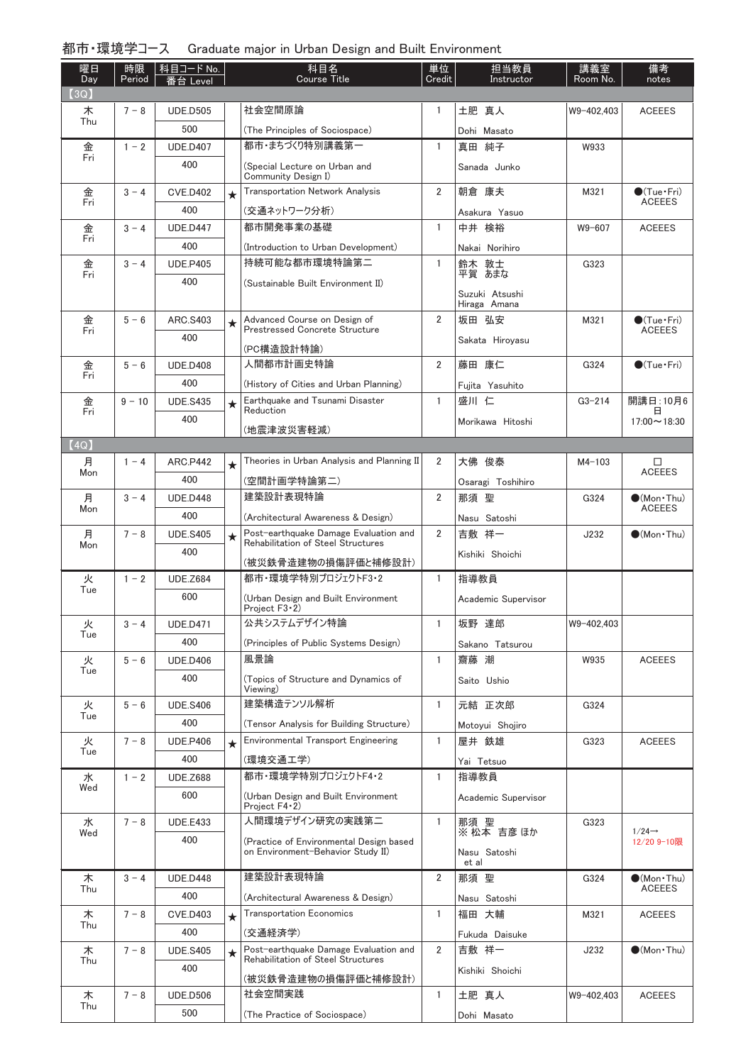### 都市・環境学コース Graduate major in Urban Design and Built Environment

| 曜日<br>Day | 時限<br>Period | │科目コード No.<br>番台 Level |         | 科目名<br><b>Course Title</b>                                                   | 単位<br>Credit   | 担当教員<br>Instructor             | 講義室<br>Room No. | 備考<br>notes                            |
|-----------|--------------|------------------------|---------|------------------------------------------------------------------------------|----------------|--------------------------------|-----------------|----------------------------------------|
| (3Q)      |              |                        |         |                                                                              |                |                                |                 |                                        |
| 木<br>Thu  | $7 - 8$      | <b>UDE.D505</b>        |         | 社会空間原論                                                                       | 1              | 土肥 真人                          | W9-402,403      | <b>ACEEES</b>                          |
|           |              | 500                    |         | (The Principles of Sociospace)                                               |                | Dohi Masato                    |                 |                                        |
| 金<br>Fri  | $1 - 2$      | <b>UDE.D407</b>        |         | 都市・まちづくり特別講義第一                                                               | $\mathbf{1}$   | 真田 純子                          | W933            |                                        |
|           |              | 400                    |         | (Special Lecture on Urban and<br>Community Design I)                         |                | Sanada Junko                   |                 |                                        |
| 金         | $3 - 4$      | <b>CVE.D402</b>        | $\star$ | <b>Transportation Network Analysis</b>                                       | $\overline{2}$ | 朝倉 康夫                          | M321            | $\bullet$ (Tue•Fri)                    |
| Fri       |              | 400                    |         | (交通ネットワーク分析)                                                                 |                | Asakura Yasuo                  |                 | <b>ACEEES</b>                          |
| 金         | $3 - 4$      | <b>UDE.D447</b>        |         | 都市開発事業の基礎                                                                    | $\mathbf{1}$   | 中井 検裕                          | W9-607          | <b>ACEEES</b>                          |
| Fri       |              | 400                    |         | (Introduction to Urban Development)                                          |                | Nakai Norihiro                 |                 |                                        |
| 金         | $3 - 4$      | <b>UDE.P405</b>        |         | 持続可能な都市環境特論第二                                                                | $\mathbf{1}$   | 鈴木 敦士<br>平賀 あまな                | G323            |                                        |
| Fri       |              | 400                    |         | (Sustainable Built Environment II)                                           |                |                                |                 |                                        |
|           |              |                        |         |                                                                              |                | Suzuki Atsushi<br>Hiraga Amana |                 |                                        |
| 金         | $5 - 6$      | ARC.S403               | $\star$ | Advanced Course on Design of<br><b>Prestressed Concrete Structure</b>        | $\overline{2}$ | 坂田 弘安                          | M321            | $\bullet$ (Tue · Fri)                  |
| Fri       |              | 400                    |         |                                                                              |                | Sakata Hirovasu                |                 | <b>ACEEES</b>                          |
|           |              |                        |         | (PC構造設計特論)<br>人間都市計画史特論                                                      | $\overline{2}$ | 藤田 康仁                          |                 |                                        |
| 金<br>Fri  | $5 - 6$      | <b>UDE.D408</b>        |         |                                                                              |                |                                | G324            | $\bullet$ (Tue $\cdot$ Fri)            |
|           |              | 400                    |         | (History of Cities and Urban Planning)<br>Earthquake and Tsunami Disaster    | $\mathbf{1}$   | Fujita Yasuhito                |                 |                                        |
| 金<br>Fri  | $9 - 10$     | <b>UDE.S435</b>        | $\star$ | Reduction                                                                    |                | 盛川 仁                           | $G3 - 214$      | 開講日: 10月6<br>⊟                         |
|           |              | 400                    |         | (地震津波災害軽減)                                                                   |                | Morikawa Hitoshi               |                 | $17:00 \sim 18:30$                     |
| (4Q)      |              |                        |         |                                                                              |                |                                |                 |                                        |
| 月<br>Mon  | $1 - 4$      | <b>ARC.P442</b>        | $\star$ | Theories in Urban Analysis and Planning II                                   | 2              | 大佛 俊泰                          | $M4 - 103$      | □<br><b>ACEEES</b>                     |
|           |              | 400                    |         | (空間計画学特論第二)                                                                  |                | Osaragi Toshihiro              |                 |                                        |
| 月<br>Mon  | $3 - 4$      | <b>UDE.D448</b>        |         | 建築設計表現特論                                                                     | $\overline{2}$ | 那須 聖                           | G324            | $\bullet$ (Mon · Thu)<br><b>ACEEES</b> |
|           |              | 400                    |         | (Architectural Awareness & Design)                                           |                | Nasu Satoshi                   |                 |                                        |
| 月<br>Mon  | $7 - 8$      | <b>UDE.S405</b>        | $\star$ | Post-earthquake Damage Evaluation and<br>Rehabilitation of Steel Structures  | $\overline{2}$ | 吉敷 祥一                          | J232            | $\bullet$ (Mon · Thu)                  |
|           |              | 400                    |         | (被災鉄骨造建物の損傷評価と補修設計)                                                          |                | Kishiki Shoichi                |                 |                                        |
| 火         | $1 - 2$      | <b>UDE.Z684</b>        |         | 都市·環境学特別プロジェクトF3·2                                                           | $\mathbf{1}$   | 指導教員                           |                 |                                        |
| Tue       |              | 600                    |         | (Urban Design and Built Environment                                          |                | Academic Supervisor            |                 |                                        |
| 火         | $3 - 4$      | <b>UDE.D471</b>        |         | Project $F3 \cdot 2$<br>公共システムデザイン特論                                         | $\overline{1}$ | 坂野 達郎                          | W9-402,403      |                                        |
| Tue       |              | 400                    |         | (Principles of Public Systems Design)                                        |                |                                |                 |                                        |
| 火         | $5 - 6$      | <b>UDE.D406</b>        |         | 風景論                                                                          | 1              | Sakano Tatsurou<br>齋藤 潮        | W935            | <b>ACEEES</b>                          |
| Tue       |              | 400                    |         | (Topics of Structure and Dynamics of                                         |                |                                |                 |                                        |
|           |              |                        |         | Viewing)                                                                     |                | Saito Ushio                    |                 |                                        |
| 火<br>Tue  | $5 - 6$      | <b>UDE.S406</b>        |         | 建築構造テンソル解析                                                                   | 1              | 元結 正次郎                         | G324            |                                        |
|           |              | 400                    |         | (Tensor Analysis for Building Structure)                                     |                | Motoyui Shojiro                |                 |                                        |
| 火<br>Tue  | $7 - 8$      | <b>UDE.P406</b>        | $\star$ | <b>Environmental Transport Engineering</b>                                   | 1              | 屋井 鉄雄                          | G323            | <b>ACEEES</b>                          |
|           |              | 400                    |         | (環境交通工学)                                                                     |                | Yai Tetsuo                     |                 |                                        |
| 水<br>Wed  | $1 - 2$      | <b>UDE.Z688</b>        |         | 都市·環境学特別プロジェクトF4·2                                                           | 1              | 指導教員                           |                 |                                        |
|           |              | 600                    |         | (Urban Design and Built Environment<br>Project $F4-2$ )                      |                | Academic Supervisor            |                 |                                        |
| 水         | $7 - 8$      | <b>UDE.E433</b>        |         | 人間環境デザイン研究の実践第二                                                              | 1              | 那須 聖<br>※ 松本 吉彦 ほか             | G323            | $1/24 \rightarrow$                     |
| Wed       |              | 400                    |         | (Practice of Environmental Design based<br>on Environment-Behavior Study II) |                | Nasu Satoshi                   |                 | 12/20 9-10限                            |
|           |              |                        |         | 建築設計表現特論                                                                     |                | et al<br>那須 聖                  |                 |                                        |
| 木<br>Thu  | $3 - 4$      | <b>UDE.D448</b><br>400 |         |                                                                              | 2              |                                | G324            | $\bullet$ (Mon · Thu)<br>ACEEES        |
| 木         | $7 - 8$      | <b>CVE.D403</b>        |         | (Architectural Awareness & Design)<br><b>Transportation Economics</b>        | $\mathbf{1}$   | Nasu Satoshi<br>福田 大輔          | M321            | <b>ACEEES</b>                          |
| Thu       |              | 400                    | $\star$ |                                                                              |                |                                |                 |                                        |
| 木         | $7 - 8$      | <b>UDE.S405</b>        |         | (交通経済学)<br>Post-earthquake Damage Evaluation and                             | $\overline{2}$ | Fukuda Daisuke<br>吉敷 祥一        | J232            | $\bullet$ (Mon · Thu)                  |
| Thu       |              | 400                    | $\star$ | Rehabilitation of Steel Structures                                           |                |                                |                 |                                        |
|           |              |                        |         | (被災鉄骨造建物の損傷評価と補修設計)                                                          |                | Kishiki Shoichi                |                 |                                        |
| 木<br>Thu  | $7 - 8$      | <b>UDE.D506</b>        |         | 社会空間実践                                                                       | 1              | 土肥 真人                          | W9-402,403      | <b>ACEEES</b>                          |
|           |              | 500                    |         | (The Practice of Sociospace)                                                 |                | Dohi Masato                    |                 |                                        |